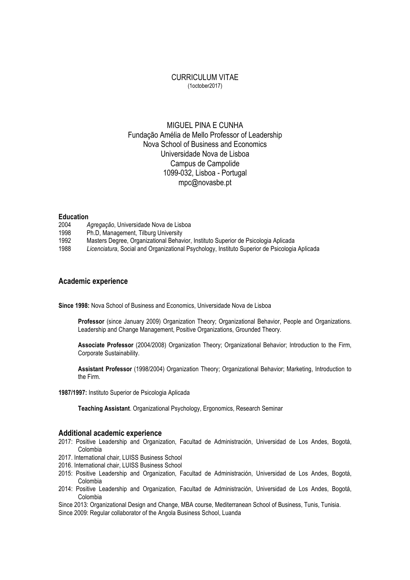### CURRICULUM VITAE (1october2017)

# MIGUEL PINA E CUNHA Fundação Amélia de Mello Professor of Leadership Nova School of Business and Economics Universidade Nova de Lisboa Campus de Campolide 1099-032, Lisboa - Portugal mpc@novasbe.pt

#### **Education**

- 2004 *Agregação*, Universidade Nova de Lisboa
- 1998 Ph.D, Management, Tilburg University
- 1992 Masters Degree, Organizational Behavior, Instituto Superior de Psicologia Aplicada
- 1988 *Licenciatura*, Social and Organizational Psychology, Instituto Superior de Psicologia Aplicada

### **Academic experience**

**Since 1998:** Nova School of Business and Economics, Universidade Nova de Lisboa

**Professor** (since January 2009) Organization Theory; Organizational Behavior, People and Organizations. Leadership and Change Management, Positive Organizations, Grounded Theory.

**Associate Professor** (2004/2008) Organization Theory; Organizational Behavior; Introduction to the Firm, Corporate Sustainability.

**Assistant Professor** (1998/2004) Organization Theory; Organizational Behavior; Marketing, Introduction to the Firm.

**1987/1997:** Instituto Superior de Psicologia Aplicada

**Teaching Assistant**. Organizational Psychology, Ergonomics, Research Seminar

#### **Additional academic experience**

- 2017: Positive Leadership and Organization, Facultad de Administración, Universidad de Los Andes, Bogotá, Colombia
- 2017. International chair, LUISS Business School
- 2016. International chair, LUISS Business School
- 2015: Positive Leadership and Organization, Facultad de Administración, Universidad de Los Andes, Bogotá, Colombia
- 2014: Positive Leadership and Organization, Facultad de Administración, Universidad de Los Andes, Bogotá, Colombia

Since 2013: Organizational Design and Change, MBA course, Mediterranean School of Business, Tunis, Tunisia.

Since 2009: Regular collaborator of the Angola Business School, Luanda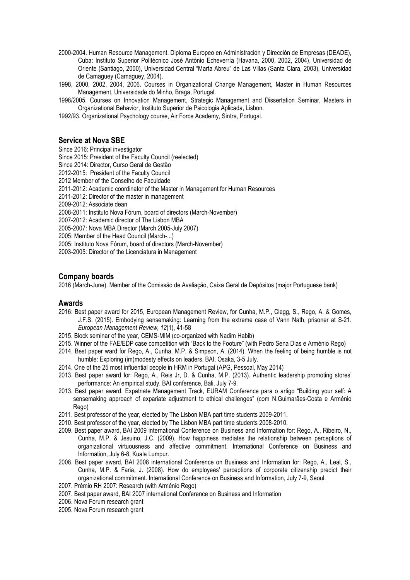- 2000-2004. Human Resource Management. Diploma Europeo en Administración y Dirección de Empresas (DEADE), Cuba: Instituto Superior Politécnico José António Echeverría (Havana, 2000, 2002, 2004), Universidad de Oriente (Santiago, 2000), Universidad Central "Marta Abreu" de Las Villas (Santa Clara, 2003), Universidad de Camaguey (Camaguey, 2004).
- 1998, 2000, 2002, 2004, 2006. Courses in Organizational Change Management, Master in Human Resources Management, Universidade do Minho, Braga, Portugal.
- 1998/2005. Courses on Innovation Management, Strategic Management and Dissertation Seminar, Masters in Organizational Behavior, Instituto Superior de Psicologia Aplicada, Lisbon.

1992/93. Organizational Psychology course, Air Force Academy, Sintra, Portugal.

## **Service at Nova SBE**

Since 2016: Principal investigator Since 2015: President of the Faculty Council (reelected)

Since 2014: Director, Curso Geral de Gestão

2012-2015: President of the Faculty Council

2012 Member of the Conselho de Faculdade

2011-2012: Academic coordinator of the Master in Management for Human Resources

2011-2012: Director of the master in management

2009-2012: Associate dean

2008-2011: Instituto Nova Fórum, board of directors (March-November)

2007-2012: Academic director of The Lisbon MBA

2005-2007: Nova MBA Director (March 2005-July 2007)

2005: Member of the Head Council (March-...)

2005: Instituto Nova Fórum, board of directors (March-November)

2003-2005: Director of the Licenciatura in Management

## **Company boards**

2016 (March-June). Member of the Comissão de Avaliação, Caixa Geral de Depósitos (major Portuguese bank)

### **Awards**

- 2016: Best paper award for 2015, European Management Review, for Cunha, M.P., Clegg, S., Rego, A. & Gomes, J.F.S. (2015). Embodying sensemaking: Learning from the extreme case of Vann Nath, prisoner at S-21. *European Management Review, 12*(1), 41-58
- 2015. Block seminar of the year, CEMS-MIM (co-organized with Nadim Habib)
- 2015. Winner of the FAE/EDP case competition with "Back to the Footure" (with Pedro Sena Dias e Arménio Rego)
- 2014. Best paper ward for Rego, A., Cunha, M.P. & Simpson, A. (2014). When the feeling of being humble is not humble: Exploring (im)modesty effects on leaders. BAI, Osaka, 3-5 July.
- 2014. One of the 25 most influential people in HRM in Portugal (APG, Pessoal, May 2014)
- 2013. Best paper award for: Rego, A., Reis Jr, D. & Cunha, M.P. (2013). Authentic leadership promoting stores' performance: An empirical study. BAI conference, Bali, July 7-9.
- 2013. Best paper award, Expatriate Management Track, EURAM Conference para o artigo "Building your self: A sensemaking approach of expariate adjustment to ethical challenges" (com N.Guimarães-Costa e Arménio Rego)
- 2011. Best professor of the year, elected by The Lisbon MBA part time students 2009-2011.
- 2010. Best professor of the year, elected by The Lisbon MBA part time students 2008-2010.
- 2009. Best paper award, BAI 2009 international Conference on Business and Information for: Rego, A., Ribeiro, N., Cunha, M.P. & Jesuino, J.C. (2009). How happiness mediates the relationship between perceptions of organizational virtuousness and affective commitment. International Conference on Business and Information, July 6-8, Kuala Lumpur.
- 2008. Best paper award, BAI 2008 international Conference on Business and Information for: Rego, A., Leal, S., Cunha, M.P. & Faria, J. (2008). How do employees' perceptions of corporate citizenship predict their organizational commitment. International Conference on Business and Information, July 7-9, Seoul.
- 2007. Prémio RH 2007: Research (with Arménio Rego)
- 2007. Best paper award, BAI 2007 international Conference on Business and Information
- 2006. Nova Forum research grant
- 2005. Nova Forum research grant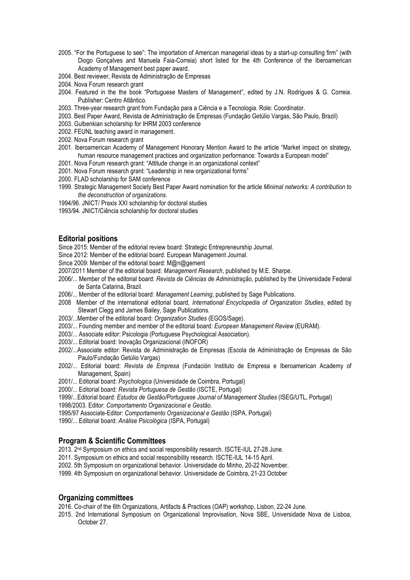- 2005. "For the Portuguese to see": The importation of American managerial ideas by a start-up consulting firm" (with Diogo Gonçalves and Manuela Faia-Correia) short listed for the 4th Conference of the Iberoamerican Academy of Management best paper award.
- 2004. Best reviewer, Revista de Administração de Empresas
- 2004. Nova Forum research grant
- 2004. Featured in the the book "Portuguese Masters of Management", edited by J.N. Rodrigues & G. Correia. Publisher: Centro Atlântico.
- 2003. Three-year research grant from Fundação para a Ciência e a Tecnologia. Role: Coordinator.
- 2003. Best Paper Award, Revista de Administração de Empresas (Fundação Getúlio Vargas, São Paulo, Brazil)
- 2003. Gulbenkian scholarship for IHRM 2003 conference
- 2002. FEUNL teaching award in management.
- 2002. Nova Forum research grant
- 2001. Iberoamerican Academy of Management Honorary Mention Award to the article "Market impact on strategy, human resource management practices and organization performance: Towards a European model"
- 2001. Nova Forum research grant: "Attitude change in an organizational context"
- 2001. Nova Forum research grant: "Leadership in new organizational forms"
- 2000. FLAD scholarship for SAM conference
- 1999. Strategic Management Society Best Paper Award nomination for the article *Minimal networks: A contribution to the deconstruction of organizations*.
- 1994/96. JNICT/ Praxis XXI scholarship for doctoral studies
- 1993/94. JNICT/Ciência scholarship for doctoral studies

## **Editorial positions**

Since 2015: Member of the editorial review board: Strategic Entrepreneurship Journal.

- Since 2012: Member of the editorial board: European Management Journal.
- Since 2009: Member of the editorial board: M@n@gement
- 2007/2011 Member of the editorial board: *Management Research*, published by M.E. Sharpe.
- 2006/... Member of the editorial board: *Revista de Ciências de Administração*, published by the Universidade Federal de Santa Catarina, Brazil.
- 2006/... Member of the editorial board: *Management Learning*, published by Sage Publications.
- 2008 Member of the international editorial board, *International Encyclopedia of Organization Studies*, edited by Stewart Clegg and James Bailey, Sage Publications.
- 2003/...Member of the editorial board: *Organization Studies* (EGOS/Sage).
- 2003/... Founding member and member of the editorial board: *European Management Review* (EURAM).
- 2003/... Associate editor: Psicologia (Portuguese Psychological Association).
- 2003/... Editorial board: Inovação Organizacional (INOFOR)
- 2002/...Associate editor: Revista de Administração de Empresas (Escola de Administração de Empresas de São Paulo/Fundação Getúlio Vargas)
- 2002/... Editorial board: *Revista de Empresa* (Fundación Instituto de Empresa e Iberoamerican Academy of Management, Spain)
- 2001/... Editorial board: *Psychologica* (Universidade de Coimbra, Portugal)
- 2000/... Editorial board: *Revista Portuguesa de Gestão* (ISCTE, Portugal)
- 1999/...Editorial board: *Estudos de Gestão/Portuguese Journal of Management Studies* (ISEG/UTL, Portugal)
- 1998/2003. Editor: *Comportamento Organizacional e Gestão.*
- 1995/97 Associate-Editor: *Comportamento Organizacional e Gestão* (ISPA, Portugal)
- 1990/... Editorial board: *Análise Psicológica* (ISPA, Portugal)

## **Program & Scientific Committees**

- 2013. 2nd Symposium on ethics and social responsibility research. ISCTE-IUL 27-28 June.
- 2011. Symposium on ethics and social responsibility research. ISCTE-IUL 14-15 April.
- 2002. 5th Symposium on organizational behavior. Universidade do Minho, 20-22 November.
- 1999. 4th Symposium on organizational behavior. Universidade de Coimbra, 21-23 October

## **Organizing committees**

- 2016. Co-chair of the 6th Organizations, Artifacts & Practices (OAP) workshop, Lisbon, 22-24 June.
- 2015. 2nd International Symposium on Organizational Improvisation, Nova SBE, Universidade Nova de Lisboa, October 27.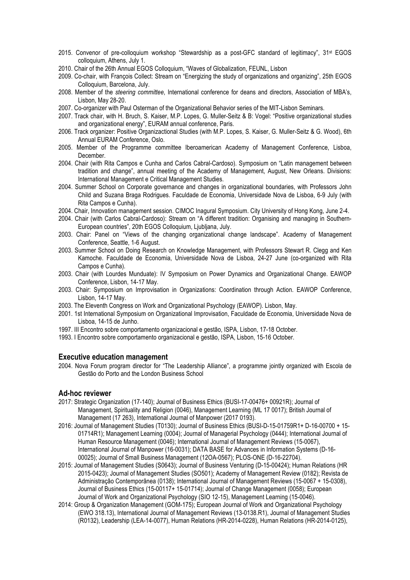- 2015. Convenor of pre-colloquium workshop "Stewardship as a post-GFC standard of legitimacy", 31st EGOS colloquium, Athens, July 1.
- 2010. Chair of the 26th Annual EGOS Colloquium, "Waves of Globalization, FEUNL, Lisbon
- 2009. Co-chair, with François Collect: Stream on "Energizing the study of organizations and organizing", 25th EGOS Colloquium, Barcelona, July.
- 2008. Member of the *steering committee*, International conference for deans and directors, Association of MBA's, Lisbon, May 28-20.
- 2007. Co-organizer with Paul Osterman of the Organizational Behavior series of the MIT-Lisbon Seminars.
- 2007. Track chair, with H. Bruch, S. Kaiser, M.P. Lopes, G. Muller-Seitz & B: Vogel: "Positive organizational studies and organizational energy", EURAM annual conference, Paris.
- 2006. Track organizer: Positive Organizactional Studies (with M.P. Lopes, S. Kaiser, G. Muller-Seitz & G. Wood), 6th Annual EURAM Conference, Oslo.
- 2005. Member of the Programme committee Iberoamerican Academy of Management Conference, Lisboa, December.
- 2004. Chair (with Rita Campos e Cunha and Carlos Cabral-Cardoso). Symposium on "Latin management between tradition and change", annual meeting of the Academy of Management, August, New Orleans. Divisions: International Management e Critical Management Studies.
- 2004. Summer School on Corporate governance and changes in organizational boundaries, with Professors John Child and Suzana Braga Rodrigues. Faculdade de Economia, Universidade Nova de Lisboa, 6-9 July (with Rita Campos e Cunha).
- 2004. Chair, Innovation management session. CIMOC Inagural Symposium. City University of Hong Kong, June 2-4.
- 2004. Chair (with Carlos Cabral-Cardoso): Stream on "A different tradition: Organising and managing in Southern-European countries", 20th EGOS Colloquium, Ljubljana, July.
- 2003. Chair: Panel on "Views of the changing organizational change landscape". Academy of Management Conference, Seattle, 1-6 August.
- 2003. Summer School on Doing Research on Knowledge Management, with Professors Stewart R. Clegg and Ken Kamoche. Faculdade de Economia, Universidade Nova de Lisboa, 24-27 June (co-organized with Rita Campos e Cunha).
- 2003. Chair (with Lourdes Munduate): IV Symposium on Power Dynamics and Organizational Change. EAWOP Conference, Lisbon, 14-17 May.
- 2003. Chair: Symposium on Improvisation in Organizations: Coordination through Action. EAWOP Conference, Lisbon, 14-17 May.
- 2003. The Eleventh Congress on Work and Organizational Psychology (EAWOP). Lisbon, May.
- 2001. 1st International Symposium on Organizational Improvisation, Faculdade de Economia, Universidade Nova de Lisboa, 14-15 de Junho.
- 1997. III Encontro sobre comportamento organizacional e gestão, ISPA, Lisbon, 17-18 October.
- 1993. I Encontro sobre comportamento organizacional e gestão, ISPA, Lisbon, 15-16 October.

### **Executive education management**

2004. Nova Forum program director for "The Leadership Alliance", a programme jointly organized with Escola de Gestão do Porto and the London Business School

### **Ad-hoc reviewer**

- 2017: Strategic Organization (17-140); Journal of Business Ethics (BUSI-17-00476+ 00921R); Journal of Management, Spirituality and Religion (0046), Management Learning (ML 17 0017); British Journal of Management (17 263), International Journal of Manpower (2017 0193).
- 2016: Journal of Management Studies (T0130); Journal of Business Ethics (BUSI-D-15-01759R1+ D-16-00700 + 15- 01714R1); Management Learning (0004); Journal of Managerial Psychology (0444); International Journal of Human Resource Management (0046); International Journal of Management Reviews (15-0067), International Journal of Manpower (16-0031); DATA BASE for Advances in Information Systems (D-16- 00025); Journal of Small Business Management (12OA-0567); PLOS-ONE (D-16-22704).
- 2015: Journal of Management Studies (S0643); Journal of Business Venturing (D-15-00424); Human Relations (HR 2015-0423); Journal of Management Studies (SO501); Academy of Management Review (0182); Revista de Administração Contemporânea (0138); International Journal of Management Reviews (15-0067 + 15-0308), Journal of Business Ethics (15-00117+ 15-01714); Journal of Change Management (0058); European Journal of Work and Organizational Psychology (SIO 12-15), Management Learning (15-0046).
- 2014: Group & Organization Management (GOM-175); European Journal of Work and Organizational Psychology (EWO 318.13), International Journal of Management Reviews (13-0138.R1), Journal of Management Studies (R0132), Leadership (LEA-14-0077), Human Relations (HR-2014-0228), Human Relations (HR-2014-0125),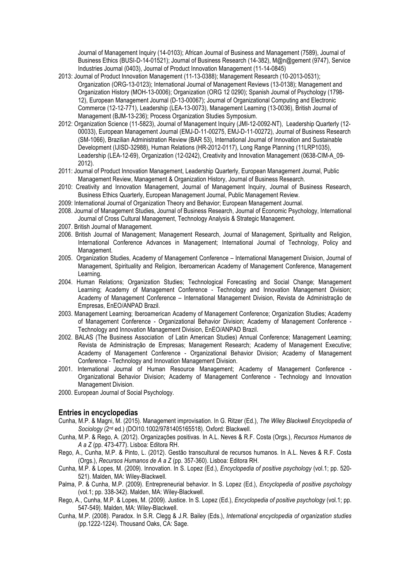Journal of Management Inquiry (14-0103); African Journal of Business and Management (7589), Journal of Business Ethics (BUSI-D-14-01521); Journal of Business Research (14-382), M@n@gement (9747), Service Industries Journal (0403), Journal of Product Innovation Management (11-14-0845)

- 2013: Journal of Product Innovation Management (11-13-0388); Management Research (10-2013-0531); Organization (ORG-13-0123); International Journal of Management Reviews (13-0138); Management and Organization History (MOH-13-0006); Organization (ORG 12 0290); Spanish Journal of Psychology (1798- 12), European Management Journal (D-13-00067); Journal of Organizational Computing and Electronic Commerce (12-12-771), Leadership (LEA-13-0073), Management Learning (13-0036), British Journal of Management (BJM-13-236); Process Organization Studies Symposium.
- 2012: Organization Science (11-5823), Journal of Management Inquiry (JMI-12-0092-NT), Leadership Quarterly (12- 00033), European Management Journal (EMJ-D-11-00275, EMJ-D-11-00272), Journal of Business Research (SM-1066), Brazilian Administration Review (BAR 53), International Journal of Innovation and Sustainable Development (IJISD-32988), Human Relations (HR-2012-0117), Long Range Planning (11LRP1035), Leadership (LEA-12-69), Organization (12-0242), Creativity and Innovation Management (0638-CIM-A\_09- 2012).
- 2011: Journal of Product Innovation Management, Leadership Quarterly, European Management Journal, Public Management Review, Management & Organization History, Journal of Business Research.
- 2010: Creativity and Innovation Management, Journal of Management Inquiry, Journal of Business Research, Business Ethics Quarterly, European Management Journal, Public Management Review.
- 2009: International Journal of Organization Theory and Behavior; European Management Journal.
- 2008. Journal of Management Studies, Journal of Business Research, Journal of Economic Psychology, International Journal of Cross Cultural Management, Technology Analysis & Strategic Management.
- 2007. British Journal of Management.
- 2006. British Journal of Management; Management Research, Journal of Management, Spirituality and Religion, International Conference Advances in Management; International Journal of Technology, Policy and Management.
- 2005. Organization Studies, Academy of Management Conference International Management Division, Journal of Management, Spirituality and Religion, Iberoamerican Academy of Management Conference, Management Learning.
- 2004. Human Relations; Organization Studies; Technological Forecasting and Social Change; Management Learning; Academy of Management Conference - Technology and Innovation Management Division; Academy of Management Conference – International Management Division, Revista de Administração de Empresas, EnEO/ANPAD Brazil.
- 2003. Management Learning; Iberoamerican Academy of Management Conference; Organization Studies; Academy of Management Conference - Organizational Behavior Division; Academy of Management Conference - Technology and Innovation Management Division, EnEO/ANPAD Brazil.
- 2002. BALAS (The Business Association of Latin American Studies) Annual Conference; Management Learning; Revista de Administração de Empresas; Management Research; Academy of Management Executive; Academy of Management Conference - Organizational Behavior Division; Academy of Management Conference - Technology and Innovation Management Division.
- 2001. International Journal of Human Resource Management; Academy of Management Conference Organizational Behavior Division; Academy of Management Conference - Technology and Innovation Management Division.
- 2000. European Journal of Social Psychology.

### **Entries in encyclopedias**

- Cunha, M.P. & Magni, M. (2015). Management improvisation. In G. Ritzer (Ed.), *The Wiley Blackwell Encyclopedia of Sociology* (2nd ed.) (DOI10.1002/9781405165518). Oxford: Blackwell.
- Cunha, M.P. & Rego, A. (2012). Organizações positivas. In A.L. Neves & R.F. Costa (Orgs.), *Recursos Humanos de A a Z* (pp. 473-477). Lisboa: Editora RH.
- Rego, A., Cunha, M.P. & Pinto, L. (2012). Gestão transcultural de recursos humanos. In A.L. Neves & R.F. Costa (Orgs.), *Recursos Humanos de A a Z* (pp. 357-360). Lisboa: Editora RH.
- Cunha, M.P. & Lopes, M. (2009). Innovation. In S. Lopez (Ed.), *Encyclopedia of positive psychology* (vol.1; pp. 520- 521). Malden, MA: Wiley-Blackwell.
- Palma, P. & Cunha, M.P. (2009). Entrepreneurial behavior. In S. Lopez (Ed.), *Encyclopedia of positive psychology* (vol.1; pp. 338-342). Malden, MA: Wiley-Blackwell.
- Rego, A., Cunha, M.P. & Lopes, M. (2009). Justice. In S. Lopez (Ed.), *Encyclopedia of positive psychology* (vol.1; pp. 547-549). Malden, MA: Wiley-Blackwell.
- Cunha, M.P. (2008). Paradox. In S.R. Clegg & J.R. Bailey (Eds.), *International encyclopedia of organization studies* (pp.1222-1224). Thousand Oaks, CA: Sage.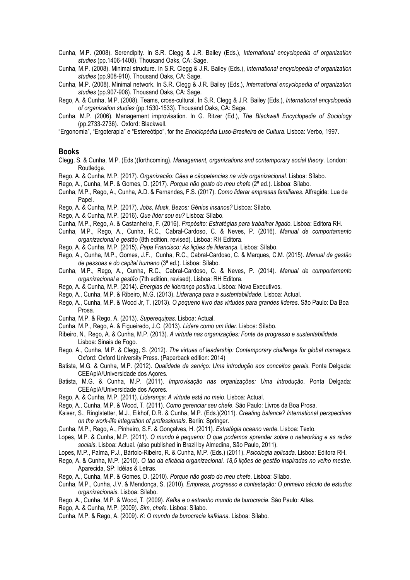Cunha, M.P. (2008). Serendipity. In S.R. Clegg & J.R. Bailey (Eds.), *International encyclopedia of organization studies* (pp.1406-1408). Thousand Oaks, CA: Sage.

Cunha, M.P. (2008). Minimal structure. In S.R. Clegg & J.R. Bailey (Eds.), *International encyclopedia of organization studies* (pp.908-910). Thousand Oaks, CA: Sage.

Cunha, M.P. (2008). Minimal network. In S.R. Clegg & J.R. Bailey (Eds.), *International encyclopedia of organization studies* (pp.907-908). Thousand Oaks, CA: Sage.

Rego, A. & Cunha, M.P. (2008). Teams, cross-cultural. In S.R. Clegg & J.R. Bailey (Eds.), *International encyclopedia of organization studies* (pp.1530-1533). Thousand Oaks, CA: Sage.

Cunha, M.P. (2006). Management improvisation. In G. Ritzer (Ed.), *The Blackwell Encyclopedia of Sociology* (pp.2733-2736). Oxford: Blackwell.

"Ergonomia", "Ergoterapia" e "Estereótipo", for the *Enciclopédia Luso-Brasileira de Cultura*. Lisboa: Verbo, 1997.

#### **Books**

Clegg, S. & Cunha, M.P. (Eds.)(forthcoming). *Management, organizations and contemporary social theory*. London: Routledge.

Rego, A. & Cunha, M.P. (2017). *Organizacão: Cães e cãopetencias na vida organizacional*. Lisboa: Sílabo.

Rego, A., Cunha, M.P. & Gomes, D. (2017). *Porque não gosto do meu chefe* (2ª ed.). Lisboa: Sílabo.

Cunha, M.P., Rego, A., Cunha, A.D. & Fernandes, F.S. (2017). *Como liderar empresas familiares*. Alfragide: Lua de Papel.

Rego, A. & Cunha, M.P. (2017). *Jobs, Musk, Bezos: Génios insanos?* Lisboa: Sílabo.

Rego, A. & Cunha, M.P. (2016). *Que líder sou eu?* Lisboa: Sílabo.

Cunha, M.P., Rego, A. & Castanheira, F. (2016). *Propósito: Estratégias para trabalhar ligado*. Lisboa: Editora RH.

Cunha, M.P., Rego, A., Cunha, R.C., Cabral-Cardoso, C. & Neves, P. (2016). *Manual de comportamento organizacional e gestão* (8th edition, revised). Lisboa: RH Editora.

Rego, A. & Cunha, M.P. (2015). *Papa Francisco: As lições de liderança*. Lisboa: Sílabo.

Rego, A., Cunha, M.P., Gomes, J.F., Cunha, R.C., Cabral-Cardoso, C. & Marques, C.M. (2015). *Manual de gestão de pessoas e do capital humano* (3ª ed.). Lisboa: Sílabo.

Cunha, M.P., Rego, A., Cunha, R.C., Cabral-Cardoso, C. & Neves, P. (2014). *Manual de comportamento organizacional e gestão* (7th edition, revised). Lisboa: RH Editora.

Rego, A. & Cunha, M.P. (2014). *Energias de liderança positiva*. Lisboa: Nova Executivos.

Rego, A., Cunha, M.P. & Ribeiro, M.G. (2013). *Liderança para a sustentabilidade*. Lisboa: Actual.

- Rego, A., Cunha, M.P. & Wood Jr, T. (2013). *O pequeno livro das virtudes para grandes líderes*. São Paulo: Da Boa Prosa.
- Cunha, M.P. & Rego, A. (2013). *Superequipas*. Lisboa: Actual.
- Cunha, M.P., Rego, A. & Figueiredo, J.C. (2013). *Lidere como um líder*. Lisboa: Sílabo.
- Ribeiro, N., Rego, A. & Cunha, M.P. (2013). *A virtude nas organizações: Fonte de progresso e sustentabilidade*. Lisboa: Sinais de Fogo.

Rego, A., Cunha, M.P. & Clegg, S. (2012). *The virtues of leadership: Contemporary challenge for global managers*. Oxford: Oxford University Press. (Paperback edition: 2014)

- Batista, M.G. & Cunha, M.P. (2012). *Qualidade de serviço: Uma introdução aos conceitos gerais*. Ponta Delgada: CEEAplA/Universidade dos Açores.
- Batista, M.G. & Cunha, M.P. (2011). *Improvisação nas organizações: Uma introdução*. Ponta Delgada: CEEAplA/Universidade dos Açores.

Rego, A. & Cunha, M.P. (2011). *Liderança: A virtude está no meio*. Lisboa: Actual.

Rego, A., Cunha, M.P. & Wood, T. (2011). *Como gerenciar seu chefe*. São Paulo: Livros da Boa Prosa.

- Kaiser, S., Ringlstetter, M.J., Eikhof, D.R. & Cunha, M.P. (Eds.)(2011). *Creating balance? International perspectives on the work-life integration of professionals*. Berlin: Springer.
- Cunha, M.P., Rego, A., Pinheiro, S.F. & Gonçalves, H. (2011). *Estratégia oceano verde*. Lisboa: Texto.

Lopes, M.P. & Cunha, M.P. (2011). *O mundo é pequeno: O que podemos aprender sobre o networking e as redes sociais*. Lisboa: Actual. (also published in Brazil by Almedina, São Paulo, 2011).

- Lopes, M.P., Palma, P.J., Bártolo-Ribeiro, R. & Cunha, M.P. (Eds.) (2011). *Psicologia aplicada*. Lisboa: Editora RH.
- Rego, A. & Cunha, M.P. (2010). *O tao da eficácia organizacional. 18,5 lições de gestão inspiradas no velho mestre*. Aparecida, SP: Idéias & Letras.
- Rego, A., Cunha, M.P. & Gomes, D. (2010). *Porque não gosto do meu chefe*. Lisboa: Sílabo.

Cunha, M.P., Cunha, J.V. & Mendonça, S. (2010). *Empresa, progresso e contestação: O primeiro século de estudos organizacionais*. Lisboa: Sílabo.

Rego, A., Cunha, M.P. & Wood, T. (2009). *Kafka e o estranho mundo da burocracia*. São Paulo: Atlas.

Rego, A. & Cunha, M.P. (2009). *Sim, chefe*. Lisboa: Sílabo.

Cunha, M.P. & Rego, A. (2009). *K: O mundo da burocracia kafkiana*. Lisboa: Sílabo.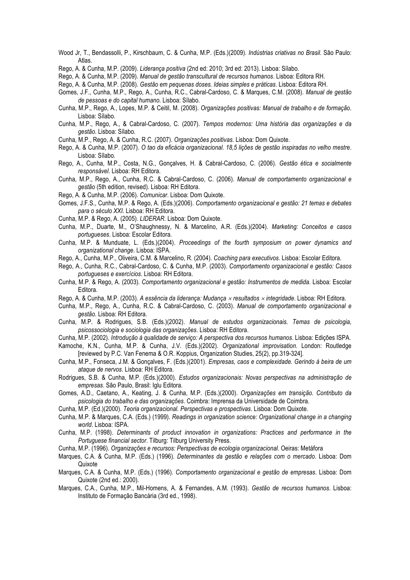- Wood Jr, T., Bendassolli, P., Kirschbaum, C. & Cunha, M.P. (Eds.)(2009). *Indústrias criativas no Brasil.* São Paulo: Atlas.
- Rego, A. & Cunha, M.P. (2009). *Liderança positiva* (2nd ed: 2010; 3rd ed: 2013). Lisboa: Sílabo.
- Rego, A. & Cunha, M.P. (2009). *Manual de gestão transcultural de recursos humanos*. Lisboa: Editora RH.
- Rego, A. & Cunha, M.P. (2008). *Gestão em pequenas doses. Ideias simples e práticas*. Lisboa: Editora RH.
- Gomes, J.F., Cunha, M.P., Rego, A., Cunha, R.C., Cabral-Cardoso, C. & Marques, C.M. (2008). *Manual de gestão de pessoas e do capital humano*. Lisboa: Sílabo.
- Cunha, M.P., Rego, A., Lopes, M.P. & Ceitil, M. (2008). *Organizações positivas: Manual de trabalho e de formação*. Lisboa: Sílabo.
- Cunha, M.P., Rego, A., & Cabral-Cardoso, C. (2007). *Tempos modernos: Uma história das organizações e da gestão*. Lisboa: Sílabo.
- Cunha, M.P., Rego, A. & Cunha, R.C. (2007). *Organizações positivas*. Lisboa: Dom Quixote.
- Rego, A. & Cunha, M.P. (2007). *O tao da eficácia organizacional. 18,5 lições de gestão inspiradas no velho mestre*. Lisboa: Sílabo.
- Rego, A., Cunha, M.P., Costa, N.G., Gonçalves, H. & Cabral-Cardoso, C. (2006). *Gestão ética e socialmente responsável*. Lisboa: RH Editora.
- Cunha, M.P., Rego, A., Cunha, R.C. & Cabral-Cardoso, C. (2006). *Manual de comportamento organizacional e gestão* (5th edition, revised). Lisboa: RH Editora.
- Rego, A. & Cunha, M.P. (2006). *Comunicar*. Lisboa: Dom Quixote.
- Gomes, J.F.S., Cunha, M.P. & Rego, A. (Eds.)(2006). *Comportamento organizacional e gestão: 21 temas e debates para o século XXI*. Lisboa: RH Editora.
- Cunha, M.P. & Rego, A. (2005). *LIDERAR*. Lisboa: Dom Quixote.
- Cunha, M.P., Duarte, M., O'Shaughnessy, N. & Marcelino, A.R. (Eds.)(2004). *Marketing: Conceitos e casos portugueses*. Lisboa: Escolar Editora.
- Cunha, M.P. & Munduate, L. (Eds.)(2004). *Proceedings of the fourth symposium on power dynamics and organizational change*. Lisboa: ISPA.
- Rego, A., Cunha, M.P., Oliveira, C.M. & Marcelino, R. (2004). *Coaching para executivos*. Lisboa: Escolar Editora.
- Rego, A., Cunha, R.C., Cabral-Cardoso, C. & Cunha, M.P. (2003). *Comportamento organizacional e gestão: Casos portugueses e exercícios*. Lisboa: RH Editora.
- Cunha, M.P. & Rego, A. (2003). *Comportamento organizacional e gestão: Instrumentos de medida*. Lisboa: Escolar Editora.
- Rego, A. & Cunha, M.P. (2003). *A essência da liderança: Mudança* ´ *resultados* ´ *integridade*. Lisboa: RH Editora.
- Cunha, M.P., Rego, A., Cunha, R.C. & Cabral-Cardoso, C. (2003). *Manual de comportamento organizacional e gestão*. Lisboa: RH Editora.
- Cunha, M.P. & Rodrigues, S.B. (Eds.)(2002). *Manual de estudos organizacionais. Temas de psicologia, psicossociologia e sociologia das organizações*. Lisboa: RH Editora.
- Cunha, M.P. (2002). *Introdução à qualidade de serviço: A perspectiva dos recursos humanos*. Lisboa: Edições ISPA.
- Kamoche, K.N., Cunha, M.P. & Cunha, J.V. (Eds.)(2002). *Organizational improvisation*. London: Routledge [reviewed by P.C. Van Fenema & O.R. Koppius, Organization Studies, 25(2), pp.319-324].
- Cunha, M.P., Fonseca, J.M. & Gonçalves, F. (Eds.)(2001). *Empresas, caos e complexidade. Gerindo à beira de um ataque de nervos*. Lisboa: RH Editora.
- Rodrigues, S.B. & Cunha, M.P. (Eds.)(2000). *Estudos organizacionais: Novas perspectivas na administração de empresas*. São Paulo, Brasil: Iglu Editora.
- Gomes, A.D., Caetano, A., Keating, J. & Cunha, M.P. (Eds.)(2000). *Organizações em transição. Contributo da psicologia do trabalho e das organizações*. Coimbra: Imprensa da Universidade de Coimbra.
- Cunha, M.P. (Ed.)(2000). *Teoria organizacional. Perspectivas e prospectivas*. Lisboa: Dom Quixote.
- Cunha, M.P. & Marques, C.A. (Eds.) (1999). *Readings in organization science: Organizational change in a changing world*. Lisboa: ISPA.
- Cunha, M.P. (1998). *Determinants of product innovation in organizations: Practices and performance in the Portuguese financial sector*. Tilburg: Tilburg University Press.
- Cunha, M.P. (1996). *Organizações e recursos: Perspectivas de ecologia organizacional*. Oeiras: Metáfora
- Marques, C.A. & Cunha, M.P. (Eds.) (1996). *Determinantes da gestão e relações com o mercado*. Lisboa: Dom Quixote
- Marques, C.A. & Cunha, M.P. (Eds.) (1996). *Comportamento organizacional e gestão de empresas*. Lisboa: Dom Quixote (2nd ed.: 2000).
- Marques, C.A., Cunha, M.P., Mil-Homens, A. & Fernandes, A.M. (1993). *Gestão de recursos humanos*. Lisboa: Instituto de Formação Bancária (3rd ed., 1998).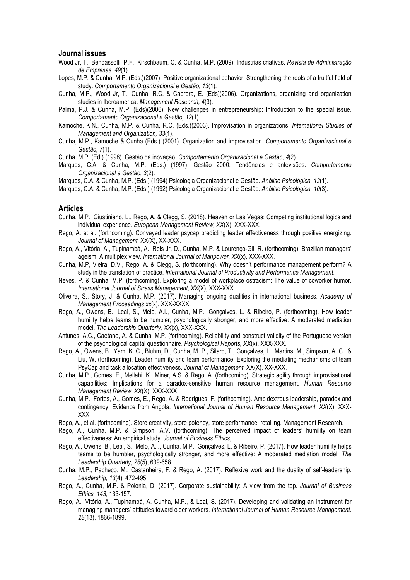#### **Journal issues**

- Wood Jr, T., Bendassolli, P.F., Kirschbaum, C. & Cunha, M.P. (2009). Indústrias criativas. *Revista de Administração de Empresas, 49*(1).
- Lopes, M.P. & Cunha, M.P. (Eds.)(2007). Positive organizational behavior: Strengthening the roots of a fruitful field of study. *Comportamento Organizacional e Gestão, 13*(1).
- Cunha, M.P., Wood Jr, T., Cunha, R.C. & Cabrera, E. (Eds)(2006). Organizations, organizing and organization studies in Iberoamerica. *Management Research, 4*(3).
- Palma, P.J. & Cunha, M.P. (Eds)(2006). New challenges in entrepreneurship: Introduction to the special issue. *Comportamento Organizacional e Gestão, 12*(1).
- Kamoche, K.N., Cunha, M.P. & Cunha, R.C. (Eds.)(2003). Improvisation in organizations. *International Studies of Management and Organization, 33*(1).
- Cunha, M.P., Kamoche & Cunha (Eds.) (2001). Organization and improvisation. *Comportamento Organizacional e Gestão, 7*(1).

Cunha, M.P. (Ed.) (1998). Gestão da inovação. *Comportamento Organizacional e Gestão, 4*(2).

Marques, C.A. & Cunha, M.P. (Eds.) (1997). Gestão 2000: Tendências e antevisões. *Comportamento Organizacional e Gestão, 3*(2).

Marques, C.A. & Cunha, M.P. (Eds.) (1994) Psicologia Organizacional e Gestão. *Análise Psicológica, 12*(1).<br>Marques, C.A. & Cunha, M.P. (Eds.) (1992) Psicologia Organizacional e Gestão. *Análise Psicológica, 10*(3).

## **Articles**

- Cunha, M.P., Giustiniano, L., Rego, A. & Clegg, S. (2018). Heaven or Las Vegas: Competing institutional logics and individual experience. *European Management Review, XX*(X), XXX-XXX.
- Rego, A. et al. (forthcoming). Conveyed leader psycap predicting leader effectiveness through positive energizing. *Journal of Management*, XX(X), XX-XXX.
- Rego, A., Vitória, A., Tupinambá, A., Reis Jr, D., Cunha, M.P. & Lourenço-Gil, R. (forthcoming). Brazilian managers' ageism: A multiplex view. *International Journal of Manpower, XX*(x), XXX-XXX.
- Cunha, M.P, Vieira, D.V., Rego, A. & Clegg, S. (forthcoming). Why doesn't performance management perform? A study in the translation of practice. *International Journal of Productivity and Performance Management*.
- Neves, P. & Cunha, M.P. (forthcoming). Exploring a model of workplace ostracism: The value of coworker humor. *International Journal of Stress Management, XX*(X), XXX-XXX.
- Oliveira, S., Story, J. & Cunha, M.P. (2017). Managing ongoing dualities in international business. *Academy of Management Proceedings xx*(x), XXX-XXXX.
- Rego, A., Owens, B., Leal, S., Melo, A.I., Cunha, M.P., Gonçalves, L. & Ribeiro, P. (forthcoming). How leader humility helps teams to be humbler, psychologically stronger, and more effective: A moderated mediation model. *The Leadership Quarterly, XX*(x), XXX-XXX.
- Antunes, A.C., Caetano, A. & Cunha. M.P. (forthcoming). Reliability and construct validity of the Portuguese version of the psychological capital questionnaire. *Psychological Reports, XX*(x), XXX-XXX.
- Rego, A., Owens, B., Yam, K. C., Bluhm, D., Cunha, M. P., Silard, T., Gonçalves, L., Martins, M., Simpson, A. C., & Liu, W. (forthcoming). Leader humility and team performance: Exploring the mediating mechanisms of team PsyCap and task allocation effectiveness. *Journal of Management*, XX(X), XX-XXX.
- Cunha, M.P., Gomes, E., Mellahi, K., Miner, A.S. & Rego, A. (forthcoming). Strategic agility through improvisational capabilities: Implications for a paradox-sensitive human resource management. *Human Resource Management Review. XX*(X), XXX-XXX
- Cunha, M.P., Fortes, A., Gomes, E., Rego, A. & Rodrigues, F. (forthcoming). Ambidextrous leadership, paradox and contingency: Evidence from Angola. *International Journal of Human Resource Management. XX*(X), XXX-XXX
- Rego, A., et al. (forthcoming). Store creativity, store potency, store performance, retailing. Management Research.
- Rego, A., Cunha, M.P. & Simpson, A.V. (forthcoming). The perceived impact of leaders' humility on team effectiveness: An empirical study. *Journal of Business Ethics*,
- Rego, A., Owens, B., Leal, S., Melo, A.I., Cunha, M.P., Gonçalves, L. & Ribeiro, P. (2017). How leader humility helps teams to be humbler, psychologically stronger, and more effective: A moderated mediation model. *The Leadership Quarterly, 28*(5), 639-658.
- Cunha, M.P., Pacheco, M., Castanheira, F. & Rego, A. (2017). Reflexive work and the duality of self-leadership. *Leadership, 13*(4), 472-495.
- Rego, A., Cunha, M.P. & Polónia, D. (2017). Corporate sustainability: A view from the top. *Journal of Business Ethics, 143*, 133-157.
- Rego, A., Vitória, A., Tupinambá, A. Cunha, M.P., & Leal, S. (2017). Developing and validating an instrument for managing managers' attitudes toward older workers. *International Journal of Human Resource Management. 28*(13), 1866-1899.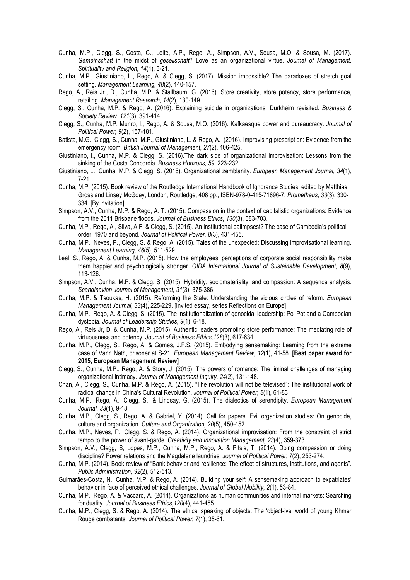- Cunha, M.P., Clegg, S., Costa, C., Leite, A.P., Rego, A., Simpson, A.V., Sousa, M.O. & Sousa, M. (2017). *Gemeinschaft* in the midst of *gesellschaft*? Love as an organizational virtue. *Journal of Management, Spirituality and Religion, 14*(1), 3-21.
- Cunha, M.P., Giustiniano, L., Rego, A. & Clegg, S. (2017). Mission impossible? The paradoxes of stretch goal setting. *Management Learning, 48*(2), 140-157.
- Rego, A., Reis Jr., D., Cunha, M.P. & Stallbaum, G. (2016). Store creativity, store potency, store performance, retailing. *Management Research, 14*(2), 130-149.
- Clegg, S., Cunha, M.P. & Rego, A. (2016). Explaining suicide in organizations. Durkheim revisited. *Business & Society Review. 121*(3), 391-414.
- Clegg, S., Cunha, M.P. Munro, I., Rego, A. & Sousa, M.O. (2016). Kafkaesque power and bureaucracy. *Journal of Political Power, 9*(2), 157-181.
- Batista, M.G., Clegg, S., Cunha, M.P., Giustiniano, L. & Rego, A. (2016). Improvising prescription: Evidence from the emergency room. *British Journal of Management, 27*(2), 406-425.
- Giustiniano, l., Cunha, M.P. & Clegg, S. (2016).The dark side of organizational improvisation: Lessons from the sinking of the Costa Concordia. *Business Horizons, 59*, 223-232.
- Giustiniano, L., Cunha, M.P. & Clegg, S. (2016). Organizational zemblanity. *European Management Journal, 34*(1), 7-21.
- Cunha, M.P. (2015). Book review of the Routledge International Handbook of Ignorance Studies, edited by Matthias Gross and Linsey McGoey, London, Routledge, 408 pp., ISBN-978-0-415-71896-7. *Prometheus, 33*(3), 330- 334. [By invitation]
- Simpson, A.V., Cunha, M.P. & Rego, A. T. (2015). Compassion in the context of capitalistic organizations: Evidence from the 2011 Brisbane floods. *Journal of Business Ethics, 130*(3), 683-703.
- Cunha, M.P., Rego, A., Silva, A.F. & Clegg, S. (2015). An institutional palimpsest? The case of Cambodia's political order, 1970 and beyond. *Journal of Political Power, 8*(3), 431-455.
- Cunha, M.P., Neves, P., Clegg, S. & Rego, A. (2015). Tales of the unexpected: Discussing improvisational learning. *Management Learning, 46*(5), 511-529.
- Leal, S., Rego, A. & Cunha, M.P. (2015). How the employees' perceptions of corporate social responsibility make them happier and psychologically stronger. *OIDA International Journal of Sustainable Development, 8*(9), 113-126.
- Simpson, A.V., Cunha, M.P. & Clegg, S. (2015). Hybridity, sociomateriality, and compassion: A sequence analysis. *Scandinavian Journal of Management, 31*(3), 375-386.
- Cunha, M.P. & Tsoukas, H. (2015). Reforming the State: Understanding the vicious circles of reform. *European Management Journal, 33*(4), 225-229. [Invited essay, series Reflections on Europe]
- Cunha, M.P., Rego, A. & Clegg, S. (2015). The institutionalization of genocidal leadership: Pol Pot and a Cambodian dystopia. *Journal of Leadership Studies, 9*(1), 6-18.
- Rego, A., Reis Jr, D. & Cunha, M.P. (2015). Authentic leaders promoting store performance: The mediating role of virtuousness and potency. *Journal of Business Ethics,128*(3), 617-634.
- Cunha, M.P., Clegg, S., Rego, A. & Gomes, J.F.S. (2015). Embodying sensemaking: Learning from the extreme case of Vann Nath, prisoner at S-21. *European Management Review, 12*(1), 41-58*.* **[Best paper award for 2015, European Management Review]**
- Clegg, S., Cunha, M.P., Rego, A. & Story, J. (2015). The powers of romance: The liminal challenges of managing organizational intimacy. *Journal of Management Inquiry, 24*(2), 131-148.
- Chan, A., Clegg, S., Cunha, M.P. & Rego, A. (2015). "The revolution will not be televised": The institutional work of radical change in China's Cultural Revolution. *Journal of Political Power, 8*(1)*,* 61-83
- Cunha, M.P., Rego, A., Clegg, S., & Lindsay, G. (2015). The dialectics of serendipity. *European Management Journal, 33*(1), 9-18.
- Cunha, M.P., Clegg, S., Rego, A. & Gabriel, Y. (2014). Call for papers. Evil organization studies: On genocide, culture and organization. *Culture and Organization, 20*(5), 450-452.
- Cunha, M.P., Neves, P., Clegg, S. & Rego, A. (2014). Organizational improvisation: From the constraint of strict tempo to the power of avant-garde. *Creativity and Innovation Management, 23*(4), 359-373.
- Simpson, A.V., Clegg, S, Lopes, M.P., Cunha, M.P., Rego, A. & Pitsis, T. (2014). Doing compassion or doing discipline? Power relations and the Magdalene laundries. *Journal of Political Power, 7*(2), 253-274.
- Cunha, M.P. (2014). Book review of "Bank behavior and resilience: The effect of structures, institutions, and agents". *Public Administration, 92*(2), 512-513.
- Guimarães-Costa, N., Cunha, M.P. & Rego, A. (2014). Building your self: A sensemaking approach to expatriates' behavior in face of perceived ethical challenges. *Journal of Global Mobility, 2*(1), 53-84.
- Cunha, M.P., Rego, A. & Vaccaro, A. (2014). Organizations as human communities and internal markets: Searching for duality. *Journal of Business Ethics,120*(4), 441-455.
- Cunha, M.P., Clegg, S. & Rego, A. (2014). The ethical speaking of objects: The 'object-ive' world of young Khmer Rouge combatants. *Journal of Political Power, 7*(1), 35-61.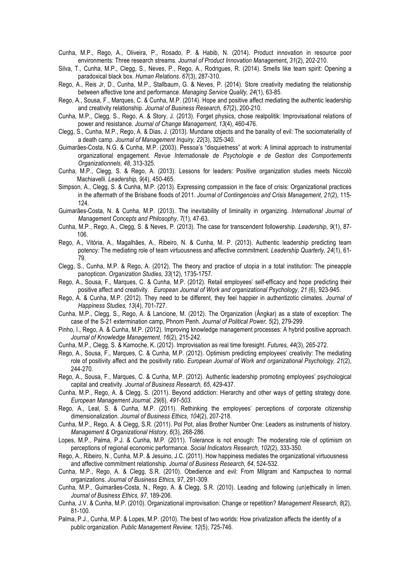Cunha, M.P., Rego, A., Oliveira, P., Rosado, P. & Habib, N. (2014). Product innovation in resource poor environments: Three research streams. *Journal of Product Innovation Management***,** *31*(2), 202-210.

Silva, T., Cunha, M.P., Clegg, S., Neves, P., Rego, A., Rodrigues, R. (2014). Smells like team spirit: Opening a paradoxical black box. *Human Relations. 67*(3), 287-310.

- Rego, A., Reis Jr, D., Cunha, M.P., Stallbaum, G. & Neves, P. (2014). Store creativity mediating the relationship between affective tone and performance. *Managing Service Quality, 24*(1), 63-85.
- Rego, A., Sousa, F., Marques, C. & Cunha, M.P. (2014). Hope and positive affect mediating the authentic leadership and creativity relationship. *Journal of Business Research, 67*(2), 200-210.
- Cunha, M.P., Clegg, S., Rego, A. & Story, J. (2013). Forget physics, chose realpolitik: Improvisational relations of power and resistance. *Journal of Change Management, 13*(4), 460-476.
- Clegg, S., Cunha, M.P., Rego, A. & Dias, J. (2013). Mundane objects and the banality of evil: The sociomateriality of a death camp. *Journal of Management Inquiry, 22*(3), 325-340.
- Guimarães-Costa, N.G. & Cunha, M.P. (2003). Pessoa's "disquietness" at work: A liminal approach to instrumental organizational engagement*. Revue Internationale de Psychologie e de Gestion des Comportements Organizationnels, 48*, 313-325.
- Cunha, M.P., Clegg, S. & Rego, A. (2013). Lessons for leaders: Positive organization studies meets Niccolò Machiavelli. *Leadership, 9*(4), 450-465.
- Simpson, A., Clegg, S. & Cunha, M.P. (2013). Expressing compassion in the face of crisis: Organizational practices in the aftermath of the Brisbane floods of 2011. *Journal of Contingencies and Crisis Management, 21*(2), 115- 124.
- Guimarães-Costa, N. & Cunha, M.P. (2013). The inevitability of liminality in organizing. *International Journal of Management Concepts and Philosophy, 7*(1), 47-63.
- Cunha, M.P., Rego, A., Clegg, S. & Neves, P. (2013). The case for transcendent followership. *Leadership, 9*(1), 87- 106.
- Rego, A., Vitória, A., Magalhães, A., Ribeiro, N. & Cunha, M. P. (2013). Authentic leadership predicting team potency: The mediating role of team virtuousness and affective commitment. *Leadership Quarterly, 24*(1), 61- 79.
- Clegg, S., Cunha, M.P. & Rego, A. (2012). The theory and practice of utopia in a total institution: The pineapple panopticon. *Organization Studies, 33*(12), 1735-1757.
- Rego, A., Sousa, F., Marques, C. & Cunha, M.P. (2012). Retail employees' self-efficacy and hope predicting their positive affect and creativity. *European Journal of Work and organizational Psychology, 21* (6), 923-945.
- Rego, A. & Cunha, M.P. (2012). They need to be different, they feel happier in authentizotic climates. *Journal of Happiness Studies, 13*(4), 701-727.
- Cunha, M.P., Clegg, S., Rego, A. & Lancione, M. (2012). The Organization (Ângkar) as a state of exception: The case of the S-21 extermination camp, Phnom Penh. *Journal of Political Power, 5*(2), 279-299.
- Pinho, I., Rego, A. & Cunha, M.P. (2012). Improving knowledge management processes: A hybrid positive approach. *Journal of Knowledge Management, 16*(2), 215-242.
- Cunha, M.P., Clegg, S. & Kamoche, K. (2012). Improvisation as real time foresight. *Futures, 44*(3), 265-272.
- Rego, A., Sousa, F., Marques, C. & Cunha, M.P. (2012). Optimism predicting employees' creativity: The mediating role of positivity affect and the positivity ratio. *European Journal of Work and organizational Psychology, 21*(2), 244-270.
- Rego, A., Sousa, F., Marques, C. & Cunha, M.P. (2012). Authentic leadership promoting employees' psychological capital and creativity. *Journal of Business Research, 65*, 429-437.
- Cunha, M.P., Rego, A. & Clegg, S. (2011). Beyond addiction: Hierarchy and other ways of getting strategy done. *European Management Journal, 29*(6)*, 491-503.*
- Rego, A., Leal, S. & Cunha, M.P. (2011). Rethinking the employees' perceptions of corporate citizenship dimensionalization. *Journal of Business Ethics, 104*(2), 207-218.
- Cunha, M.P., Rego, A. & Clegg, S.R. (2011). Pol Pot, alias Brother Number One: Leaders as instruments of history. *Management & Organizational History, 6*(3), 268-286.
- Lopes, M.P., Palma, P.J. & Cunha, M.P. (2011). Tolerance is not enough: The moderating role of optimism on perceptions of regional economic performance. *Social Indicators Research, 102*(2), 333-350.
- Rego, A., Ribeiro, N., Cunha, M.P. & Jesuino, J.C. (2011). How happiness mediates the organizational virtuousness and affective commitment relationship. *Journal of Business Research, 64*, 524-532.
- Cunha, M.P., Rego, A. & Clegg, S.R. (2010). Obedience and evil: From Milgram and Kampuchea to normal organizations. *Journal of Business Ethics, 97*, 291-309.
- Cunha, M.P., Guimarães-Costa, N., Rego, A. & Clegg, S.R. (2010). Leading and following (un)ethically in limen. *Journal of Business Ethics, 97*, 189-206.
- Cunha, J.V. & Cunha, M.P. (2010). Organizational improvisation: Change or repetition? *Management Research, 8*(2), 81-100.
- Palma, P.J., Cunha, M.P. & Lopes, M.P. (2010). The best of two worlds: How privatization affects the identity of a public organization. *Public Management Review, 12*(5), 725-746.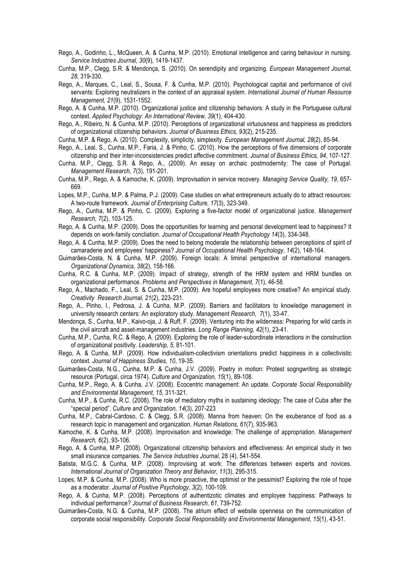Rego, A., Godinho, L., McQueen, A. & Cunha, M.P. (2010). Emotional intelligence and caring behaviour in nursing. *Service Industries Journal, 30*(9), 1419-1437.

Cunha, M.P., Clegg, S.R. & Mendonça, S. (2010). On serendipity and organizing. *European Management Journal, 28*, 319-330.

Rego, A., Marques, C., Leal, S., Sousa, F. & Cunha, M.P. (2010). Psychological capital and performance of civil servants: Exploring neutralizers in the context of an appraisal system. *International Journal of Human Resource Management, 21*(9), 1531-1552.

Rego, A. & Cunha, M.P. (2010). Organizational justice and citizenship behaviors: A study in the Portuguese cultural context. *Applied Psychology: An International Review, 39*(1), 404-430.

Rego, A., Ribeiro, N. & Cunha, M.P. (2010). Perceptions of organizational virtuousness and happiness as predictors of organizational citizenship behaviors. *Journal of Business Ethics, 93*(2), 215-235.

Cunha, M.P. & Rego, A. (2010). Complexity, simplicity, simplexity. *European Management Journal, 28*(2), 85-94.

Rego, A., Leal, S., Cunha, M.P., Faria, J. & Pinho, C. (2010). How the perceptions of five dimensions of corporate citizenship and their inter-inconsistencies predict affective commitment. *Journal of Business Ethics, 94*, 107-127.

- Cunha, M.P., Clegg, S.R. & Rego, A., (2009). An essay on archaic postmodernity: The case of Portugal. *Management Research, 7*(3), 191-201.
- Cunha, M.P., Rego, A. & Kamoche, K. (2009). Improvisation in service recovery. *Managing Service Quality, 19*, 657- 669.

Lopes, M.P., Cunha, M.P. & Palma, P.J. (2009). Case studies on what entrepreneurs actually do to attract resources: A two-route framework. *Journal of Enterprising Culture, 17*(3), 323-349.

- Rego, A., Cunha, M.P. & Pinho, C. (2009). Exploring a five-factor model of organizational justice. *Management Research, 7*(2), 103-125.
- Rego, A. & Cunha, M.P. (2009). Does the opportunities for learning and personal development lead to happiness? It depends on work-family concliation. *Journal of Occupational Health Psychology 14*(3), 334-348.
- Rego, A. & Cunha, M.P. (2009). Does the need to belong moderate the relationship between perceptioins of spirit of camaraderie and employees' happiness? *Journal of Occupational Health Psychology, 14*(2), 148-164.
- Guimarães-Costa, N. & Cunha, M.P. (2009). Foreign locals: A liminal perspective of international managers. *Organizational Dynamics, 38*(2), 158-166.
- Cunha, R.C. & Cunha, M.P. (2009). Impact of strategy, strength of the HRM system and HRM bundles on organizational performance. *Problems and Perspectives in Management, 7*(1), 46-58.
- Rego, A., Machado, F., Leal, S. & Cunha, M.P. (2009). Are hopeful employees more creative? An empirical study. *Creativity Research Journal, 21*(2), 223-231.
- Rego, A., Pinho, I., Pedrosa, J. & Cunha, M.P. (2009). Barriers and facilitators to knowledge management in university research centers: An exploratory study. *Management Research, 7*(1), 33-47.
- Mendonça, S., Cunha, M.P., Kaivo-oja, J. & Ruff, F. (2009). Venturing into the wilderness: Preparing for wild cards in the civil aircraft and asset-management industries. *Long Range Planning, 42*(1), 23-41.
- Cunha, M.P., Cunha, R.C. & Rego, A. (2009). Exploring the role of leader-subordinate interactions in the construction of organizational positivity. *Leadership, 5*, 81-101.
- Rego, A. & Cunha, M.P. (2009). How individualism-collectivism orientations predict happiness in a collectivistic context. *Journal of Happiness Studies, 10*, 19-35.

Guimarães-Costa, N.G., Cunha, M.P. & Cunha, J.V. (2009). Poetry in motion: Protest sogngwriting as strategic resource (Portugal, circa 1974). *Culture and Organization, 15*(1), 89-108.

- Cunha, M.P., Rego, A. & Cunha, J.V. (2008). Ecocentric management: An update. *Corporate Social Responsibility and Environmental Management, 15*, 311-321.
- Cunha, M.P., & Cunha, R.C. (2008). The role of mediatory myths in sustaining ideology: The case of Cuba after the "special period". *Culture and Organization, 14*(3), 207-223
- Cunha, M.P., Cabral-Cardoso, C. & Clegg, S.R. (2008). Manna from heaven: On the exuberance of food as a research topic in management and organization. *Human Relations, 61*(7), 935-963.

Kamoche, K. & Cunha, M.P. (2008). Improvisation and knowledge: The challenge of appropriation. *Management Research, 6*(2), 93-106.

- Rego, A. & Cunha, M.P. (2008). Organizational citizenship behaviors and effectiveness: An empirical study in two small insurance companies. *The Service Industries Journal*, 28 (4), 541-554.
- Batista, M.G.C. & Cunha, M.P. (2008). Improvising at work: The differences between experts and novices. *International Journal of Organization Theory and Behavior, 11*(3), 295-315.

Lopes, M.P. & Cunha, M.P. (2008). Who is more proactive, the optimist or the pessimist? Exploring the role of hope as a moderator. *Journal of Positive Psychology, 3*(2), 100-109.

- Rego, A. & Cunha, M.P. (2008). Perceptions of authentizotic climates and employee happiness: Pathways to individual performance? *Journal of Business Research, 61*, 739-752.
- Guimarães-Costa, N.G. & Cunha, M.P. (2008). The atrium effect of website openness on the communication of corporate social responsibility. *Corporate Social Responsibility and Environmental Management, 15*(1), 43-51.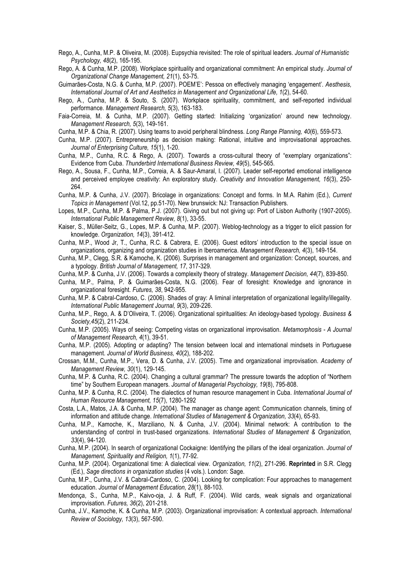- Rego, A., Cunha, M.P. & Oliveira, M. (2008). Eupsychia revisited: The role of spiritual leaders. *Journal of Humanistic Psychology, 48*(2), 165-195.
- Rego, A. & Cunha, M.P. (2008). Workplace spirituality and organizational commitment: An empirical study. *Journal of Organizational Change Management, 21*(1), 53-75.
- Guimarães-Costa, N.G. & Cunha, M.P. (2007). POEM'E': Pessoa on effectively managing 'engagement'. *Aesthesis, International Journal of Art and Aesthetics in Management and Organizational Life, 1*(2), 54-60.
- Rego, A., Cunha, M.P. & Souto, S. (2007). Workplace spirituality, commitment, and self-reported individual performance. *Management Research, 5*(3), 163-183.
- Faia-Correia, M. & Cunha, M.P. (2007). Getting started: Initializing 'organization' around new technology. *Management Research, 5*(3), 149-161.
- Cunha, M.P. & Chia, R. (2007). Using teams to avoid peripheral blindness. *Long Range Planning, 40*(6), 559-573.
- Cunha, M.P. (2007). Entrepreneurship as decision making: Rational, intuitive and improvisational approaches. *Journal of Enterprising Culture, 15*(1), 1-20.
- Cunha, M.P., Cunha, R.C. & Rego, A. (2007). Towards a cross-cultural theory of "exemplary organizations": Evidence from Cuba. *Thunderbird International Business Review, 49*(5), 545-565.
- Rego, A., Sousa, F., Cunha, M.P., Correia, A. & Saur-Amaral, I. (2007). Leader self-reported emotional intelligence and perceived employee creativity: An exploratory study. *Creativity and Innovation Management, 16*(3), 250- 264.
- Cunha, M.P. & Cunha, J.V. (2007). Bricolage in organizations: Concept and forms. In M.A. Rahim (Ed.), *Current Topics in Management* (Vol.12, pp.51-70). New brunswick: NJ: Transaction Publishers.
- Lopes, M.P., Cunha, M.P. & Palma, P.J. (2007). Giving out but not giving up: Port of Lisbon Authority (1907-2005). *International Public Management Review, 8*(1), 33-55.
- Kaiser, S., Müller-Seitz, G., Lopes, M.P. & Cunha, M.P. (2007). Weblog-technology as a trigger to elicit passion for knowledge. *Organization, 14*(3), 391-412.
- Cunha, M.P., Wood Jr, T., Cunha, R.C. & Cabrera, E. (2006). Guest editors' introduction to the special issue on organizations, organizing and organization studies in Iberoamerica. *Management Research, 4*(3), 149-154.
- Cunha, M.P., Clegg, S.R. & Kamoche, K. (2006). Surprises in management and organization: Concept, sources, and a typology. *British Journal of Management, 17*, 317-329.
- Cunha, M.P. & Cunha, J.V. (2006). Towards a complexity theory of strategy. *Management Decision, 44*(7), 839-850.
- Cunha, M.P., Palma, P. & Guimarães-Costa, N.G. (2006). Fear of foresight: Knowledge and ignorance in organizational foresight. *Futures, 38*, 942-955.
- Cunha, M.P. & Cabral-Cardoso, C. (2006). Shades of gray: A liminal interpretation of organizational legality/illegality. *International Public Management Journal, 9*(3), 209-226.
- Cunha, M.P., Rego, A. & D'Oliveira, T. (2006). Organizational spiritualities: An ideology-based typology. *Business & Society,45*(2), 211-234.
- Cunha, M.P. (2005). Ways of seeing: Competing vistas on organizational improvisation. *Metamorphosis - A Journal of Management Research, 4*(1), 39-51.
- Cunha, M.P. (2005). Adopting or adapting? The tension between local and international mindsets in Portuguese management. *Journal of World Business, 40*(2), 188-202.
- Crossan, M.M., Cunha, M.P., Vera, D. & Cunha, J.V. (2005). Time and organizational improvisation. *Academy of Management Review, 30*(1), 129-145.
- Cunha, M.P. & Cunha, R.C. (2004). Changing a cultural grammar? The pressure towards the adoption of "Northern time" by Southern European managers. *Journal of Managerial Psychology, 19*(8), 795-808.
- Cunha, M.P. & Cunha, R.C. (2004). The dialectics of human resource management in Cuba. *International Journal of Human Resource Management, 15*(7), 1280-1292
- Costa, L.A., Matos, J.A. & Cunha, M.P. (2004). The manager as change agent: Communication channels, timing of information and attitude change. *International Studies of Management & Organization, 33*(4), 65-93.
- Cunha, M.P., Kamoche, K., Marziliano, N. & Cunha, J.V. (2004). Minimal network: A contribution to the understanding of control in trust-based organizations. *International Studies of Management & Organization, 33*(4), 94-120.
- Cunha, M.P. (2004). In search of organizational Cockaigne: Identifying the pillars of the ideal organization. *Journal of Management, Spirituality and Religion, 1*(1), 77-92.
- Cunha, M.P. (2004). Organizational time: A dialectical view. *Organization, 11*(2), 271-296. **Reprinted** in S.R. Clegg (Ed.), *Sage directions in organization studies* (4 vols.). London: Sage.
- Cunha, M.P., Cunha, J.V. & Cabral-Cardoso, C. (2004). Looking for complication: Four approaches to management education. *Journal of Management Education, 28*(1), 88-103.
- Mendonça, S., Cunha, M.P., Kaivo-oja, J. & Ruff, F. (2004). Wild cards, weak signals and organizational improvisation. *Futures, 36*(2), 201-218.
- Cunha, J.V., Kamoche, K. & Cunha, M.P. (2003). Organizational improvisation: A contextual approach. *International Review of Sociology, 13*(3), 567-590.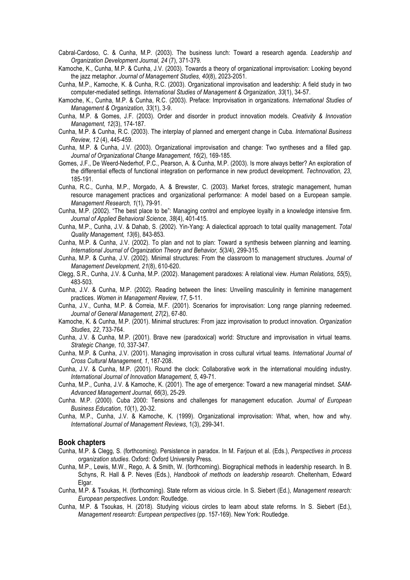Cabral-Cardoso, C. & Cunha, M.P. (2003). The business lunch: Toward a research agenda. *Leadership and Organization Development Journal, 24* (7), 371-379.

Kamoche, K., Cunha, M.P. & Cunha, J.V. (2003). Towards a theory of organizational improvisation: Looking beyond the jazz metaphor. *Journal of Management Studies, 40*(8), 2023-2051.

- Cunha, M.P., Kamoche, K. & Cunha, R.C. (2003). Organizational improvisation and leadership: A field study in two computer-mediated settings. *International Studies of Management & Organization, 33*(1), 34-57.
- Kamoche, K., Cunha, M.P. & Cunha, R.C. (2003). Preface: Improvisation in organizations. *International Studies of Management & Organization, 33*(1), 3-9.
- Cunha, M.P. & Gomes, J.F. (2003). Order and disorder in product innovation models. *Creativity & Innovation Management, 12*(3), 174-187.
- Cunha, M.P. & Cunha, R.C. (2003). The interplay of planned and emergent change in Cuba. *International Business Review, 12* (4), 445-459.
- Cunha, M.P. & Cunha, J.V. (2003). Organizational improvisation and change: Two syntheses and a filled gap. *Journal of Organizational Change Management, 16*(2), 169-185.
- Gomes, J.F., De Weerd-Nederhof, P.C., Pearson, A. & Cunha, M.P. (2003). Is more always better? An exploration of the differential effects of functional integration on performance in new product development. *Technovation, 23*, 185-191.
- Cunha, R.C., Cunha, M.P., Morgado, A. & Brewster, C. (2003). Market forces, strategic management, human resource management practices and organizational performance: A model based on a European sample. *Management Research, 1*(1), 79-91.
- Cunha, M.P. (2002). "The best place to be": Managing control and employee loyalty in a knowledge intensive firm. *Journal of Applied Behavioral Science, 38*(4), 401-415.
- Cunha, M.P., Cunha, J.V. & Dahab, S. (2002). Yin-Yang: A dialectical approach to total quality management. *Total Quality Management, 13*(6), 843-853.
- Cunha, M.P. & Cunha, J.V. (2002). To plan and not to plan: Toward a synthesis between planning and learning. *International Journal of Organization Theory and Behavior, 5*(3/4), 299-315.
- Cunha, M.P. & Cunha, J.V. (2002). Minimal structures: From the classroom to management structures. *Journal of Management Development, 21*(8), 610-620.
- Clegg, S.R., Cunha, J.V. & Cunha, M.P. (2002). Management paradoxes: A relational view. *Human Relations, 55*(5), 483-503.
- Cunha, J.V. & Cunha, M.P. (2002). Reading between the lines: Unveiling masculinity in feminine management practices. *Women in Management Review, 17*, 5-11.
- Cunha, J.V., Cunha, M.P. & Correia, M.F. (2001). Scenarios for improvisation: Long range planning redeemed. *Journal of General Management, 27*(2), 67-80.
- Kamoche, K. & Cunha, M.P. (2001). Minimal structures: From jazz improvisation to product innovation. *Organization Studies, 22*, 733-764.
- Cunha, J.V. & Cunha, M.P. (2001). Brave new (paradoxical) world: Structure and improvisation in virtual teams. *Strategic Change, 10*, 337-347.
- Cunha, M.P. & Cunha, J.V. (2001). Managing improvisation in cross cultural virtual teams. *International Journal of Cross Cultural Management, 1*, 187-208.
- Cunha, J.V. & Cunha, M.P. (2001). Round the clock: Collaborative work in the international moulding industry. *International Journal of Innovation Management, 5*, 49-71.
- Cunha, M.P., Cunha, J.V. & Kamoche, K. (2001). The age of emergence: Toward a new managerial mindset. *SAM-Advanced Management Journal, 66*(3), 25-29.
- Cunha. M.P. (2000). Cuba 2000: Tensions and challenges for management education. *Journal of European Business Education, 10*(1), 20-32.
- Cunha, M.P., Cunha, J.V. & Kamoche, K. (1999). Organizational improvisation: What, when, how and why. *International Journal of Management Reviews*, 1(3), 299-341.

#### **Book chapters**

- Cunha, M.P. & Clegg, S. (forthcoming). Persistence in paradox. In M. Farjoun et al. (Eds.), *Perspectives in process organization studies*. Oxford: Oxford University Press.
- Cunha, M.P., Lewis, M.W., Rego, A. & Smith, W. (forthcoming). Biographical methods in leadership research. In B. Schyns, R. Hall & P. Neves (Eds.), *Handbook of methods on leadership research*. Cheltenham, Edward Elgar.
- Cunha, M.P. & Tsoukas, H. (forthcoming). State reform as vicious circle. In S. Siebert (Ed.), *Management research: European perspectives*. London: Routledge.
- Cunha, M.P. & Tsoukas, H. (2018). Studying vicious circles to learn about state reforms. In S. Siebert (Ed.), *Management research: European perspectives* (pp. 157-169). New York: Routledge.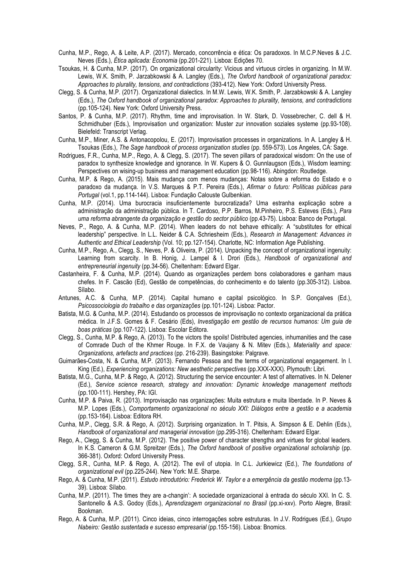- Cunha, M.P., Rego, A. & Leite, A.P. (2017). Mercado, concorrência e ética: Os paradoxos. In M.C.P.Neves & J.C. Neves (Eds.), *Ética aplicada: Economia* (pp.201-221). Lisboa: Edições 70.
- Tsoukas, H. & Cunha, M.P. (2017). On organizational circularity: Vicious and virtuous circles in organizing. In M.W. Lewis, W.K. Smith, P. Jarzabkowski & A. Langley (Eds.), *The Oxford handbook of organizational paradox: Approaches to plurality, tensions, and contradictions* (393-412)*.* New York: Oxford University Press.
- Clegg, S. & Cunha, M.P. (2017). Organizational dialectics. In M.W. Lewis, W.K. Smith, P. Jarzabkowski & A. Langley (Eds.), *The Oxford handbook of organizational paradox: Approaches to plurality, tensions, and contradictions* (pp.105-124)*.* New York: Oxford University Press.
- Santos, P. & Cunha, M.P. (2017). Rhythm, time and improvisation. In W. Stark, D. Vossebrecher, C. dell & H. Schmidhuber (Eds.), Improvisation und organization: Muster zur innovation soziales systeme (pp.93-108). Bielefeld: Transcript Verlag.
- Cunha, M.P., Miner, A.S. & Antonacopolou, E. (2017). Improvisation processes in organizations. In A. Langley & H. Tsoukas (Eds.), *The Sage handbook of process organization studies* (pp. 559-573). Los Angeles, CA: Sage.
- Rodrigues, F.R., Cunha, M.P., Rego, A. & Clegg, S. (2017). The seven pillars of paradoxical wisdom: On the use of paradox to synthesize knowledge and ignorance. In W. Kupers & O. Gunnlaugson (Eds.), Wisdom learning: Perspectives on wising-up business and management education (pp.98-116). Abingdon: Routledge.
- Cunha, M.P. & Rego, A. (2015). Mais mudança com menos mudanças: Notas sobre a reforma do Estado e o paradoxo da mudança. In V.S. Marques & P.T. Pereira (Eds.), *Afirmar o futuro: Políticas públicas para Portugal* (vol.1, pp.114-144). Lisboa: Fundação Calouste Gulbenkian.
- Cunha, M.P. (2014). Uma burocracia insuficientemente burocratizada? Uma estranha explicação sobre a administração da administração pública. In T. Cardoso, P.P. Barros, M.Pinheiro, P.S. Esteves (Eds.), *Para uma reforma abrangente da organização e gestão do sector público* (pp.43-75). Lisboa: Banco de Portugal.
- Neves, P., Rego, A. & Cunha, M.P. (2014). When leaders do not behave ethically: A "substitutes for ethical leadership" perspective. In L.L. Neider & C.A. Schriesheim (Eds.), *Research in Management: Advances in Authentic and Ethical Leadership* (Vol. 10; pp.127-154). Charlotte, NC: Information Age Publishing.
- Cunha, M.P., Rego, A., Clegg, S., Neves, P. & Oliveira, P. (2014). Unpacking the concept of organizational ingenuity: Learning from scarcity. In B. Honig, J. Lampel & I. Drori (Eds.), *Handbook of organizational and entrepreneurial ingenuity* (pp.34-56). Cheltenham: Edward Elgar.
- Castanheira, F. & Cunha, M.P. (2014). Quando as organizações perdem bons colaboradores e ganham maus chefes. In F. Cascão (Ed), Gestão de competências, do conhecimento e do talento (pp.305-312). Lisboa. Sílabo.
- Antunes, A.C. & Cunha, M.P. (2014). Capital humano e capital psicológico. In S.P. Gonçalves (Ed.), *Psicossociologia do trabalho e das organizações* (pp.101-124). Lisboa: Pactor.
- Batista, M.G. & Cunha, M.P. (2014). Estudando os processos de improvisação no contexto organizacional da prática médica. In J.F.S. Gomes & F. Cesário (Eds), *Investigação em gestão de recursos humanos: Um guia de boas práticas* (pp.107-122). Lisboa: Escolar Editora.
- Clegg, S., Cunha, M.P. & Rego, A. (2013). To the victors the spoils! Distributed agencies, inhumanities and the case of Comrade Duch of the Khmer Rouge. In F.X. de Vaujany & N. Mitev (Eds.), *Materiality and space: Organizations, artefacts and practices* (pp. 216-239). Basingstoke: Palgrave.
- Guimarães-Costa, N. & Cunha, M.P. (2013). Fernando Pessoa and the terms of organizational engagement. In I. King (Ed.), *Experiencing organizations: New aesthetic perspectives* (pp.XXX-XXX). Plymouth: Libri.
- Batista, M.G., Cunha, M.P. & Rego, A. (2012). Structuring the service encounter: A test of alternatives. In N. Delener (Ed.), *Service science research, strategy and innovation: Dynamic knowledge management methods* (pp.100-111). Hershey, PA: IGI.
- Cunha, M.P. & Paiva, R. (2013). Improvisação nas organizações: Muita estrutura e muita liberdade. In P. Neves & M.P. Lopes (Eds.), *Comportamento organizacional no século XXI: Diálogos entre a gestão e a academia* (pp.153-164). Lisboa: Editora RH.
- Cunha, M.P., Clegg, S.R. & Rego, A. (2012). Surprising organization. In T. Pitsis, A. Simpson & E. Dehlin (Eds.), *Handbook of organizational and managerial innovation* (pp.295-316). Cheltenham: Edward Elgar.
- Rego, A., Clegg, S. & Cunha, M.P. (2012). The positive power of character strengths and virtues for global leaders. In K.S. Cameron & G.M. Spreitzer (Eds.), *The Oxford handbook of positive organizational scholarship* (pp. 366-381). Oxford: Oxford University Press.
- Clegg, S.R., Cunha, M.P. & Rego, A. (2012). The evil of utopia. In C.L. Jurkiewicz (Ed.), *The foundations of organizational evil* (pp.225-244). New York: M.E. Sharpe.
- Rego, A. & Cunha, M.P. (2011). *Estudo introdutório: Frederick W. Taylor e a emergência da gestão moderna* (pp.13- 39). Lisboa: Sílabo.
- Cunha, M.P. (2011). The times they are a-changin': A sociedade organizacional à entrada do século XXI. In C. S. Santonello & A.S. Godoy (Eds.), *Aprendizagem organizacional no Brasil* (pp.xi-xxv). Porto Alegre, Brasil: Bookman.
- Rego, A. & Cunha, M.P. (2011). Cinco ideias, cinco interrogações sobre estruturas. In J.V. Rodrigues (Ed.), *Grupo Nabeiro: Gestão sustentada e sucesso empresarial* (pp.155-156). Lisboa: Bnomics.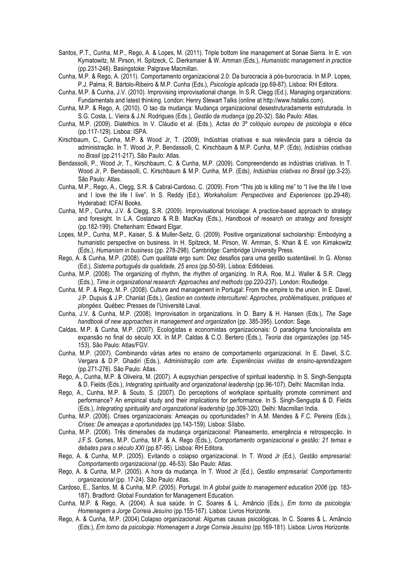- Santos, P.T., Cunha, M.P., Rego, A. & Lopes, M. (2011). Triple bottom line management at Sonae Sierra. In E. von Kymatowitz, M. Pirson, H. Spitzeck, C. Dierksmaier & W. Amman (Eds.), *Humanistic management in practice* (pp.231-246). Basingstoke: Palgrave Macmillan.
- Cunha, M.P. & Rego, A. (2011). Comportamento organizacional 2.0: Da burocracia à pós-burocracia. In M.P. Lopes, P.J. Palma, R. Bártolo-Ribeiro & M.P. Cunha (Eds.), *Psicologia aplicada* (pp.69-87). Lisboa: RH Editora.
- Cunha, M.P. & Cunha, J.V. (2010). Improvising improvisational change. In S.R. Clegg (Ed.), Managing organizations: Fundamentals and latest thinking. London: Henry Stewart Talks (online at http://www.hstalks.com).
- Cunha, M.P. & Rego, A. (2010). O tao da mudança: Mudança organizacional desestruturadamente estruturada. In S.G. Costa, L. Vieira & J.N. Rodrigues (Eds.), *Gestão da mudança* (pp.20-32). São Paulo: Atlas.
- Cunha, M.P. (2009). Dialethics. In V. Cláudio et al. (Eds.), *Actas do 3º colóquio europeu de psicologia e ética* (pp.117-129). Lisboa: ISPA.
- Kirschbaum, C., Cunha, M.P. & Wood Jr, T. (2009). Indústrias criativas e sua relevância para a ciência da administração. In T. Wood Jr, P. Bendassolli, C. Kirschbaum & M.P. Cunha, M.P. (Eds), *Indústrias criativas no Brasil* (pp.211-217). São Paulo: Atlas.
- Bendassolli, P., Wood Jr, T., Kirschbaum, C. & Cunha, M.P. (2009). Compreendendo as indústrias criativas. In T. Wood Jr, P. Bendassolli, C. Kirschbaum & M.P. Cunha, M.P. (Eds), *Indústrias criativas no Brasil* (pp.3-23). São Paulo: Atlas.
- Cunha, M.P., Rego, A., Clegg, S.R. & Cabral-Cardoso, C. (2009). From "This job is killing me" to "I live the life I love and I love the life I live". In S. Reddy (Ed.), *Workaholism: Perspectives and Experiences* (pp.29-48). Hyderabad: ICFAI Books.
- Cunha, M.P., Cunha, J.V. & Clegg, S.R. (2009). Improvisational bricolage: A practice-based approach to strategy and foresight. In L.A. Costanzo & R.B. MacKay (Eds.), *Handbook of research on strategy and foresight*  (pp.182-199). Cheltenham: Edward Elgar.
- Lopes, M.P., Cunha, M.P., Kaiser, S. & Muller-Seitz, G. (2009). Positive organizational sxcholarship: Embodying a humanistic perspective on business. In H. Spitzeck, M. Pirson, W. Amman, S. Khan & E. von Kimakowitz (Eds.), *Humanism in business* (pp. 278-298). Cambridge: Cambridge University Press.
- Rego, A. & Cunha, M.P. (2008). Cum qualitate ergo sum: Dez desafios para uma gestão sustentável. In G. Afonso (Ed.), *Sistema português da qualidade, 25 anos* (pp.50-59). Lisboa: Editideias.
- Cunha, M.P. (2008). The organizing of rhythm, the rhythm of organizing. In R.A. Roe, M.J. Waller & S.R. Clegg (Eds.), *Time in organizational research: Approaches and methods* (pp.220-237). London: Routledge.
- Cunha, M. P. & Rego, M. P. (2008). Culture and management in Portugal: From the empire to the union. In E. Davel, J.P. Dupuis & J.P. Chanlat (Eds.), *Gestion en contexte interculturel: Approches, problématiques, pratiques et plongées*. Québec: Presses de l'Université Laval.
- Cunha, J.V. & Cunha, M.P. (2008). Improvisation in organizations. In D. Barry & H. Hansen (Eds.), *The Sage handbook of new approaches in management and organization* (pp. 385-395). London: Sage.
- Caldas, M.P. & Cunha, M.P. (2007). Ecologistas e economistas organizacionais: O paradigma funcionalista em expansão no final do século XX. In M.P. Caldas & C.O. Bertero (Eds.), *Teoria das organizações* (pp.145- 153). São Paulo: Atlas/FGV.
- Cunha, M.P. (2007). Combinando várias artes no ensino de comportamento organizacional. In E. Davel, S.C. Vergara & D.P. Ghadiri (Eds.), *Administração com arte. Experiências vividas de ensino-aprendizagem* (pp.271-276). São Paulo: Atlas.
- Rego, A., Cunha, M.P. & Oliveira, M. (2007). A eupsychian perspective of spiritual leadership. In S. Singh-Sengupta & D. Fields (Eds.), *Integrating spirituality and organizational leadership* (pp.96-107). Delhi: Macmillan India.
- Rego, A., Cunha, M.P. & Souto, S. (2007). Do perceptions of workplace spirituality promote commiment and performance? An empirical study and their implications for performance. In S. Singh-Sengupta & D. Fields (Eds.), *Integrating spirituality and organizational leadership* (pp.309-320). Delhi: Macmillan India.
- Cunha, M.P. (2006). Crises organizacionais: Ameaças ou oportunidades? In A.M. Mendes & F.C. Pereira (Eds.), *Crises: De ameaças a oportunidades* (pp.143-159). Lisboa: Sílabo.
- Cunha, M.P. (2006). Três dimensões da mudança organizacional: Planeamento, emergência e retrospecção. In J.F.S. Gomes, M.P. Cunha, M.P. & A. Rego (Eds.), *Comportamento organizacional e gestão: 21 temas e debates para o século XXI* (pp.87-95). Lisboa: RH Editora.
- Rego, A. & Cunha, M.P. (2005). Evitando o colapso organizacional. In T. Wood Jr (Ed.), *Gestão empresarial: Comportamento organizacional* (pp. 46-53). São Paulo: Atlas.
- Rego, A. & Cunha, M.P. (2005). A hora da mudança. In T. Wood Jr (Ed.), *Gestão empresarial: Comportamento organizacional* (pp. 17-24). São Paulo: Atlas.
- Cardoso, E., Santos, M. & Cunha, M.P. (2005). Portugal. In *A global guide to management education 2006* (pp. 183- 187). Bradford: Global Foundation for Management Education.
- Cunha, M.P. & Rego, A. (2004). À sua saúde. In C. Soares & L. Amâncio (Eds.), *Em torno da psicologia: Homenagem a Jorge Correia Jesuíno* (pp.155-167). Lisboa: Livros Horizonte.
- Rego, A. & Cunha, M.P. (2004).Colapso organizacional: Algumas causas psicológicas. In C. Soares & L. Amâncio (Eds.), *Em torno da psicologia: Homenagem a Jorge Correia Jesuíno* (pp.169-181). Lisboa: Livros Horizonte.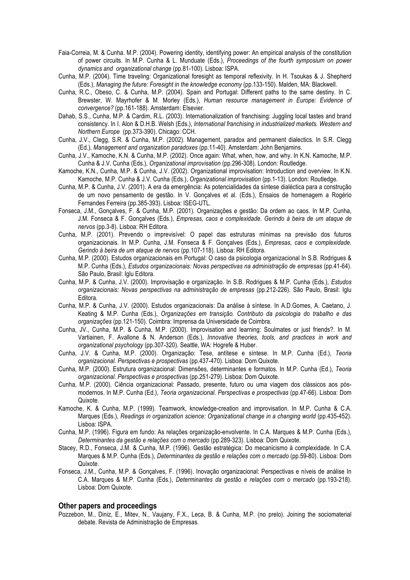- Faia-Correia, M. & Cunha. M.P. (2004). Powering identity, identifying power: An empirical analysis of the constitution of power circuits. In M.P. Cunha & L. Munduate (Eds.), *Proceedings of the fourth symposium on power dynamics and organizational change* (pp.81-100). Lisboa: ISPA.
- Cunha, M.P. (2004). Time traveling: Organizational foresight as temporal reflexivity. In H. Tsoukas & J. Shepherd (Eds.), *Managing the future: Foresight in the knowledge economy* (pp.133-150). Malden, MA: Blackwell.
- Cunha, R.C., Obeso, C. & Cunha, M.P. (2004). Spain and Portugal: Different paths to the same destiny. In C. Brewster, W. Mayrhofer & M. Morley (Eds.), *Human resource management in Europe: Evidence of convergence?* (pp.161-188). Amsterdam: Elsevier.
- Dahab, S.S., Cunha, M.P. & Cardim, R.L. (2003). Internationalization of franchising: Juggling local tastes and brand consistency. In I. Alon & D.H.B. Welsh (Eds.), *International franchising in industrialized markets. Western and Northern Europe* (pp.373-390). Chicago: CCH.
- Cunha, J.V., Clegg, S.R. & Cunha, M.P. (2002). Management, paradox and permanent dialectics. In S.R. Clegg (Ed.), *Management and organization paradoxes* (pp.11-40). Amsterdam: John Benjamins.
- Cunha, J.V., Kamoche, K.N. & Cunha, M.P. (2002). Once again: What, when, how, and why. In K.N. Kamoche, M.P. Cunha & J.V. Cunha (Eds.), *Organizational improvisation* (pp.296-308). London: Routledge.
- Kamoche, K.N., Cunha, M.P. & Cunha, J.V. (2002). Organizational improvisation: Introduction and overview. In K.N. Kamoche, M.P. Cunha & J.V. Cunha (Eds.), *Organizational improvisation* (pp.1-13). London: Routledge.
- Cunha, M.P. & Cunha, J.V. (2001). A era da emergência: As potencialidades da síntese dialéctica para a construção de um novo pensamento de gestão. In V. Gonçalves et al. (Eds.), Ensaios de homenagem a Rogério Fernandes Ferreira (pp.385-393). Lisboa: ISEG-UTL.
- Fonseca, J.M., Gonçalves, F. & Cunha, M.P. (2001). Organizações e gestão: Da ordem ao caos. In M.P. Cunha, J.M. Fonseca & F. Gonçalves (Eds.), *Empresas, caos e complexidade. Gerindo à beira de um ataque de nervos* (pp.3-8). Lisboa: RH Editora.
- Cunha, M.P. (2001). Prevendo o imprevisível: O papel das estruturas mínimas na previsão dos futuros organizacionais. In M.P. Cunha, J.M. Fonseca & F. Gonçalves (Eds.), *Empresas, caos e complexidade. Gerindo à beira de um ataque de nervos* (pp.107-118). Lisboa: RH Editora.
- Cunha, M.P. (2000). Estudos organizacionais em Portugal: O caso da psicologia organizacional In S.B. Rodrigues & M.P. Cunha (Eds.), *Estudos organizacionais: Novas perspectivas na administração de empresas* (pp.41-64). São Paulo, Brasil: Iglu Editora.
- Cunha, M.P. & Cunha, J.V. (2000). Improvisação e organização. In S.B. Rodrigues & M.P. Cunha (Eds.), *Estudos organizacionais: Novas perspectivas na administração de empresas* (pp.212-226). São Paulo, Brasil: Iglu Editora.
- Cunha, M.P. & Cunha, J.V. (2000). Estudos organizacionais: Da análise à síntese. In A.D.Gomes, A. Caetano, J. Keating & M.P. Cunha (Eds.), *Organizações em transição. Contributo da psicologia do trabalho e das organizações* (pp.121-150). Coimbra: Imprensa da Universidade de Coimbra.
- Cunha, JV., Cunha, M.P. & Cunha, M.P. (2000). Improvisation and learning: Soulmates or just friends?. In M. Vartiainen, F. Avallone & N. Anderson (Eds.), *Innovative theories, tools, and practices in work and organizational psychology* (pp.307-320). Seattle, WA: Hogrefe & Huber.
- Cunha, J.V. & Cunha, M.P. (2000). Organização: Tese, antítese e síntese. In M.P. Cunha (Ed.), *Teoria organizacional. Perspectivas e prospectivas* (pp.437-470). Lisboa: Dom Quixote.
- Cunha, M.P. (2000). Estrutura organizacional: Dimensões, determinantes e formatos. In M.P. Cunha (Ed.), *Teoria organizacional. Perspectivas e prospectivas* (pp.251-279). Lisboa: Dom Quixote.
- Cunha, M.P. (2000). Ciência organizacional: Passado, presente, futuro ou uma viagem dos clássicos aos pósmodernos. In M.P. Cunha (Ed.), *Teoria organizacional. Perspectivas e prospectivas* (pp.47-66). Lisboa: Dom Quixote.
- Kamoche, K. & Cunha, M.P. (1999). Teamwork, knowledge-creation and improvisation. In M.P. Cunha & C.A. Marques (Eds.), *Readings in organization science: Organizational change in a changing world* (pp.435-452). Lisboa: ISPA.
- Cunha, M.P. (1996). Figura em fundo: As relações organização-envolvente. In C.A. Marques & M.P. Cunha (Eds.), *Determinantes da gestão e relações com o mercado* (pp.289-323). Lisboa: Dom Quixote.
- Stacey, R.D., Fonseca, J.M. & Cunha, M.P. (1996). Gestão estratégica: Do mecanicismo à complexidade. In C.A. Marques & M.P. Cunha (Eds.), *Determinantes da gestão e relações com o mercado* (pp.59-80). Lisboa: Dom Quixote.
- Fonseca, J.M., Cunha, M.P. & Gonçalves, F. (1996). Inovação organizacional: Perspectivas e níveis de análise In C.A. Marques & M.P. Cunha (Eds.), *Determinantes da gestão e relações com o mercado* (pp.193-218). Lisboa: Dom Quixote.

#### **Other papers and proceedings**

Pozzebon, M., Diniz, E., Mitev, N., Vaujany, F.X., Leca, B. & Cunha, M.P. (no prelo). Joining the sociomaterial debate. Revista de Administração de Empresas.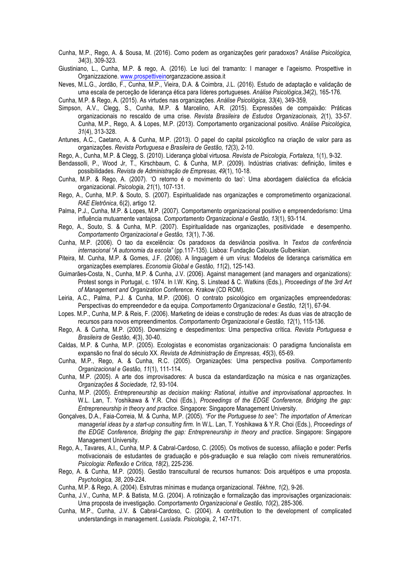Cunha, M.P., Rego, A. & Sousa, M. (2016). Como podem as organizações gerir paradoxos? *Análise Psicológica, 34*(3), 309-323.

Giustiniano, L., Cunha, M.P. & rego, A. (2016). Le luci del tramanto: I manager e l'ageismo. Prospettive in Organizzazione. www.prospettiveinorganzzacione.assioa.it

Neves, M.L.G., Jordão, F., Cunha, M.P., Vieira, D.A. & Coimbra, J.L. (2016). Estudo de adaptação e validação de uma escala de perceção de liderança ética para líderes portugueses. *Análise Psicológica,34*(2), 165-176*.*

Cunha, M.P. & Rego, A. (2015). As virtudes nas organizações. *Análise Psicológica, 33*(4), 349-359*,*

- Simpson, A.V., Clegg, S., Cunha, M.P. & Marcelino, A.R. (2015). Expressões de compaixão: Práticas organizacionais no rescaldo de uma crise. *Revista Brasileira de Estudos Organizacionais, 2*(1), 33-57. Cunha, M.P., Rego, A. & Lopes, M.P. (2013). Comportamento organizacional positivo. *Análise Psicológica, 31*(4), 313-328.
- Antunes, A.C., Caetano, A. & Cunha, M.P. (2013). O papel do capital psicológfico na criação de valor para as organizações. *Revista Portuguesa e Brasileira de Gestão, 12*(3), 2-10.
- Rego, A., Cunha, M.P. & Clegg, S. (2010). Liderança global virtuosa. *Revista de Psicologia, Fortaleza*, 1(1), 9-32.

Bendassolli, P., Wood Jr, T., Kirschbaum, C. & Cunha, M.P. (2009). Indústrias criativas: definição, limites e possibilidades. *Revista de Administração de Empresas, 49*(1), 10-18.

- Cunha, M.P. & Rego, A. (2007). 'O retorno é o movimento do tao': Uma abordagem dialéctica da eficácia organizacional. *Psicologia, 21*(1), 107-131.
- Rego, A., Cunha, M.P. & Souto, S. (2007). Espiritualidade nas organizações e comprometimento organizacional. *RAE Eletrônica*, 6(2), artigo 12.
- Palma, P.J., Cunha, M.P. & Lopes, M.P. (2007). Comportamento organizacional positivo e empreendedorismo: Uma influência mutuamente vantajosa. *Comportamento Organizacional e Gestão, 13*(1), 93-114.
- Rego, A., Souto, S. & Cunha, M.P. (2007). Espiritualidade nas organizações, positividade e desempenho. *Comportamento Organizacional e Gestão, 13*(1), 7-36.
- Cunha, M.P. (2006). O tao da excelência: Os paradoxos da desviância positiva. In *Textos da conferência internacional "A autonomia da escola"* (pp.117-135). Lisboa: Fundação Calouste Gulbenkian.
- Piteira, M. Cunha, M.P. & Gomes, J.F. (2006). A linguagem é um vírus: Modelos de liderança carismática em organizações exemplares. *Economia Global e Gestão, 11*(2), 125-143.
- Guimarães-Costa, N., Cunha, M.P. & Cunha, J.V. (2006). Against management (and managers and organizations): Protest songs in Portugal, c. 1974. In I.W. King, S. Linstead & C. Watkins (Eds.), *Proceedings of the 3rd Art of Management and Organization Conference*. Krakow (CD ROM).
- Leiria, A.C., Palma, P.J. & Cunha, M.P. (2006). O contrato psicológico em organizações empreendedoras: Perspectivas do empreendedor e da equipa. *Comportamento Organizacional e Gestão, 12*(1), 67-94.
- Lopes. M.P., Cunha, M.P. & Reis, F. (2006). Marketing de ideias e construção de redes: As duas vias de atracção de recursos para novos empreendimentos. *Comportamento Organizacional e Gestão, 12*(1), 115-136.
- Rego, A. & Cunha, M.P. (2005). Downsizing e despedimentos: Uma perspectiva crítica. *Revista Portuguesa e Brasileira de Gestão, 4*(3), 30-40.
- Caldas, M.P. & Cunha, M.P. (2005). Ecologistas e economistas organizacionais: O paradigma funcionalista em expansão no final do século XX. *Revista de Administração de Empresas, 45*(3), 65-69.
- Cunha, M.P., Rego, A. & Cunha, R.C. (2005). Organizações: Uma perspectiva positiva. *Comportamento Organizacional e Gestão, 11*(1), 111-114.
- Cunha, M.P. (2005). A arte dos improvisadores: A busca da estandardização na música e nas organizações. *Organizações & Sociedade, 12*, 93-104.
- Cunha, M.P. (2005). *Entrepreneurship as decision making: Rational, intuitive and improvisational approaches*. In W.L. Lan, T. Yoshikawa & Y.R. Choi (Eds.), *Proceedings of the EDGE Conference, Bridging the gap: Entrepreneurship in theory and practice*. Singapore: Singapore Management University.
- Gonçalves, D.A., Faia-Correia, M. & Cunha, M.P. (2005). *"For the Portuguese to see": The importation of American managerial ideas by a start-up consulting firm*. In W.L. Lan, T. Yoshikawa & Y.R. Choi (Eds.), *Proceedings of the EDGE Conference, Bridging the gap: Entrepreneurship in theory and practice*. Singapore: Singapore Management University.
- Rego, A., Tavares, A.I., Cunha, M.P. & Cabral-Cardoso, C. (2005). Os motivos de sucesso, afiliação e poder: Perfis motivacionais de estudantes de graduação e pós-graduação e sua relação com níveis remuneratórios. *Psicologia: Reflexão e Crítica, 18*(2), 225-236.
- Rego, A. & Cunha, M.P. (2005). Gestão transcultural de recursos humanos: Dois arquétipos e uma proposta. *Psychologica, 38*, 209-224.
- Cunha, M.P. & Rego, A. (2004). Estrutras mínimas e mudança organizacional. *Tékhne, 1*(2), 9-26.
- Cunha, J.V., Cunha, M.P. & Batista, M.G. (2004). A rotinização e formalização das improvisações organizacionais: Uma proposta de investigação. *Comportamento Organizacional e Gestão, 10*(2), 285-306.
- Cunha, M.P., Cunha, J.V. & Cabral-Cardoso, C. (2004). A contribution to the development of complicated understandings in management. *Lusíada. Psicologia, 2*, 147-171.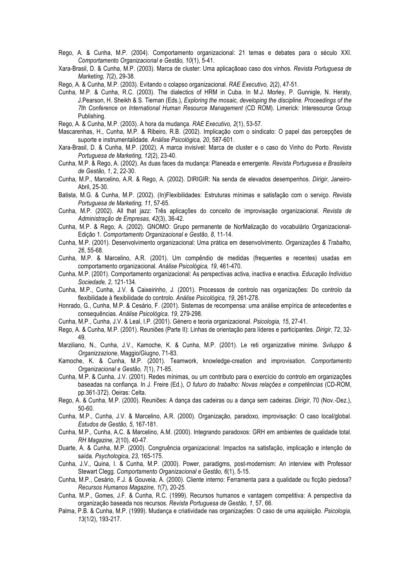- Rego, A. & Cunha, M.P. (2004). Comportamento organizacional: 21 temas e debates para o século XXI. *Comportamento Organizacional e Gestão, 10*(1), 5-41.
- Xara-Brasil, D. & Cunha, M.P. (2003). Marca de cluster: Uma aplicaçãoao caso dos vinhos. *Revista Portuguesa de Marketing, 7*(2), 29-38.

Rego, A. & Cunha, M.P. (2003). Evitando o colapso organizacional. *RAE Executivo, 2*(2), 47-51.

Cunha, M.P. & Cunha, R.C. (2003). The dialectics of HRM in Cuba. In M.J. Morley, P. Gunnigle, N. Heraty, J.Pearson, H. Sheikh & S. Tiernan (Eds.), *Exploring the mosaic, developing the discipline. Proceedings of the 7th Conference on International Human Resource Management* (CD ROM). Limerick: Interesource Group Publishing.

Rego, A. & Cunha, M.P. (2003). A hora da mudança. *RAE Executivo, 2*(1), 53-57.

- Mascarenhas, H., Cunha, M.P. & Ribeiro, R.B. (2002). Implicação com o sindicato: O papel das percepções de suporte e instrumentalidade. *Análise Psicológica, 20*, 587-601.
- Xara-Brasil, D. & Cunha, M.P. (2002). A marca invisível: Marca de cluster e o caso do Vinho do Porto. *Revista Portuguesa de Marketing, 12*(2), 23-40.
- Cunha, M.P. & Rego, A. (2002). As duas faces da mudança: Planeada e emergente. *Revista Portuguesa e Brasileira de Gestão, 1*, 2, 22-30.
- Cunha, M.P., Marcelino, A.R. & Rego, A. (2002). DIRIGIR: Na senda de elevados desempenhos. *Dirigir*, Janeiro-Abril, 25-30.
- Batista, M.G. & Cunha, M.P. (2002). (In)Flexibilidades: Estruturas mínimas e satisfação com o serviço. *Revista Portuguesa de Marketing, 11*, 57-65.
- Cunha, M.P. (2002). All that jazz: Três aplicações do conceito de improvisação organizacional. *Revista de Administração de Empresas, 42*(3), 36-42.
- Cunha, M.P. & Rego, A. (2002). GNOMO: Grupo permanente de NorMalização do vocabulário Organizacional-Edição 1. *Comportamento Organizacional e Gestão, 8*, 11-14.
- Cunha, M.P. (2001). Desenvolvimento organizacional: Uma prática em desenvolvimento. *Organizações & Trabalho, 26*, 55-68.
- Cunha, M.P. & Marcelino, A.R. (2001). Um compêndio de medidas (frequentes e recentes) usadas em comportamento organizacional. *Análise Psicológica, 19*, 461-470.
- Cunha, M.P. (2001). Comportamento organizacional: As perspectivas activa, inactiva e enactiva. *Educação Indíviduo Sociedade, 2*, 121-134.
- Cunha, M.P., Cunha, J.V. & Caixeirinho, J. (2001). Processos de controlo nas organizações: Do controlo da flexibilidade à flexibilidade do controlo. *Análise Psicológica, 19*, 261-278.
- Honrado, G., Cunha, M.P. & Cesário, F. (2001). Sistemas de recompensa: uma análise empírica de antecedentes e consequências. *Análise Psicológica, 19*, 279-298.
- Cunha, M.P., Cunha, J.V. & Leal, I.P. (2001). Género e teoria organizacional. *Psicologia, 15*, 27-41.
- Rego, A. & Cunha, M.P. (2001). Reuniões (Parte II): Linhas de orientação para líderes e participantes. *Dirigir*, 72, 32- 49.
- Marziliano, N., Cunha, J.V., Kamoche, K. & Cunha, M.P. (2001). Le reti organizzative minime. *Sviluppo & Organizzazione*, Maggio/Giugno, 71-83.
- Kamoche, K. & Cunha, M.P. (2001). Teamwork, knowledge-creation and improvisation. *Comportamento Organizacional e Gestão, 7*(1), 71-85.
- Cunha, M.P. & Cunha, J.V. (2001). Redes mínimas, ou um contributo para o exercício do controlo em organizações baseadas na confiança. In J. Freire (Ed.), *O futuro do trabalho: Novas relações e competências* (CD-ROM, pp.361-372). Oeiras: Celta.
- Rego, A. & Cunha, M.P. (2000). Reuniões: A dança das cadeiras ou a dança sem cadeiras. *Dirigir*, 70 (Nov.-Dez.), 50-60.
- Cunha, M.P., Cunha, J.V. & Marcelino, A.R. (2000). Organização, paradoxo, improvisação: O caso local/global. *Estudos de Gestão, 5*, 167-181.
- Cunha, M.P., Cunha, A.C. & Marcelino, A.M. (2000). Integrando paradoxos: GRH em ambientes de qualidade total. *RH Magazine, 2*(10), 40-47.
- Duarte, A. & Cunha, M.P. (2000). Congruência organizacional: Impactos na satisfação, implicação e intenção de saída. *Psychologica, 23*, 165-175.
- Cunha, J.V., Quina, I. & Cunha, M.P. (2000). Power, paradigms, post-modernism: An interview with Professor Stewart Clegg. *Comportamento Organizacional e Gestão, 6*(1), 5-15.
- Cunha, M.P., Cesário, F.J. & Gouveia, A. (2000). Cliente interno: Ferramenta para a qualidade ou ficção piedosa? *Recursos Humanos Magazine, 1*(7), 20-25.
- Cunha, M.P., Gomes, J.F. & Cunha, R.C. (1999). Recursos humanos e vantagem competitiva: A perspectiva da organização baseada nos recursos. *Revista Portuguesa de Gestão, 1*, 57, 66.
- Palma, P.B. & Cunha, M.P. (1999). Mudança e criatividade nas organizações: O caso de uma aquisição. *Psicologia, 13*(1/2), 193-217.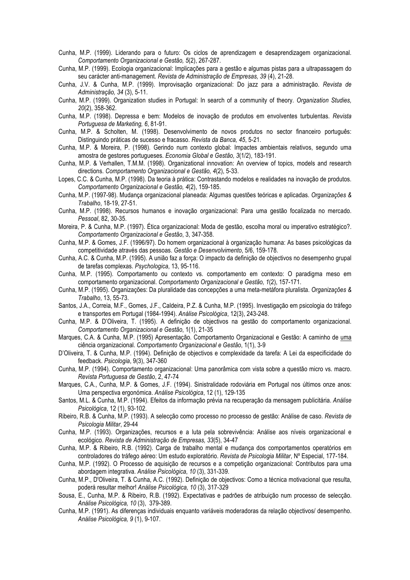- Cunha, M.P. (1999). Liderando para o futuro: Os ciclos de aprendizagem e desaprendizagem organizacional. *Comportamento Organizacional e Gestão, 5*(2), 267-287.
- Cunha, M.P. (1999). Ecologia organizacional: Implicações para a gestão e algumas pistas para a ultrapassagem do seu carácter anti-management. *Revista de Administração de Empresas, 39* (4), 21-28.
- Cunha, J.V. & Cunha, M.P. (1999). Improvisação organizacional: Do jazz para a administração. *Revista de Administração, 34* (3), 5-11.
- Cunha, M.P. (1999). Organization studies in Portugal: In search of a community of theory. *Organization Studies, 20*(2), 358-362.
- Cunha, M.P. (1998). Depressa e bem: Modelos de inovação de produtos em envolventes turbulentas. *Revista Portuguesa de Marketing, 6*, 81-91.
- Cunha, M.P. & Scholten, M. (1998). Desenvolvimento de novos produtos no sector financeiro português: Distinguindo práticas de sucesso e fracasso. *Revista da Banca, 45*, 5-21.
- Cunha, M.P. & Moreira, P. (1998). Gerindo num contexto global: Impactes ambientais relativos, segundo uma amostra de gestores portugueses. *Economia Global e Gestão, 3*(1/2), 183-191.
- Cunha, M.P. & Verhallen, T.M.M. (1998). Organizational innovation: An overview of topics, models and research directions. *Comportamento Organizacional e Gestão, 4*(2), 5-33.
- Lopes, C.C. & Cunha, M.P. (1998). Da teoria à prática: Contrastando modelos e realidades na inovação de produtos. *Comportamento Organizacional e Gestão, 4*(2), 159-185.
- Cunha, M.P. (1997-98). Mudança organizacional planeada: Algumas questões teóricas e aplicadas. *Organizações & Trabalho*, 18-19, 27-51.
- Cunha, M.P. (1998). Recursos humanos e inovação organizacional: Para uma gestão focalizada no mercado. *Pessoal*, 82, 30-35.
- Moreira, P. & Cunha, M.P. (1997). Ética organizacional: Moda de gestão, escolha moral ou imperativo estratégico?. *Comportamento Organizacional e Gestão*, 3, 347-358.
- Cunha, M.P. & Gomes, J.F. (1996/97). Do homem organizacional à organização humana: As bases psicológicas da competitividade através das pessoas. *Gestão e Desenvolvimento*, 5/6, 159-178.
- Cunha, A.C. & Cunha, M.P. (1995). A união faz a força: O impacto da definição de objectivos no desempenho grupal de tarefas complexas. *Psychologica*, 13, 95-116.
- Cunha, M.P. (1995). Comportamento ou contexto vs. comportamento em contexto: O paradigma meso em comportamento organizacional. *Comportamento Organizacional e Gestão, 1*(2), 157-171.
- Cunha, M.P. (1995). Organizações: Da pluralidade das concepções a uma meta-metáfora pluralista. *Organizações & Trabalho*, 13, 55-73.
- Santos, J.A., Correia, M.F., Gomes, J.F., Caldeira, P.Z. & Cunha, M.P. (1995). Investigação em psicologia do tráfego e transportes em Portugal (1984-1994). *Análise Psicológica*, 12(3), 243-248.
- Cunha, M.P. & D'Oliveira, T. (1995). A definição de objectivos na gestão do comportamento organizacional. *Comportamento Organizacional e Gestão*, 1(1), 21-35
- Marques, C.A. & Cunha, M.P. (1995) Apresentação. Comportamento Organizacional e Gestão: A caminho de uma ciência organizacional. *Comportamento Organizacional e Gestão*, 1(1), 3-9
- D'Oliveira, T. & Cunha, M.P. (1994). Definição de objectivos e complexidade da tarefa: A Lei da especificidade do feedback. *Psicologia*, 9(3), 347-360
- Cunha, M.P. (1994). Comportamento organizacional: Uma panorâmica com vista sobre a questão micro vs. macro. *Revista Portuguesa de Gestão*, 2, 47-74
- Marques, C.A., Cunha, M.P. & Gomes, J.F. (1994). Sinistralidade rodoviária em Portugal nos últimos onze anos: Uma perspectiva ergonómica. *Análise Psicológica*, 12 (1), 129-135
- Santos, M.L. & Cunha, M.P. (1994). Efeitos da informação prévia na recuperação da mensagem publicitária. *Análise Psicológica*, 12 (1), 93-102.
- Ribeiro, R.B. & Cunha, M.P. (1993). A selecção como processo no processo de gestão: Análise de caso. *Revista de Psicologia Militar*, 29-44
- Cunha, M.P. (1993). Organizações, recursos e a luta pela sobrevivência: Análise aos níveis organizacional e ecológico. *Revista de Administração de Empresas, 33*(5), 34-47
- Cunha, M.P. & Ribeiro, R.B. (1992). Carga de trabalho mental e mudança dos comportamentos operatórios em controladores do tráfego aéreo: Um estudo exploratório. *Revista de Psicologia Militar*, Nº Especial, 177-184.
- Cunha, M.P. (1992). O Processo de aquisição de recursos e a competição organizacional: Contributos para uma abordagem integrativa. *Análise Psicológica*, *10* (3), 331-339.
- Cunha, M.P., D'Oliveira, T. & Cunha, A.C. (1992). Definição de objectivos: Como a técnica motivacional que resulta, poderá resultar melhor! *Análise Psicológica, 10* (3), 317-329
- Sousa, E., Cunha, M.P. & Ribeiro, R.B. (1992). Expectativas e padrões de atribuição num processo de selecção. *Análise Psicológica, 10* (3), 379-389.
- Cunha, M.P. (1991). As diferenças individuais enquanto variáveis moderadoras da relação objectivos/ desempenho. *Análise Psicológica, 9* (1), 9-107.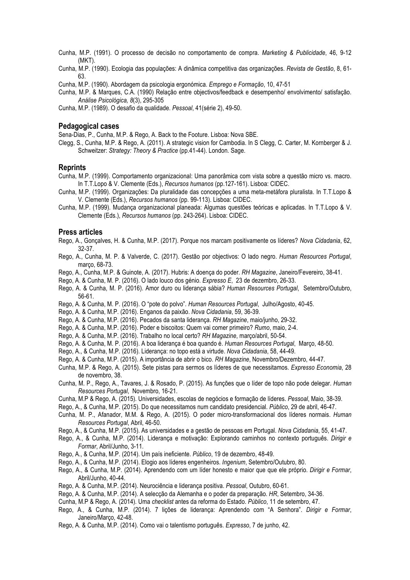- Cunha, M.P. (1991). O processo de decisão no comportamento de compra. *Marketing & Publicidade*, 46, 9-12 (MKT).
- Cunha, M.P. (1990). Ecologia das populações: A dinâmica competitiva das organizações. *Revista de Gestão*, 8, 61- 63.
- Cunha, M.P. (1990). Abordagem da psicologia ergonómica. *Emprego e Formação*, 10, 47-51
- Cunha, M.P. & Marques, C.A. (1990) Relação entre objectivos/feedback e desempenho/ envolvimento/ satisfação. *Análise Psicológica, 8*(3), 295-305
- Cunha, M.P. (1989). O desafio da qualidade. *Pessoal*, 41(série 2), 49-50.

### **Pedagogical cases**

Sena-Dias, P., Cunha, M.P. & Rego, A. Back to the Footure. Lisboa: Nova SBE.

Clegg, S., Cunha, M.P. & Rego, A. (2011). A strategic vision for Cambodia. In S Clegg, C. Carter, M. Kornberger & J. Schweitzer: *Strategy: Theory & Practice* (pp.41-44). London. Sage.

#### **Reprints**

- Cunha, M.P. (1999). Comportamento organizacional: Uma panorâmica com vista sobre a questão micro vs. macro. In T.T.Lopo & V. Clemente (Eds.), *Recursos humanos* (pp.127-161). Lisboa: CIDEC.
- Cunha, M.P. (1999). Organizações: Da pluralidade das concepções a uma meta-metáfora pluralista. In T.T.Lopo & V. Clemente (Eds.), *Recursos humanos* (pp. 99-113). Lisboa: CIDEC.
- Cunha, M.P. (1999). Mudança organizacional planeada: Algumas questões teóricas e aplicadas. In T.T.Lopo & V. Clemente (Eds.), *Recursos humanos* (pp. 243-264). Lisboa: CIDEC.

#### **Press articles**

- Rego, A., Gonçalves, H. & Cunha, M.P. (2017). Porque nos marcam positivamente os líderes? *Nova Cidadania*, 62, 32-37.
- Rego, A., Cunha, M. P. & Valverde, C. (2017). Gestão por objectivos: O lado negro. *Human Resources Portugal*, março, 68-73.
- Rego, A., Cunha, M.P. & Guinote, A. (2017). Hubris: A doença do poder. *RH Magazine*, Janeiro/Fevereiro, 38-41.

Rego, A. & Cunha, M. P. (2016). O lado louco dos génio. *Expresso E*, 23 de dezembro, 26-33.

- Rego, A. & Cunha, M. P. (2016). Amor duro ou liderança sábia? *Human Resources Portugal*, Setembro/Outubro, 56-61.
- Rego, A. & Cunha, M. P. (2016). O "pote do polvo". *Human Resources Portugal*, Julho/Agosto, 40-45.
- Rego, A. & Cunha, M.P. (2016). Enganos da paixão. *Nova Cidadania*, 59, 36-39.
- Rego, A. & Cunha, M.P. (2016). Pecados da santa liderança. *RH Magazine*, maio/junho, 29-32.
- Rego, A. & Cunha, M.P. (2016). Poder e biscoitos: Quem vai comer primeiro? *Rumo*, maio, 2-4.
- Rego, A. & Cunha, M.P. (2016). Trabalho no local certo? *RH Magazine*, março/abril, 50-54.
- Rego, A. & Cunha, M. P. (2016). A boa liderança é boa quando é. *Human Resources Portugal*, Março, 48-50.
- Rego, A., & Cunha, M.P. (2016). Liderança: no topo está a virtude. *Nova Cidadania*, 58, 44-49.
- Rego, A. & Cunha, M.P. (2015). A importância de abrir o bico. *RH Magazine*, Novembro/Dezembro, 44-47.
- Cunha, M.P. & Rego, A. (2015). Sete pistas para sermos os líderes de que necessitamos. *Expresso Economia*, 28 de novembro, 38.
- Cunha, M. P., Rego, A., Tavares, J. & Rosado, P. (2015). As funções que o líder de topo não pode delegar. *Human Resources Portugal*, Novembro, 16-21.
- Cunha, M.P & Rego, A. (2015). Universidades, escolas de negócios e formação de líderes. *Pessoal*, Maio, 38-39.
- Rego, A., & Cunha, M.P. (2015). Do que necessitamos num candidato presidencial. *Público*, 29 de abril, 46-47.
- Cunha, M. P., Afanador, M.M. & Rego, A. (2015). O poder micro-transformacional dos líderes normais. *Human Resources Portugal*, Abril, 46-50.
- Rego, A., & Cunha, M.P. (2015). As universidades e a gestão de pessoas em Portugal. *Nova Cidadania*, 55, 41-47.
- Rego, A., & Cunha, M.P. (2014). Liderança e motivação: Explorando caminhos no contexto português. *Dirigir e Formar*, Abril/Junho, 3-11.
- Rego, A., & Cunha, M.P. (2014). Um país ineficiente. *Público*, 19 de dezembro, 48-49.
- Rego, A., & Cunha, M.P. (2014). Elogio aos líderes engenheiros. *Ingenium*, Setembro/Outubro, 80.
- Rego, A., & Cunha, M.P. (2014). Aprendendo com um líder honesto e maior que que ele próprio. *Dirigir e Formar*, Abril/Junho, 40-44.
- Rego, A. & Cunha, M.P. (2014). Neurociência e liderança positiva. *Pessoal*, Outubro, 60-61.
- Rego, A. & Cunha, M.P. (2014). A selecção da Alemanha e o poder da preparação. *HR*, Setembro, 34-36.
- Cunha, M.P & Rego, A. (2014). Uma *checklist* antes da reforma do Estado. *Público*, 11 de setembro, 47.
- Rego, A., & Cunha, M.P. (2014). 7 lições de liderança: Aprendendo com "A Senhora". *Dirigir e Formar*, Janeiro/Março, 42-48.
- Rego, A. & Cunha, M.P. (2014). Como vai o talentismo português. *Expresso*, 7 de junho, 42.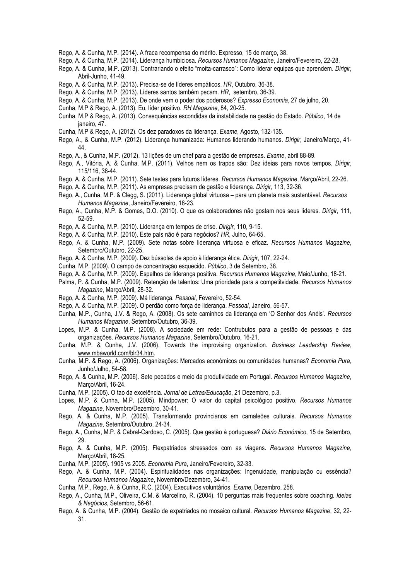- Rego, A. & Cunha, M.P. (2014). A fraca recompensa do mérito. Expresso, 15 de março, 38.
- Rego, A. & Cunha, M.P. (2014). Liderança humbiciosa. *Recursos Humanos Magazine*, Janeiro/Fevereiro, 22-28.
- Rego, A. & Cunha, M.P. (2013). Contrariando o efeito "moita-carrasco": Como liderar equipas que aprendem. *Dirigir*, Abril-Junho, 41-49.
- Rego, A. & Cunha, M.P. (2013). Precisa-se de líderes empáticos. *HR*, Outubro, 36-38.
- Rego, A. & Cunha, M.P. (2013). Líderes santos também pecam. *HR*, setembro, 36-39.
- Rego, A. & Cunha, M.P. (2013). De onde vem o poder dos poderosos? *Expresso Economia*, 27 de julho, 20.
- Cunha, M.P & Rego, A. (2013). Eu, líder positivo. *RH Magazine*, 84, 20-25.
- Cunha, M.P & Rego, A. (2013). Consequências escondidas da instabilidade na gestão do Estado. *Público*, 14 de janeiro, 47.
- Cunha, M.P & Rego, A. (2012). Os dez paradoxos da liderança. *Exame*, Agosto, 132-135.
- Rego, A., & Cunha, M.P. (2012). Liderança humanizada: Humanos liderando humanos. *Dirigir*, Janeiro/Março, 41- 44.
- Rego, A., & Cunha, M.P. (2012). 13 lições de um chef para a gestão de empresas. *Exame*, abril 88-89.
- Rego, A., Vitória, A. & Cunha, M.P. (2011). Velhos nem os trapos são: Dez ideias para novos tempos. *Dirigir*, 115/116, 38-44.
- Rego, A. & Cunha, M.P. (2011). Sete testes para futuros líderes. *Recursos Humanos Magazine*, Março/Abril, 22-26.
- Rego, A. & Cunha, M.P. (2011). As empresas precisam de gestão e liderança. *Dirigir*, 113, 32-36.
- Rego, A., Cunha, M.P. & Clegg, S. (2011). Liderança global virtuosa para um planeta mais sustentável. *Recursos Humanos Magazine*, Janeiro/Fevereiro, 18-23.
- Rego, A., Cunha, M.P. & Gomes, D.O. (2010). O que os colaboradores não gostam nos seus líderes. *Dirigir*, 111, 52-59.
- Rego, A. & Cunha, M.P. (2010). Liderança em tempos de crise. *Dirigir*, 110, 9-15.
- Rego, A. & Cunha, M.P. (2010). Este país não é para negócios? *HR*, Julho, 64-65.
- Rego, A. & Cunha, M.P. (2009). Sete notas sobre liderança virtuosa e eficaz. *Recursos Humanos Magazine*, Setembro/Outubro, 22-25.
- Rego, A. & Cunha, M.P. (2009). Dez bússolas de apoio à liderança ética. *Dirigir*, 107, 22-24.
- Cunha, M.P. (2009). O campo de concentração esquecido. *Público*, 3 de Setembro, 38.
- Rego, A. & Cunha, M.P. (2009). Espelhos de liderança positiva. *Recursos Humanos Magazine*, Maio/Junho, 18-21.
- Palma, P. & Cunha, M.P. (2009). Retenção de talentos: Uma prioridade para a competitvidade. *Recursos Humanos Magazine*, Março/Abril, 28-32.
- Rego, A. & Cunha, M.P. (2009). Má liderança. *Pessoal*, Fevereiro, 52-54.
- Rego, A. & Cunha, M.P. (2009). O perdão como força de liderança. *Pessoal*, Janeiro, 56-57.
- Cunha, M.P., Cunha, J.V. & Rego, A. (2008). Os sete caminhos da liderança em 'O Senhor dos Anéis'. *Recursos Humanos Magazine*, Setembro/Outubro, 36-39.
- Lopes, M.P. & Cunha, M.P. (2008). A sociedade em rede: Contrubutos para a gestão de pessoas e das organizações. *Recursos Humanos Magazine*, Setembro/Outubro, 16-21.
- Cunha, M.P. & Cunha, J.V. (2006). Towards the improvising organization. *Business Leadership Review*, www.mbaworld.com/blr34.htm.
- Cunha, M.P. & Rego, A. (2006). Organizações: Mercados económicos ou comunidades humanas? *Economia Pura*, Junho/Julho, 54-58.
- Rego, A. & Cunha, M.P. (2006). Sete pecados e meio da produtividade em Portugal. *Recursos Humanos Magazine*, Março/Abril, 16-24.
- Cunha, M.P. (2005). O tao da excelência. *Jornal de Letras/Educação*, 21 Dezembro, p.3.
- Lopes, M.P. & Cunha, M.P. (2005). Mindpower: O valor do capital psicológico positivo. *Recursos Humanos Magazine*, Novembro/Dezembro, 30-41.
- Rego, A. & Cunha, M.P. (2005). Transformando provincianos em camaleões culturais. *Recursos Humanos Magazine*, Setembro/Outubro, 24-34.
- Rego, A., Cunha, M.P. & Cabral-Cardoso, C. (2005). Que gestão à portuguesa? *Diário Económico*, 15 de Setembro, 29.
- Rego, A. & Cunha, M.P. (2005). Flexpatriados stressados com as viagens. *Recursos Humanos Magazine*, Março/Abril, 18-25.
- Cunha, M.P. (2005). 1905 vs 2005. *Economia Pura*, Janeiro/Fevereiro, 32-33.
- Rego, A. & Cunha, M.P. (2004). Espiritualidades nas organizações: Ingenuidade, manipulação ou essência? *Recursos Humanos Magazine*, Novembro/Dezembro, 34-41.
- Cunha, M.P., Rego, A. & Cunha, R.C. (2004). Executivos voluntários. *Exame*, Dezembro, 258.
- Rego, A., Cunha, M.P., Oliveira, C.M. & Marcelino, R. (2004). 10 perguntas mais frequentes sobre coaching. *Ideias & Negócios*, Setembro, 56-61.
- Rego, A. & Cunha, M.P. (2004). Gestão de expatriados no mosaico cultural. *Recursos Humanos Magazine*, 32, 22- 31.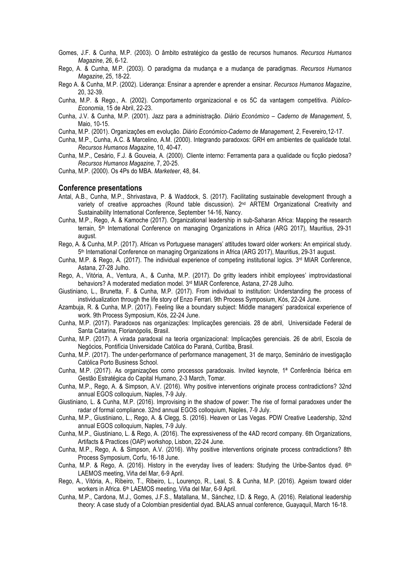- Gomes, J.F. & Cunha, M.P. (2003). O âmbito estratégico da gestão de recursos humanos. *Recursos Humanos Magazine*, 26, 6-12.
- Rego, A. & Cunha, M.P. (2003). O paradigma da mudança e a mudança de paradigmas. *Recursos Humanos Magazine*, 25, 18-22.
- Rego A. & Cunha, M.P. (2002). Liderança: Ensinar a aprender e aprender a ensinar. *Recursos Humanos Magazine*, 20, 32-39.
- Cunha, M.P. & Rego., A. (2002). Comportamento organizacional e os 5C da vantagem competitiva. *Público-Economia*, 15 de Abril, 22-23.
- Cunha, J.V. & Cunha, M.P. (2001). Jazz para a administração. *Diário Económico – Caderno de Management*, 5, Maio, 10-15.
- Cunha, M.P. (2001). Organizações em evolução. *Diário Económico-Caderno de Management, 2*, Fevereiro,12-17.
- Cunha, M.P., Cunha, A.C. & Marcelino, A.M. (2000). Integrando paradoxos: GRH em ambientes de qualidade total. *Recursos Humanos Magazine,* 10, 40-47.
- Cunha, M.P., Cesário, F.J. & Gouveia, A. (2000). Cliente interno: Ferramenta para a qualidade ou ficção piedosa? *Recursos Humanos Magazine,* 7, 20-25.
- Cunha, M.P. (2000). Os 4Ps do MBA. *Marketeer*, 48, 84.

#### **Conference presentations**

- Antal, A.B., Cunha, M.P., Shrivastava, P. & Waddock, S. (2017). Facilitating sustainable development through a variety of creative approaches (Round table discussion).  $2<sup>nd</sup>$  ARTEM Organizational Creativity and Sustainability International Conference, September 14-16, Nancy.
- Cunha, M.P., Rego, A. & Kamoche (2017). Organizational leadership in sub-Saharan Africa: Mapping the research terrain, 5th International Conference on managing Organizations in Africa (ARG 2017), Mauritius, 29-31 august.
- Rego, A. & Cunha, M.P. (2017). African vs Portuguese managers' attitudes toward older workers: An empirical study. 5th International Conference on managing Organizations in Africa (ARG 2017), Mauritius, 29-31 august.
- Cunha, M.P. & Rego, A. (2017). The individual experience of competing institutional logics. 3rd MIAR Conference, Astana, 27-28 Julho.
- Rego, A., Vitória, A., Ventura, A., & Cunha, M.P. (2017). Do gritty leaders inhibit employees' imptrovidastional behaviors? A moderated mediation model. 3rd MIAR Conference, Astana, 27-28 Julho.
- Giustiniano, L., Brunetta, F. & Cunha, M.P. (2017). From individual to institution: Understanding the process of instividualization through the life story of Enzo Ferrari. 9th Process Symposium, Kós, 22-24 June.
- Azambuja, R. & Cunha, M.P. (2017). Feeling like a boundary subject: Middle managers' paradoxical experience of work. 9th Process Symposium, Kós, 22-24 June.
- Cunha, M.P. (2017). Paradoxos nas organizações: Implicações gerenciais. 28 de abril, Universidade Federal de Santa Catarina, Florianópolis, Brasil.
- Cunha, M.P. (2017). A virada paradoxal na teoria organizacional: Implicações gerenciais. 26 de abril, Escola de Negócios, Pontifícia Universidade Católica do Paraná, Curitiba, Brasil.
- Cunha, M.P. (2017). The under-performance of performance management, 31 de março, Seminário de investigação Católica Porto Business School.
- Cunha, M.P. (2017). As organizações como processos paradoxais. Invited keynote, 1ª Conferência Ibérica em Gestão Estratégica do Capital Humano, 2-3 March, Tomar.
- Cunha, M.P., Rego, A. & Simpson, A.V. (2016). Why positive interventions originate process contradictions? 32nd annual EGOS colloquium, Naples, 7-9 July.
- Giustiniano, L. & Cunha, M.P. (2016). Improvising in the shadow of power: The rise of formal paradoxes under the radar of formal compliance. 32nd annual EGOS colloquium, Naples, 7-9 July.
- Cunha, M.P., Giustiniano, L., Rego, A. & Clegg, S. (2016). Heaven or Las Vegas. PDW Creative Leadership, 32nd annual EGOS colloquium, Naples, 7-9 July.
- Cunha, M.P., Giustiniano, L. & Rego, A. (2016). The expressiveness of the 4AD record company. 6th Organizations, Artifacts & Practices (OAP) workshop, Lisbon, 22-24 June.
- Cunha, M.P., Rego, A. & Simpson, A.V. (2016). Why positive interventions originate process contradictions? 8th Process Symposium, Corfu, 16-18 June.
- Cunha, M.P. & Rego, A. (2016). History in the everyday lives of leaders: Studying the Uribe-Santos dyad.  $6<sup>th</sup>$ LAEMOS meeting, Viña del Mar, 6-9 April.
- Rego, A., Vitória, A., Ribeiro, T., Ribeiro, L., Lourenço, R., Leal, S. & Cunha, M.P. (2016). Ageism toward older workers in Africa. 6th LAEMOS meeting, Viña del Mar, 6-9 April.
- Cunha, M.P., Cardona, M.J., Gomes, J.F.S., Matallana, M., Sánchez, I.D. & Rego, A. (2016). Relational leadership theory: A case study of a Colombian presidential dyad. BALAS annual conference, Guayaquil, March 16-18.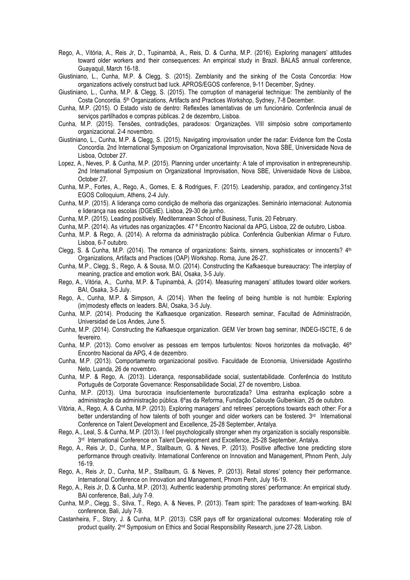- Rego, A., Vitória, A., Reis Jr, D., Tupinambá, A., Reis, D. & Cunha, M.P. (2016). Exploring managers' attitudes toward older workers and their consequences: An empirical study in Brazil. BALAS annual conference, Guayaquil, March 16-18.
- Giustiniano, L., Cunha, M.P. & Clegg, S. (2015). Zemblanity and the sinking of the Costa Concordia: How organizations actively construct bad luck. APROS/EGOS conference, 9-11 December, Sydney.
- Giustiniano, L., Cunha, M.P. & Clegg, S. (2015). The corruption of managerial technique: The zemblanity of the Costa Concordia. 5th Organizations, Artifacts and Practices Workshop, Sydney, 7-8 December.
- Cunha, M.P. (2015). O Estado visto de dentro: Reflexões lamentativas de um funcionário. Conferência anual de serviços partilhados e compras públicas. 2 de dezembro, Lisboa.
- Cunha, M.P. (2015). Tensões, contradições, paradoxos: Organizações. VIII simpósio sobre comportamento organizacional. 2-4 novembro.
- Giustiniano, L., Cunha, M.P. & Clegg, S. (2015). Navigating improvisation under the radar: Evidence fom the Costa Concordia. 2nd International Symposium on Organizational Improvisation, Nova SBE, Universidade Nova de Lisboa, October 27.
- Lopez, A., Neves, P. & Cunha, M.P. (2015). Planning under uncertainty: A tale of improvisation in entrepreneurship. 2nd International Symposium on Organizational Improvisation, Nova SBE, Universidade Nova de Lisboa, October 27.
- Cunha, M.P., Fortes, A., Rego, A., Gomes, E. & Rodrigues, F. (2015). Leadership, paradox, and contingency.31st EGOS Colloquium, Athens, 2-4 July.
- Cunha, M.P. (2015). A liderança como condição de melhoria das organizações. Seminário internacional: Autonomia e liderança nas escolas (DGEstE). Lisboa, 29-30 de junho.
- Cunha, M.P. (2015). Leading positively. Mediterranean School of Business, Tunis, 20 February.
- Cunha, M.P. (2014). As virtudes nas organizações. 47 º Encontro Nacional da APG, Lisboa, 22 de outubro, Lisboa.
- Cunha, M.P. & Rego, A. (2014). A reforma da administração pública. Conferência Gulbenkian Afirmar o Futuro. Lisboa, 6-7 outubro.
- Clegg, S. & Cunha, M.P. (2014). The romance of organizations: Saints, sinners, sophisticates or innocents? 4th Organizations, Artifacts and Practices (OAP) Workshop. Roma, June 26-27.
- Cunha, M.P., Clegg, S., Rego, A. & Sousa, M.O. (2014). Constructing the Kafkaesque bureaucracy: The interplay of meaning, practice and emotion work. BAI, Osaka, 3-5 July.
- Rego, A., Vitória, A., Cunha, M.P. & Tupinambá, A. (2014). Measuring managers' attitudes toward older workers. BAI, Osaka, 3-5 July.
- Rego, A., Cunha, M.P. & Simpson, A. (2014). When the feeling of being humble is not humble: Exploring (im)modesty effects on leaders. BAI, Osaka, 3-5 July.
- Cunha, M.P. (2014). Producing the Kafkaesque organization. Research seminar, Facultad de Administración, Universidad de Los Andes, June 5.
- Cunha, M.P. (2014). Constructing the Kafkaesque organization. GEM Ver brown bag seminar, INDEG-ISCTE, 6 de fevereiro.
- Cunha, M.P. (2013). Como envolver as pessoas em tempos turbulentos: Novos horizontes da motivação, 46º Encontro Nacional da APG, 4 de dezembro.
- Cunha, M.P. (2013). Comportamento organizacional positivo. Faculdade de Economia, Universidade Agostinho Neto, Luanda, 26 de novembro.
- Cunha, M.P. & Rego, A. (2013). Liderança, responsabilidade social, sustentabilidade. Conferência do Instituto Português de Corporate Governance: Responsabilidade Social, 27 de novembro, Lisboa.
- Cunha, M.P. (2013). Uma burocracia insuficientemente burocratizada? Uma estranha explicação sobre a administração da administração pública. 6ºas da Reforma, Fundação Calouste Gulbenkian, 25 de outubro.
- Vitória, A., Rego, A. & Cunha, M.P. (2013). Exploring managers' and retirees' perceptions towards each other: For a better understanding of how talents of both younger and older workers can be fostered. 3rd International Conference on Talent Development and Excellence, 25-28 September, Antalya.
- Rego, A., Leal, S. & Cunha, M.P. (2013). I feel psychologically stronger when my organization is socially responsible. 3rd International Conference on Talent Development and Excellence, 25-28 September, Antalya.
- Rego, A., Reis Jr, D., Cunha, M.P., Stallbaum, G. & Neves, P. (2013). Positive affective tone predicting store performance through creativity. International Conference on Innovation and Management, Phnom Penh, July 16-19.
- Rego, A., Reis Jr, D., Cunha, M.P., Stallbaum, G. & Neves, P. (2013). Retail stores' potency their performance. International Conference on Innovation and Management, Phnom Penh, July 16-19.
- Rego, A., Reis Jr, D. & Cunha, M.P. (2013). Authentic leadership promoting stores' performance: An empirical study. BAI conference, Bali, July 7-9.
- Cunha, M.P., Clegg, S., Silva, T., Rego, A. & Neves, P. (2013). Team spirit: The paradoxes of team-working. BAI conference, Bali, July 7-9.
- Castanheira, F., Story, J. & Cunha, M.P. (2013). CSR pays off for organizational outcomes: Moderating role of product quality. 2nd Symposium on Ethics and Social Responsibility Research, june 27-28, Lisbon.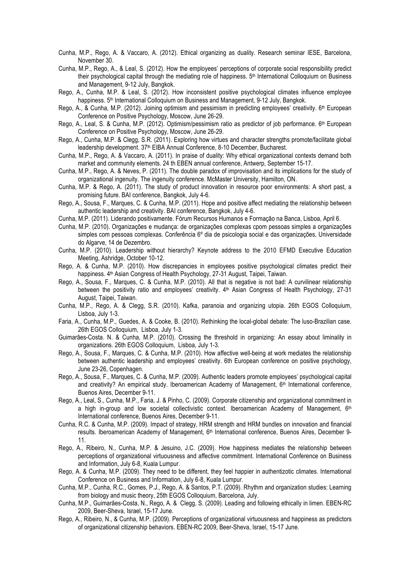- Cunha, M.P., Rego, A. & Vaccaro, A. (2012). Ethical organizing as duality. Research seminar IESE, Barcelona, November 30.
- Cunha, M.P., Rego, A., & Leal, S. (2012). How the employees' perceptions of corporate social responsibility predict their psychological capital through the mediating role of happiness. 5th International Colloquium on Business and Management, 9-12 July, Bangkok.
- Rego, A., Cunha, M.P. & Leal, S. (2012). How inconsistent positive psychological climates influence employee happiness. 5<sup>th</sup> International Colloquium on Business and Management, 9-12 July, Bangkok.
- Rego, A., & Cunha, M.P. (2012). Joining optimism and pessimism in predicting employees' creativity. 6th European Conference on Positive Psychology, Moscow, June 26-29.
- Rego, A., Leal, S. & Cunha, M.P. (2012). Optimism/pessimism ratio as predictor of job performance. 6<sup>th</sup> European Conference on Positive Psychology, Moscow, June 26-29.
- Rego, A., Cunha, M.P. & Clegg, S.R. (2011). Exploring how virtues and character strengths promote/facilitate global leadership development. 37<sup>th</sup> EIBA Annual Conference, 8-10 December, Bucharest.
- Cunha, M.P., Rego, A. & Vaccaro, A. (2011). In praise of duality: Why ethical organizational contexts demand both market and community elements. 24 th EBEN annual conference, Antwerp, September 15-17.
- Cunha, M.P., Rego, A. & Neves, P. (2011). The double paradox of improvisation and its implications for the study of organizational ingenuity. The ingenuity conference. McMaster University, Hamilton, ON.
- Cunha, M.P. & Rego, A. (2011). The study of product innovation in resource poor environments: A short past, a promising future. BAI conference, Bangkok, July 4-6.
- Rego, A., Sousa, F., Marques, C. & Cunha, M.P. (2011). Hope and positive affect mediating the relationship between authentic leadership and creativity. BAI conference, Bangkok, July 4-6.
- Cunha, M.P. (2011). Liderando positivamente. Fórum Recursos Humanos e Formação na Banca, Lisboa, April 6.
- Cunha, M.P. (2010). Organizações e mudança: de organizações complexas cpom pessoas simples a organizações simples com pessoas complexas. Conferência 6º dia de psicologia social e das organizações, Universidade do Algarve, 14 de Dezembro.
- Cunha, M.P. (2010). Leadership without hierarchy? Keynote address to the 2010 EFMD Executive Education Meeting, Ashridge, October 10-12.
- Rego, A. & Cunha, M.P. (2010). How discrepancies in employees positive psychological climates predict their happiness. 4<sup>th</sup> Asian Congress of Health Psychology, 27-31 August, Taipei, Taiwan.
- Rego, A., Sousa, F., Marques, C. & Cunha, M.P. (2010). All that is negative is not bad: A curvilinear relationship between the positivity ratio and employees' creativity. 4<sup>th</sup> Asian Congress of Health Psychology, 27-31 August, Taipei, Taiwan.
- Cunha, M.P., Rego, A. & Clegg, S.R. (2010). Kafka, paranoia and organizing utopia. 26th EGOS Colloquium, Lisboa, July 1-3.
- Faria, A., Cunha, M.P., Guedes, A. & Cooke, B. (2010). Rethinking the local-global debate: The luso-Brazilian case. 26th EGOS Colloquium, Lisboa, July 1-3.
- Guimarães-Costa. N. & Cunha, M.P. (2010). Crossing the threshold in organizing: An essay about liminality in organizations. 26th EGOS Colloquium, Lisboa, July 1-3.
- Rego, A., Sousa, F., Marques, C. & Cunha, M.P. (2010). How affective well-being at work mediates the relationship between authentic leadership and employees' creativity. 6th European conference on positive psychology, June 23-26, Copenhagen.
- Rego, A., Sousa, F., Marques, C. & Cunha, M.P. (2009). Authentic leaders promote employees' psychological capital and creativity? An empirical study, Iberoamerican Academy of Management,  $6<sup>th</sup>$  International conference, Buenos Aires, December 9-11.
- Rego, A., Leal, S., Cunha, M.P., Faria, J. & Pinho, C. (2009). Corporate citizenship and organizational commitment in a high in-group and low societal collectivistic context. Iberoamerican Academy of Management,  $6<sup>th</sup>$ International conference, Buenos Aires, December 9-11.
- Cunha, R.C. & Cunha, M.P. (2009). Impact of strategy, HRM strength and HRM bundles on innovation and financial results. Iberoamerican Academy of Management, 6<sup>th</sup> International conference, Buenos Aires, December 9-11.
- Rego, A., Ribeiro, N., Cunha, M.P. & Jesuino, J.C. (2009). How happiness mediates the relationship between perceptions of organizational virtuousness and affective commitment. International Conference on Business and Information, July 6-8, Kuala Lumpur.
- Rego, A. & Cunha, M.P. (2009). They need to be different, they feel happier in authentizotic climates. International Conference on Business and Information, July 6-8, Kuala Lumpur.
- Cunha, M.P., Cunha, R.C., Gomes, P.J., Rego, A. & Santos, P.T. (2009). Rhythm and organization studies: Learning from biology and music theory, 25th EGOS Colloquium, Barcelona, July.
- Cunha, M.P., Guimarães-Costa, N., Rego, A. & Clegg, S. (2009). Leading and following ethically in limen. EBEN-RC 2009, Beer-Sheva, Israel, 15-17 June.
- Rego, A., Ribeiro, N., & Cunha, M.P. (2009). Perceptions of organizational virtuousness and happiness as predictors of organizational citizenship behaviors. EBEN-RC 2009, Beer-Sheva, Israel, 15-17 June.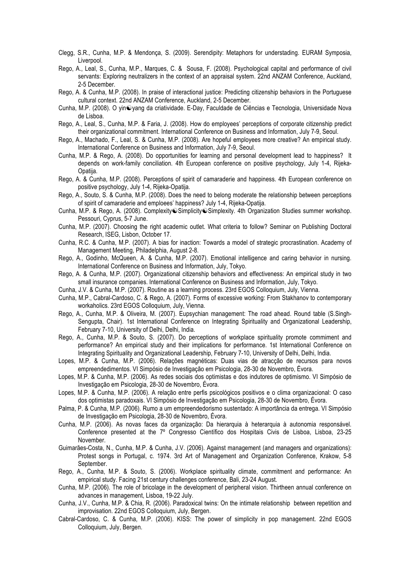- Clegg, S.R., Cunha, M.P. & Mendonça, S. (2009). Serendipity: Metaphors for understading. EURAM Symposia, Liverpool.
- Rego, A., Leal, S., Cunha, M.P., Marques, C. & Sousa, F. (2008). Psychological capital and performance of civil servants: Exploring neutralizers in the context of an appraisal system. 22nd ANZAM Conference, Auckland, 2-5 December.
- Rego, A. & Cunha, M.P. (2008). In praise of interactional justice: Predicting citizenship behaviors in the Portuguese cultural context. 22nd ANZAM Conference, Auckland, 2-5 December.
- Cunha, M.P. (2008). O yin@yang da criatividade. E-Day, Faculdade de Ciências e Tecnologia, Universidade Nova de Lisboa.
- Rego, A., Leal, S., Cunha, M.P. & Faria, J. (2008). How do employees' perceptions of corporate citizenship predict their organizational commitment. International Conference on Business and Information, July 7-9, Seoul.
- Rego, A., Machado, F., Leal, S. & Cunha, M.P. (2008). Are hopeful employees more creative? An empirical study. International Conference on Business and Information, July 7-9, Seoul.
- Cunha, M.P. & Rego, A. (2008). Do opportunities for learning and personal development lead to happiness? It depends on work-family conciliation. 4th European conference on positive psychology, July 1-4, Rijeka-Opatija.
- Rego, A. & Cunha, M.P. (2008). Perceptions of spirit of camaraderie and happiness. 4th European conference on positive psychology, July 1-4, Rijeka-Opatija.
- Rego, A., Souto, S. & Cunha, M.P. (2008). Does the need to belong moderate the relationship between perceptions of spirit of camaraderie and emploees' happiness? July 1-4, Rijeka-Opatija.
- Cunha, M.P. & Rego, A. (2008). Complexity@Simplicity@Simplexity. 4th Organization Studies summer workshop. Pessouri, Cyprus, 5-7 June.
- Cunha, M.P. (2007). Choosing the right academic outlet. What criteria to follow? Seminar on Publishing Doctoral Research, ISEG, Lisbon, October 17.
- Cunha, R.C. & Cunha, M.P. (2007). A bias for inaction: Towards a model of strategic procrastination. Academy of Management Meeting, Philadelphia, August 2-8.
- Rego, A., Godinho, McQueen, A. & Cunha, M.P. (2007). Emotional intelligence and caring behavior in nursing. International Conference on Business and Information, July, Tokyo.
- Rego, A. & Cunha, M.P. (2007). Organizational citizenship behaviors and effectiveness: An empirical study in two small insurance companies. International Conference on Business and Information, July, Tokyo.
- Cunha, J.V. & Cunha, M.P. (2007). Routine as a learning process. 23rd EGOS Colloquium, July, Vienna.
- Cunha, M.P., Cabral-Cardoso, C. & Rego, A. (2007). Forms of excessive working: From Stakhanov to contemporary workaholics. 23rd EGOS Colloquium, July, Vienna.
- Rego, A., Cunha, M.P. & Oliveira, M. (2007). Eupsychian management: The road ahead. Round table (S.Singh-Sengupta, Chair). 1st International Conference on Integrating Spirituality and Organizational Leadership, February 7-10, University of Delhi, Delhi, India.
- Rego, A., Cunha, M.P. & Souto, S. (2007). Do perceptions of workplace spirituality promote commiment and performance? An empirical study and their implications for performance. 1st International Conference on Integrating Spirituality and Organizational Leadership, February 7-10, University of Delhi, Delhi, India.
- Lopes, M.P. & Cunha, M.P. (2006). Relações magnéticas: Duas vias de atracção de recursos para novos empreendedimentos. VI Simpósio de Investigação em Psicologia, 28-30 de Novembro, Évora.
- Lopes, M.P. & Cunha, M.P. (2006). As redes sociais dos optimistas e dos indutores de optimismo. VI Simpósio de Investigação em Psicologia, 28-30 de Novembro, Évora.
- Lopes, M.P. & Cunha, M.P. (2006). A relação entre perfis psicológicos positivos e o clima organizacional: O caso dos optimistas paradoxais. VI Simpósio de Investigação em Psicologia, 28-30 de Novembro, Évora.
- Palma, P. & Cunha, M.P. (2006). Rumo a um empreendedorismo sustentado: A importância da entrega. VI Simpósio de Investigação em Psicologia, 28-30 de Novembro, Évora.
- Cunha, M.P. (2006). As novas faces da organização: Da hierarquia à heterarquia à autonomia responsável. Conference presented at the 7º Congresso Científico dos Hospitais Civis de Lisboa, Lisboa, 23-25 November.
- Guimarães-Costa, N., Cunha, M.P. & Cunha, J.V. (2006). Against management (and managers and organizations): Protest songs in Portugal, c. 1974. 3rd Art of Management and Organization Conference, Krakow, 5-8 September.
- Rego, A., Cunha, M.P. & Souto, S. (2006). Workplace spirituality climate, commitment and performance: An empirical study. Facing 21st century challenges conference, Bali, 23-24 August.
- Cunha, M.P. (2006). The role of bricolage in the development of peripheral vision. Thirtheen annual conference on advances in management, Lisboa, 19-22 July.
- Cunha, J.V., Cunha, M.P. & Chia, R. (2006). Paradoxical twins: On the intimate relationship between repetition and improvisation. 22nd EGOS Colloquium, July, Bergen.
- Cabral-Cardoso, C. & Cunha, M.P. (2006). KISS: The power of simplicity in pop management. 22nd EGOS Colloquium, July, Bergen.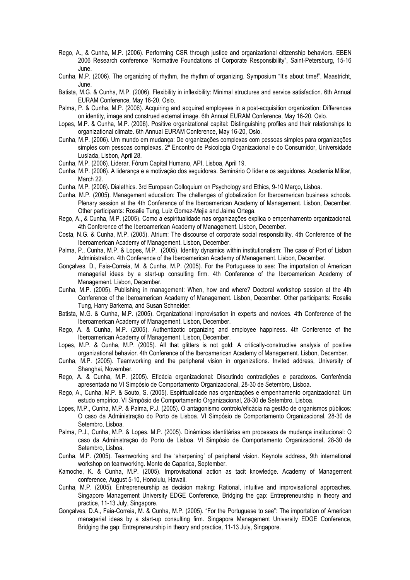- Rego, A., & Cunha, M.P. (2006). Performing CSR through justice and organizational citizenship behaviors. EBEN 2006 Research conference "Normative Foundations of Corporate Responsibility", Saint-Petersburg, 15-16 June.
- Cunha, M.P. (2006). The organizing of rhythm, the rhythm of organizing. Symposium "It's about time!", Maastricht, June.
- Batista, M.G. & Cunha, M.P. (2006). Flexibility in inflexibility: Minimal structures and service satisfaction. 6th Annual EURAM Conference, May 16-20, Oslo.
- Palma, P. & Cunha, M.P. (2006). Acquiring and acquired employees in a post-acquisition organization: Differences on identity, image and construed external image. 6th Annual EURAM Conference, May 16-20, Oslo.
- Lopes, M.P. & Cunha, M.P. (2006). Positive organizational capital: Distinguishing profiles and their relationships to organizational climate. 6th Annual EURAM Conference, May 16-20, Oslo.
- Cunha, M.P. (2006). Um mundo em mudança: De organizações complexas com pessoas simples para organizações simples com pessoas complexas. 2º Encontro de Psicologia Organizacional e do Consumidor, Universidade Lusíada, Lisbon, April 28.
- Cunha, M.P. (2006). Liderar. Fórum Capital Humano, API, Lisboa, April 19.
- Cunha, M.P. (2006). A liderança e a motivação dos seguidores. Seminário O líder e os seguidores. Academia Militar, March 22.
- Cunha, M.P. (2006). Dialethics. 3rd European Colloquium on Psychology and Ethics, 9-10 Março, Lisboa.
- Cunha, M.P. (2005). Management education: The challenges of globalization for Iberoamerican business schools. Plenary session at the 4th Conference of the Iberoamerican Academy of Management. Lisbon, December. Other participants: Rosalie Tung, Luiz Gomez-Mejia and Jaime Ortega.
- Rego, A., & Cunha, M.P. (2005). Como a espiritualidade nas organizações explica o empenhamento organizacional. 4th Conference of the Iberoamerican Academy of Management. Lisbon, December.
- Costa, N.G. & Cunha, M.P. (2005). Atrium: The discourse of corporate social responsibility. 4th Conference of the Iberoamerican Academy of Management. Lisbon, December.
- Palma, P., Cunha, M.P. & Lopes, M.P. (2005). Identity dynamics within institutionalism: The case of Port of Lisbon Administration. 4th Conference of the Iberoamerican Academy of Management. Lisbon, December.
- Gonçalves, D., Faia-Correia, M. & Cunha, M.P. (2005). For the Portuguese to see: The importation of American managerial ideas by a start-up consulting firm. 4th Conference of the Iberoamerican Academy of Management. Lisbon, December.
- Cunha, M.P. (2005). Publishing in management: When, how and where? Doctoral workshop session at the 4th Conference of the Iberoamerican Academy of Management. Lisbon, December. Other participants: Rosalie Tung, Harry Barkema, and Susan Schneider.
- Batista, M.G. & Cunha, M.P. (2005). Organizational improvisation in experts and novices. 4th Conference of the Iberoamerican Academy of Management. Lisbon, December.
- Rego, A. & Cunha, M.P. (2005). Authentizotic organizing and employee happiness. 4th Conference of the Iberoamerican Academy of Management. Lisbon, December.
- Lopes, M.P. & Cunha, M.P. (2005). All that glitters is not gold: A critically-constructive analysis of positive organizational behavior. 4th Conference of the Iberoamerican Academy of Management. Lisbon, December.
- Cunha, M.P. (2005). Teamworking and the peripheral vision in organizations. Invited address, University of Shanghai, November.
- Rego, A. & Cunha, M.P. (2005). Eficácia organizacional: Discutindo contradições e paradoxos. Conferência apresentada no VI Simpósio de Comportamento Organizacional, 28-30 de Setembro, Lisboa.
- Rego, A., Cunha, M.P. & Souto, S. (2005). Espiritualidade nas organizações e empenhamento organizacional: Um estudo empírico. VI Simpósio de Comportamento Organizacional, 28-30 de Setembro, Lisboa.
- Lopes, M.P., Cunha, M.P. & Palma, P.J. (2005). O antagonismo controlo/eficácia na gestão de organismos públicos: O caso da Administração do Porto de Lisboa. VI Simpósio de Comportamento Organizacional, 28-30 de Setembro, Lisboa.
- Palma, P.J., Cunha, M.P. & Lopes. M.P. (2005). Dinâmicas identitárias em processos de mudança institucional: O caso da Administração do Porto de Lisboa. VI Simpósio de Comportamento Organizacional, 28-30 de Setembro, Lisboa.
- Cunha, M.P. (2005). Teamworking and the 'sharpening' of peripheral vision. Keynote address, 9th international workshop on teamworking. Monte de Caparica, September.
- Kamoche, K. & Cunha, M.P. (2005). Improvisational action as tacit knowledge. Academy of Management conference, August 5-10, Honolulu, Hawaii.
- Cunha, M.P. (2005). Entrepreneurship as decision making: Rational, intuitive and improvisational approaches. Singapore Management University EDGE Conference, Bridging the gap: Entrepreneurship in theory and practice, 11-13 July, Singapore.
- Gonçalves, D.A., Faia-Correia, M. & Cunha, M.P. (2005). "For the Portuguese to see": The importation of American managerial ideas by a start-up consulting firm. Singapore Management University EDGE Conference, Bridging the gap: Entrepreneurship in theory and practice, 11-13 July, Singapore.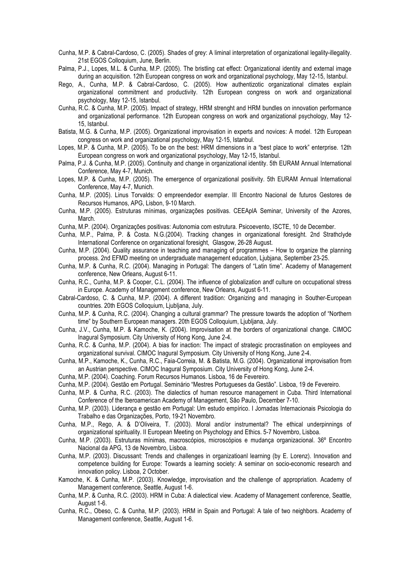- Cunha, M.P. & Cabral-Cardoso, C. (2005). Shades of grey: A liminal interpretation of organizational legality-illegality. 21st EGOS Colloquium, June, Berlin.
- Palma, P.J., Lopes, M.L. & Cunha, M.P. (2005). The bristling cat effect: Organizational identity and external image during an acquisition. 12th European congress on work and organizational psychology, May 12-15, Istanbul.
- Rego, A., Cunha, M.P. & Cabral-Cardoso, C. (2005). How authentizotic organizational climates explain organizational commitment and productivity. 12th European congress on work and organizational psychology, May 12-15, Istanbul.
- Cunha, R.C. & Cunha, M.P. (2005). Impact of strategy, HRM strenght and HRM bundles on innovation performance and organizational performance. 12th European congress on work and organizational psychology, May 12- 15, Istanbul.
- Batista, M.G. & Cunha, M.P. (2005). Organizational improvisation in experts and novices: A model. 12th European congress on work and organizational psychology, May 12-15, Istanbul.
- Lopes, M.P. & Cunha, M.P. (2005). To be on the best: HRM dimensions in a "best place to work" enterprise. 12th European congress on work and organizational psychology, May 12-15, Istanbul.
- Palma, P.J. & Cunha, M.P. (2005). Continuity and change in organizational identity. 5th EURAM Annual International Conference, May 4-7, Munich.
- Lopes, M.P. & Cunha, M.P. (2005). The emergence of organizational positivity. 5th EURAM Annual International Conference, May 4-7, Munich.
- Cunha, M.P. (2005). Linus Torvalds: O empreendedor exemplar. III Encontro Nacional de futuros Gestores de Recursos Humanos, APG, Lisbon, 9-10 March.
- Cunha, M.P. (2005). Estruturas mínimas, organizações positivas. CEEAplA Seminar, University of the Azores, March.
- Cunha, M.P. (2004). Organizações positivas: Autonomia com estrutura. Psicoevento, ISCTE, 10 de December.
- Cunha, M.P., Palma, P. & Costa. N.G.(2004). Tracking changes in organizational foresight. 2nd Strathclyde International Conference on organizational foresight, Glasgow, 26-28 August.
- Cunha, M.P. (2004). Quality assurance in teaching and managing of programmes How to organize the planning process. 2nd EFMD meeting on undergraduate management education, Ljubjana, September 23-25.
- Cunha, M.P. & Cunha, R.C. (2004). Managing in Portugal: The dangers of "Latin time". Academy of Management conference, New Orleans, August 6-11.
- Cunha, R.C., Cunha, M.P. & Cooper, C.L. (2004). The influence of globalization andf culture on occupational stress in Europe. Academy of Management conference, New Orleans, August 6-11.
- Cabral-Cardoso, C. & Cunha, M.P. (2004). A different tradition: Organizing and managing in Souther-European countries. 20th EGOS Colloquium, Ljubljana, July.
- Cunha, M.P. & Cunha, R.C. (2004). Changing a cultural grammar? The pressure towards the adoption of "Northern time" by Southern European managers. 20th EGOS Colloquium, Ljubljana, July.
- Cunha, J.V., Cunha, M.P. & Kamoche, K. (2004). Improvisation at the borders of organizational change. CIMOC Inagural Symposium. City University of Hong Kong, June 2-4.
- Cunha, R.C. & Cunha, M.P. (2004). A bias for inaction: The impact of strategic procrastination on employees and organizational survival. CIMOC Inagural Symposium. City University of Hong Kong, June 2-4.
- Cunha, M.P., Kamoche, K., Cunha, R.C., Faia-Correia, M. & Batista, M.G. (2004). Organizational improvisation from an Austrian perspective. CIMOC Inagural Symposium. City University of Hong Kong, June 2-4.
- Cunha, M.P. (2004). Coaching. Forum Recursos Humanos. Lisboa, 16 de Fevereiro.
- Cunha, M.P. (2004). Gestão em Portugal. Seminário "Mestres Portugueses da Gestão". Lisboa, 19 de Fevereiro.
- Cunha, M.P. & Cunha, R.C. (2003). The dialectics of human resource management in Cuba. Third International Conference of the Iberoamerican Academy of Management, São Paulo, December 7-10.
- Cunha, M.P. (2003). Liderança e gestão em Portugal: Um estudo empírico. I Jornadas Internacionais Psicologia do Trabalho e das Organizações, Porto, 19-21 Novembro.
- Cunha, M.P., Rego, A. & D'Oliveira, T. (2003). Moral and/or instrumental? The ethical underpinnings of organizational spirituality. II European Meeting on Psychology and Ethics. 5-7 Novembro, Lisboa.
- Cunha, M.P. (2003). Estruturas mínimas, macroscópios, microscópios e mudança organizacional. 36º Encontro Nacional da APG, 13 de Novembro, Lisboa.
- Cunha, M.P. (2003). Discussant: Trends and challenges in organizatioanl learning (by E. Lorenz). Innovation and competence building for Europe: Towards a learning society: A seminar on socio-economic research and innovation policy. Lisboa, 2 October.
- Kamoche, K. & Cunha, M.P. (2003). Knowledge, improvisation and the challenge of appropriation. Academy of Management conference, Seattle, August 1-6.
- Cunha, M.P. & Cunha, R.C. (2003). HRM in Cuba: A dialectical view. Academy of Management conference, Seattle, August 1-6.
- Cunha, R.C., Obeso, C. & Cunha, M.P. (2003). HRM in Spain and Portugal: A tale of two neighbors. Academy of Management conference, Seattle, August 1-6.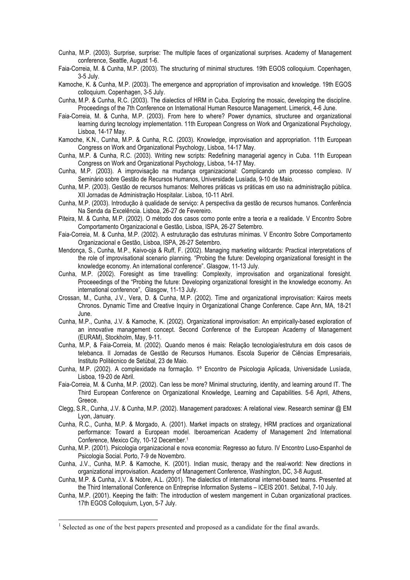- Cunha, M.P. (2003). Surprise, surprise: The multiple faces of organizational surprises. Academy of Management conference, Seattle, August 1-6.
- Faia-Correia, M. & Cunha, M.P. (2003). The structuring of minimal structures. 19th EGOS colloquium. Copenhagen, 3-5 July.
- Kamoche, K. & Cunha, M.P. (2003). The emergence and appropriation of improvisation and knowledge. 19th EGOS colloquium. Copenhagen, 3-5 July.
- Cunha, M.P. & Cunha, R.C. (2003). The dialectics of HRM in Cuba. Exploring the mosaic, developing the discipline. Proceedings of the 7th Conference on International Human Resource Management. Limerick, 4-6 June.
- Faia-Correia, M. & Cunha, M.P. (2003). From here to where? Power dynamics, structuree and organizational learning during tecnology implementation. 11th European Congress on Work and Organizational Psychology, Lisboa, 14-17 May.
- Kamoche, K.N., Cunha, M.P. & Cunha, R.C. (2003). Knowledge, improvisation and appropriation. 11th European Congress on Work and Organizational Psychology, Lisboa, 14-17 May.
- Cunha, M.P. & Cunha, R.C. (2003). Writing new scripts: Redefining managerial agency in Cuba. 11th European Congress on Work and Organizational Psychology, Lisboa, 14-17 May.
- Cunha, M.P. (2003). A improvisação na mudança organizacional: Complicando um processo complexo. IV Seminário sobre Gestão de Recursos Humanos, Universidade Lusíada, 9-10 de Maio.
- Cunha, M.P. (2003). Gestão de recursos humanos: Melhores práticas vs práticas em uso na administração pública. XII Jornadas de Administração Hospitalar. Lisboa, 10-11 Abril.
- Cunha, M.P. (2003). Introdução à qualidade de serviço: A perspectiva da gestão de recursos humanos. Conferência Na Senda da Excelência. Lisboa, 26-27 de Fevereiro.
- Piteira, M. & Cunha, M.P. (2002). O método dos casos como ponte entre a teoria e a realidade. V Encontro Sobre Comportamento Organizacional e Gestão, Lisboa, ISPA, 26-27 Setembro.
- Faia-Correia, M. & Cunha, M.P. (2002). A estruturação das estruturas mínimas. V Encontro Sobre Comportamento Organizacional e Gestão, Lisboa, ISPA, 26-27 Setembro.
- Mendonça, S., Cunha, M.P., Kaivo-oja & Ruff, F. (2002). Managing marketing wildcards: Practical interpretations of the role of improvisational scenario planning. "Probing the future: Developing organizational foresight in the knowledge economy. An international conference". Glasgow, 11-13 July.
- Cunha, M.P. (2002). Foresight as time travelling: Complexity, improvisation and organizational foresight. Proceeedings of the "Probing the future: Developing organizational foresight in the knowledge economy. An international conference", Glasgow, 11-13 July.
- Crossan, M., Cunha, J.V., Vera, D. & Cunha, M.P. (2002). Time and organizational improvisation: Kairos meets Chronos. Dynamic Time and Creative Inquiry in Organizational Change Conference. Cape Ann, MA, 18-21 June.
- Cunha, M.P., Cunha, J.V. & Kamoche, K. (2002). Organizational improvisation: An empirically-based exploration of an innovative management concept. Second Conference of the European Academy of Management (EURAM), Stockholm, May, 9-11.
- Cunha, M.P, & Faia-Correia, M. (2002). Quando menos é mais: Relação tecnologia/estrutura em dois casos de telebanca. II Jornadas de Gestão de Recursos Humanos. Escola Superior de Ciências Empresariais, Instituto Politécnico de Setúbal, 23 de Maio.
- Cunha, M.P. (2002). A complexidade na formação. 1º Encontro de Psicologia Aplicada, Universidade Lusíada, Lisboa, 19-20 de Abril.
- Faia-Correia, M. & Cunha, M.P. (2002). Can less be more? Minimal structuring, identity, and learning around IT. The Third European Conference on Organizational Knowledge, Learning and Capabilities. 5-6 April, Athens, Greece.
- Clegg, S.R., Cunha, J.V. & Cunha, M.P. (2002). Management paradoxes: A relational view. Research seminar @ EM Lyon, January.
- Cunha, R.C., Cunha, M.P. & Morgado, A. (2001). Market impacts on strategy, HRM practices and organizational performance: Toward a European model. Iberoamerican Academy of Management 2nd International Conference, Mexico City, 10-12 December.1
- Cunha, M.P. (2001). Psicologia organizacional e nova economia: Regresso ao futuro. IV Encontro Luso-Espanhol de Psicologia Social. Porto, 7-9 de Novembro.
- Cunha, J.V., Cunha, M.P. & Kamoche, K. (2001). Indian music, therapy and the real-world: New directions in organizational improvisation. Academy of Management Conference, Washington, DC, 3-8 August.
- Cunha, M.P. & Cunha, J.V. & Nobre, A.L. (2001). The dialectics of international internet-based teams. Presented at the Third International Conference on Entreprise Information Systems – ICEIS 2001. Setúbal, 7-10 July.
- Cunha, M.P. (2001). Keeping the faith: The introduction of western mangement in Cuban organizational practices. 17th EGOS Colloquium, Lyon, 5-7 July.

 $1$  Selected as one of the best papers presented and proposed as a candidate for the final awards.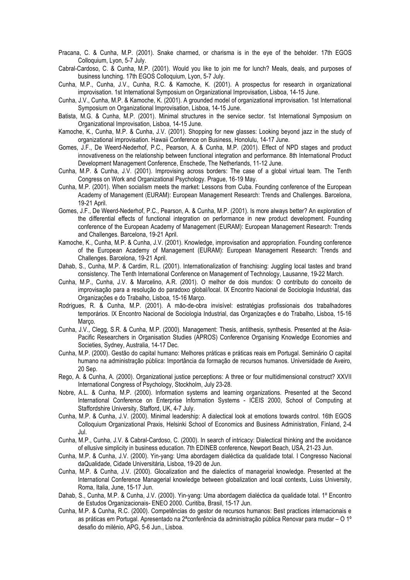- Pracana, C. & Cunha, M.P. (2001). Snake charmed, or charisma is in the eye of the beholder. 17th EGOS Colloquium, Lyon, 5-7 July.
- Cabral-Cardoso, C. & Cunha, M.P. (2001). Would you like to join me for lunch? Meals, deals, and purposes of business lunching. 17th EGOS Colloquium, Lyon, 5-7 July.
- Cunha, M.P., Cunha, J.V., Cunha, R.C. & Kamoche, K. (2001). A prospectus for research in organizational improvisation. 1st International Symposium on Organizational Improvisation, Lisboa, 14-15 June.
- Cunha, J.V., Cunha, M.P. & Kamoche, K. (2001). A grounded model of organizational improvisation. 1st International Symposium on Organizational Improvisation, Lisboa, 14-15 June.
- Batista, M.G. & Cunha, M.P. (2001). Minimal structures in the service sector. 1st International Symposium on Organizational Improvisation, Lisboa, 14-15 June.
- Kamoche, K., Cunha, M.P. & Cunha, J.V. (2001). Shopping for new glasses: Looking beyond jazz in the study of organizational improvisation. Hawaii Conference on Business, Honolulu, 14-17 June.
- Gomes, J.F., De Weerd-Nederhof, P.C., Pearson, A. & Cunha, M.P. (2001). Effect of NPD stages and product innovativeness on the relationship between functional integration and performance. 8th International Product Development Management Conference, Enschede, The Netherlands, 11-12 June.
- Cunha, M.P. & Cunha, J.V. (2001). Improvising across borders: The case of a global virtual team. The Tenth Congress on Work and Organizational Psychology. Prague, 16-19 May.
- Cunha, M.P. (2001). When socialism meets the market: Lessons from Cuba. Founding conference of the European Academy of Management (EURAM): European Management Research: Trends and Challenges. Barcelona, 19-21 April.
- Gomes, J.F., De Weerd-Nederhof, P.C., Pearson, A. & Cunha, M.P. (2001). Is more always better? An exploration of the differential effects of functional integration on performance in new product development. Founding conference of the European Academy of Management (EURAM): European Management Research: Trends and Challenges. Barcelona, 19-21 April.
- Kamoche, K., Cunha, M.P. & Cunha, J.V. (2001). Knowledge, improvisation and appropriation. Founding conference of the European Academy of Management (EURAM): European Management Research: Trends and Challenges. Barcelona, 19-21 April.
- Dahab, S., Cunha, M.P. & Cardim, R.L. (2001). Internationalization of franchising: Juggling local tastes and brand consistency. The Tenth International Conference on Management of Technology, Lausanne, 19-22 March.
- Cunha, M.P., Cunha, J.V. & Marcelino, A.R. (2001). O melhor de dois mundos: O contributo do conceito de improvisação para a resolução do paradoxo global/local. IX Encontro Nacional de Sociologia Industrial, das Organizações e do Trabalho, Lisboa, 15-16 Março.
- Rodrigues, R. & Cunha, M.P. (2001). A mão-de-obra invisível: estratégias profissionais dos trabalhadores temporários. IX Encontro Nacional de Sociologia Industrial, das Organizações e do Trabalho, Lisboa, 15-16 Março.
- Cunha, J.V., Clegg, S.R. & Cunha, M.P. (2000). Management: Thesis, antithesis, synthesis. Presented at the Asia-Pacific Researchers in Organisation Studies (APROS) Conference Organising Knowledge Economies and Societies, Sydney, Australia, 14-17 Dec.
- Cunha, M.P. (2000). Gestão do capital humano: Melhores práticas e práticas reais em Portugal. Seminário O capital humano na administração pública: Importância da formação de recursos humanos. Universidade de Aveiro, 20 Sep.
- Rego, A. & Cunha, A. (2000). Organizational justice perceptions: A three or four multidimensional construct? XXVII International Congress of Psychology, Stockholm, July 23-28.
- Nobre, A.L. & Cunha, M.P. (2000). Information systems and learning organizations. Presented at the Second International Conference on Enterprise Information Systems - ICEIS 2000, School of Computing at Staffordshire University, Stafford, UK, 4-7 July.
- Cunha, M.P. & Cunha, J.V. (2000). Minimal leadership: A dialectical look at emotions towards control. 16th EGOS Colloquium Organizational Praxis, Helsinki School of Economics and Business Administration, Finland, 2-4 Jul.
- Cunha, M.P., Cunha, J.V. & Cabral-Cardoso, C. (2000). In search of intricacy: Dialectical thinking and the avoidance of ellusive simplicity in business education. 7th EDINEB conference, Newport Beach, USA, 21-23 Jun.
- Cunha, M.P. & Cunha, J.V. (2000). Yin-yang: Uma abordagem dialéctica da qualidade total. I Congresso Nacional daQualidade, Cidade Universitária, Lisboa, 19-20 de Jun.
- Cunha, M.P. & Cunha, J.V. (2000). Glocalization and the dialectics of managerial knowledge. Presented at the International Conference Managerial knowledge between globalization and local contexts, Luiss University, Roma, Italia, June, 15-17 Jun.
- Dahab, S., Cunha, M.P. & Cunha, J.V. (2000). Yin-yang: Uma abordagem dialéctica da qualidade total. 1º Encontro de Estudos Organizacionais- ENEO 2000. Curitiba, Brasil, 15-17 Jun.
- Cunha, M.P. & Cunha, R.C. (2000). Competências do gestor de recursos humanos: Best practices internacionais e as práticas em Portugal. Apresentado na 2ªconferência da administração pública Renovar para mudar – O 1º desafio do milénio, APG, 5-6 Jun., Lisboa.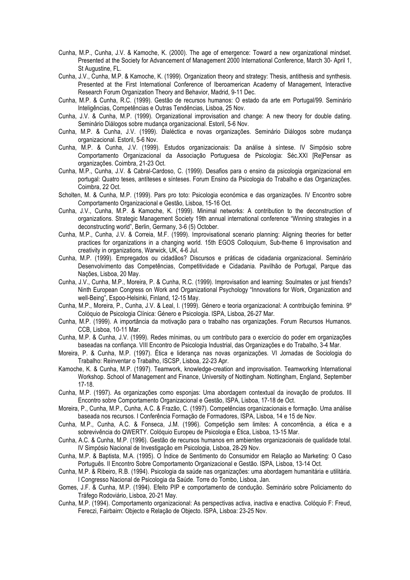- Cunha, M.P., Cunha, J.V. & Kamoche, K. (2000). The age of emergence: Toward a new organizational mindset. Presented at the Society for Advancement of Management 2000 International Conference, March 30- April 1, St Augustine, FL.
- Cunha, J.V., Cunha, M.P. & Kamoche, K. (1999). Organization theory and strategy: Thesis, antithesis and synthesis. Presented at the First International Conference of Iberoamerican Academy of Management, Interactive Research Forum Organization Theory and Behavior, Madrid, 9-11 Dec.
- Cunha, M.P. & Cunha, R.C. (1999). Gestão de recursos humanos: O estado da arte em Portugal/99. Seminário Inteligências, Competências e Outras Tendências, Lisboa, 25 Nov.
- Cunha, J.V. & Cunha, M.P. (1999). Organizational improvisation and change: A new theory for double dating. Seminário Diálogos sobre mudança organizacional. Estoril, 5-6 Nov.
- Cunha, M.P. & Cunha, J.V. (1999). Dialéctica e novas organizações. Seminário Diálogos sobre mudança organizacional. Estoril, 5-6 Nov.
- Cunha, M.P. & Cunha, J.V. (1999). Estudos organizacionais: Da análise à síntese. IV Simpósio sobre Comportamento Organizacional da Associação Portuguesa de Psicologia: Séc.XXI [Re]Pensar as organizações. Coimbra, 21-23 Oct.
- Cunha, M.P., Cunha, J.V. & Cabral-Cardoso, C. (1999). Desafios para o ensino da psicologia organizacional em portugal: Quatro teses, antíteses e sínteses. Forum Ensino da Psicologia do Trabalho e das Organizações. Coimbra, 22 Oct.
- Scholten, M. & Cunha, M.P. (1999). Pars pro toto: Psicologia económica e das organizações. IV Encontro sobre Comportamento Organizacional e Gestão, Lisboa, 15-16 Oct.
- Cunha, J.V., Cunha, M.P. & Kamoche, K. (1999). Minimal networks: A contribution to the deconstruction of organizations. Strategic Management Society 19th annual international conference "Winning strategies in a deconstructing world", Berlin, Germany, 3-6 (5) October.
- Cunha, M.P., Cunha, J.V. & Correia, M.F. (1999). Improvisational scenario planning: Aligning theories for better practices for organizations in a changing world. 15th EGOS Colloquium, Sub-theme 6 Improvisation and creativity in organizations, Warwick, UK, 4-6 Jul.
- Cunha, M.P. (1999). Empregados ou cidadãos? Discursos e práticas de cidadania organizacional. Seminário Desenvolvimento das Competências, Competitividade e Cidadania. Pavilhão de Portugal, Parque das Nações, Lisboa, 20 May.
- Cunha, J.V., Cunha, M.P., Moreira, P. & Cunha, R.C. (1999). Improvisation and learning: Soulmates or just friends? Ninth European Congress on Work and Organizational Psychology "Innovations for Work, Organization and well-Being", Espoo-Helsinki, Finland, 12-15 May.
- Cunha, M.P., Moreira, P., Cunha, J.V. & Leal, I. (1999). Género e teoria organizacional: A contribuição feminina. 9º Colóquio de Psicologia Clínica: Género e Psicologia. ISPA, Lisboa, 26-27 Mar.
- Cunha, M.P. (1999). A importância da motivação para o trabalho nas organizações. Forum Recursos Humanos. CCB, Lisboa, 10-11 Mar.
- Cunha, M.P. & Cunha, J.V. (1999). Redes mínimas, ou um contributo para o exercício do poder em organizações baseadas na confiança. VIII Encontro de Psicologia Industrial, das Organizações e do Trabalho, 3-4 Mar.
- Moreira, P. & Cunha, M.P. (1997). Ética e liderança nas novas organizações. VI Jornadas de Sociologia do Trabalho: Reinventar o Trabalho, ISCSP, Lisboa, 22-23 Apr.
- Kamoche, K. & Cunha, M.P. (1997). Teamwork, knowledge-creation and improvisation. Teamworking International Workshop. School of Management and Finance, University of Nottingham. Nottingham, England, September 17-18.
- Cunha, M.P. (1997). As organizações como esponjas: Uma abordagem contextual da inovação de produtos. III Encontro sobre Comportamento Organizacional e Gestão, ISPA, Lisboa, 17-18 de Oct.
- Moreira, P., Cunha, M.P., Cunha, A.C. & Frazão, C. (1997). Competências organizacionais e formação. Uma análise baseada nos recursos. I Conferência Formação de Formadores, ISPA, Lisboa, 14 e 15 de Nov.
- Cunha, M.P., Cunha, A.C. & Fonseca, J.M. (1996). Competição sem limites: A concorrência, a ética e a sobrevivência do QWERTY. Colóquio Europeu de Psicologia e Ética, Lisboa, 13-15 Mar.
- Cunha, A.C. & Cunha, M.P. (1996). Gestão de recursos humanos em ambientes organizacionais de qualidade total. IV Simpósio Nacional de Investigação em Psicologia, Lisboa, 28-29 Nov.
- Cunha, M.P. & Baptista, M.A. (1995). O Índice de Sentimento do Consumidor em Relação ao Marketing: O Caso Português. II Encontro Sobre Comportamento Organizacional e Gestão. ISPA, Lisboa, 13-14 Oct.
- Cunha, M.P. & Ribeiro, R.B. (1994). Psicologia da saúde nas organizações: uma abordagem humanitária e utilitária. I Congresso Nacional de Psicologia da Saúde. Torre do Tombo, Lisboa, Jan.
- Gomes, J.F. & Cunha, M.P. (1994). Efeito PIP e comportamento de condução. Seminário sobre Policiamento do Tráfego Rodoviário, Lisboa, 20-21 May.
- Cunha, M.P. (1994). Comportamento organizacional: As perspectivas activa, inactiva e enactiva. Colóquio F: Freud, Fereczi, Fairbairn: Objecto e Relação de Objecto. ISPA, Lisboa: 23-25 Nov.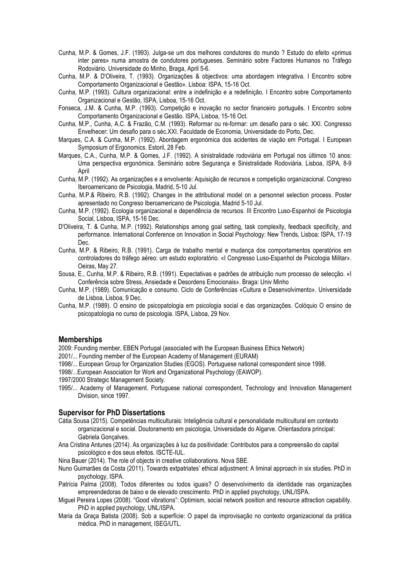- Cunha, M.P. & Gomes, J.F. (1993). Julga-se um dos melhores condutores do mundo ? Estudo do efeito «primus inter pares» numa amostra de condutores portugueses. Seminário sobre Factores Humanos no Tráfego Rodoviário. Universidade do Minho, Braga, April 5-6.
- Cunha, M.P. & D'Oliveira, T. (1993). Organizações & objectivos: uma abordagem integrativa. I Encontro sobre Comportamento Organizacional e Gestão». Lisboa: ISPA, 15-16 Oct.
- Cunha, M.P. (1993). Cultura organizacional: entre a indefinição e a redefinição. I Encontro sobre Comportamento Organizacional e Gestão, ISPA, Lisboa, 15-16 Oct.
- Fonseca, J.M. & Cunha, M.P. (1993). Competição e inovação no sector financeiro português. I Encontro sobre Comportamento Organizacional e Gestão. ISPA, Lisboa, 15-16 Oct.
- Cunha, M.P., Cunha, A.C. & Frazão, C.M. (1993). Reformar ou re-formar: um desafio para o séc. XXI. Congresso Envelhecer: Um desafio para o séc.XXI. Faculdade de Economia, Universidade do Porto, Dec.
- Marques, C.A. & Cunha, M.P. (1992). Abordagem ergonómica dos acidentes de viação em Portugal. I European Symposium of Ergonomics. Estoril, 28 Feb.
- Marques, C.A., Cunha, M.P. & Gomes, J.F. (1992). A sinistralidade rodoviária em Portugal nos últimos 10 anos: Uma perspectiva ergonómica. Seminário sobre Segurança e Sinistralidade Rodoviária. Lisboa, ISPA, 8-9 April
- Cunha, M.P. (1992). As organizações e a envolvente: Aquisição de recursos e competição organizacional. Congreso Iberoamericano de Psicologia, Madrid, 5-10 Jul.
- Cunha, M.P.& Ribeiro, R.B. (1992). Changes in the attributional model on a personnel selection process. Poster apresentado no Congreso Iberoamericano de Psicologia, Madrid 5-10 Jul.
- Cunha, M.P. (1992). Ecologia organizacional e dependência de recursos. III Encontro Luso-Espanhol de Psicologia Social, Lisboa, ISPA, 15-16 Dec.
- D'Oliveira, T. & Cunha, M.P. (1992). Relationships among goal setting, task complexity, feedback specificity, and performance. International Conference on Innovation in Social Psychology: New Trends, Lisboa: ISPA, 17-19 Dec.
- Cunha, M.P. & Ribeiro, R.B. (1991). Carga de trabalho mental e mudança dos comportamentos operatórios em controladores do tráfego aéreo: um estudo exploratório. «I Congresso Luso-Espanhol de Psicologia Militar». Oeiras, May 27.
- Sousa, E., Cunha, M.P. & Ribeiro, R.B. (1991). Expectativas e padrões de atribuição num processo de selecção. «I Conferência sobre Stress, Ansiedade e Desordens Emocionais». Braga: Univ Minho
- Cunha, M.P. (1989). Comunicação e consumo. Ciclo de Conferências «Cultura e Desenvolvimento». Universidade de Lisboa, Lisboa, 9 Dec.
- Cunha, M.P. (1989). O ensino de psicopatologia em psicologia social e das organizações. Colóquio O ensino de psicopatologia no curso de psicologia. ISPA, Lisboa, 29 Nov.

#### **Memberships**

- 2009: Founding member, EBEN Portugal (associated with the European Business Ethics Network)
- 2001/... Founding member of the European Academy of Management (EURAM)
- 1998/... European Group for Organization Studies (EGOS). Portuguese national correspondent since 1998.
- 1998/...European Association for Work and Organizational Psychology (EAWOP).
- 1997/2000 Strategic Management Society.
- 1995/... Academy of Management. Portuguese national correspondent, Technology and Innovation Management Division, since 1997.

### **Supervisor for PhD Dissertations**

- Cátia Sousa (2015). Competências multiculturais: Inteligência cultural e personalidade multicultural em contexto organizacional e social. Doutoramento em psicologia, Universidade do Algarve. Orientasdora principal: Gabriela Gonçalves.
- Ana Cristina Antunes (2014). As organizações à luz da positividade: Contributos para a compreensão do capital psicológico e dos seus efeitos. ISCTE-IUL.
- Nina Bauer (2014). The role of objects in creative collaborations. Nova SBE.
- Nuno Guimarães da Costa (2011). Towards extpatriates' ethical adjustment: A liminal approach in six studies. PhD in psychology, ISPA.
- Patrícia Palma (2008). Todos diferentes ou todos iguais? O desenvolvimento da identidade nas organizações empreendedoras de baixo e de elevado crescimento. PhD in applied psychology, UNL/ISPA.
- Miguel Pereira Lopes (2008). "Good vibrations": Optimism, social network position and resource attraction capability. PhD in applied psychology, UNL/ISPA.
- Maria da Graça Batista (2008). Sob a superfície: O papel da improvisação no contexto organizacional da prática médica. PhD in management, ISEG/UTL.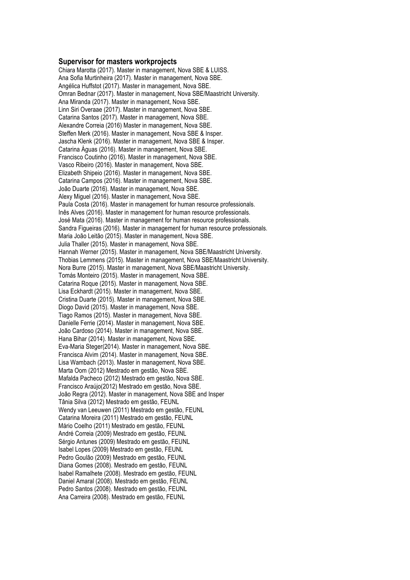### **Supervisor for masters workprojects**

Chiara Marotta (2017). Master in management, Nova SBE & LUISS. Ana Sofia Murtinheira (2017). Master in management, Nova SBE. Angélica Huffstot (2017). Master in management, Nova SBE. Omran Bednar (2017). Master in management, Nova SBE/Maastricht University. Ana Miranda (2017). Master in management, Nova SBE. Linn Siri Overaae (2017). Master in management, Nova SBE. Catarina Santos (2017). Master in management, Nova SBE. Alexandre Correia (2016) Master in management, Nova SBE. Steffen Merk (2016). Master in management, Nova SBE & Insper. Jascha Klenk (2016). Master in management, Nova SBE & Insper. Catarina Águas (2016). Master in management, Nova SBE. Francisco Coutinho (2016). Master in management, Nova SBE. Vasco Ribeiro (2016). Master in management, Nova SBE. Elizabeth Shipeio (2016). Master in management, Nova SBE. Catarina Campos (2016). Master in management, Nova SBE. João Duarte (2016). Master in management, Nova SBE. Alexy Miguel (2016). Master in management, Nova SBE. Paula Costa (2016). Master in management for human resource professionals. Inês Alves (2016). Master in management for human resource professionals. José Mata (2016). Master in management for human resource professionals. Sandra Figueiras (2016). Master in management for human resource professionals. Maria João Leitão (2015). Master in management, Nova SBE. Julia Thaller (2015). Master in management, Nova SBE. Hannah Werner (2015). Master in management, Nova SBE/Maastricht University. Thobias Lemmens (2015). Master in management, Nova SBE/Maastricht University. Nora Burre (2015). Master in management, Nova SBE/Maastricht University. Tomás Monteiro (2015). Master in management, Nova SBE. Catarina Roque (2015). Master in management, Nova SBE. Lisa Eckhardt (2015). Master in management, Nova SBE. Cristina Duarte (2015). Master in management, Nova SBE. Diogo David (2015). Master in management, Nova SBE. Tiago Ramos (2015). Master in management, Nova SBE. Danielle Ferrie (2014). Master in management, Nova SBE. João Cardoso (2014). Master in management, Nova SBE. Hana Bihar (2014). Master in management, Nova SBE. Eva-Maria Steger(2014). Master in management, Nova SBE. Francisca Alvim (2014). Master in management, Nova SBE. Lisa Wambach (2013). Master in management, Nova SBE. Marta Oom (2012) Mestrado em gestão, Nova SBE. Mafalda Pacheco (2012) Mestrado em gestão, Nova SBE. Francisco Araújo(2012) Mestrado em gestão, Nova SBE. João Regra (2012). Master in management, Nova SBE and Insper Tânia Silva (2012) Mestrado em gestão, FEUNL Wendy van Leeuwen (2011) Mestrado em gestão, FEUNL Catarina Moreira (2011) Mestrado em gestão, FEUNL Mário Coelho (2011) Mestrado em gestão, FEUNL André Correia (2009) Mestrado em gestão, FEUNL Sérgio Antunes (2009) Mestrado em gestão, FEUNL Isabel Lopes (2009) Mestrado em gestão, FEUNL Pedro Goulão (2009) Mestrado em gestão, FEUNL Diana Gomes (2008). Mestrado em gestão, FEUNL Isabel Ramalhete (2008). Mestrado em gestão, FEUNL Daniel Amaral (2008). Mestrado em gestão, FEUNL Pedro Santos (2008). Mestrado em gestão, FEUNL Ana Carreira (2008). Mestrado em gestão, FEUNL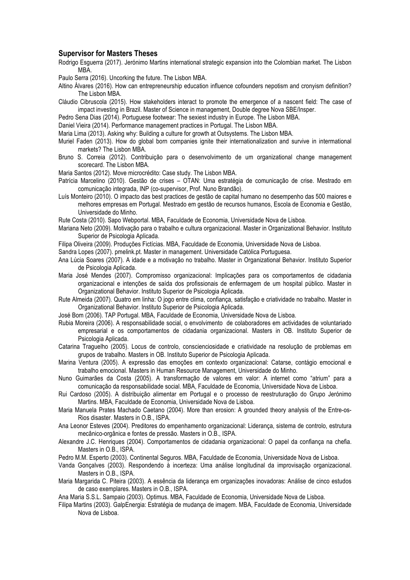### **Supervisor for Masters Theses**

Rodrigo Esguerra (2017). Jerónimo Martins international strategic expansion into the Colombian market. The Lisbon MBA.

Paulo Serra (2016). Uncorking the future. The Lisbon MBA.

Altino Álvares (2016). How can entrepreneurship education influence cofounders nepotism and cronyism definition? The Lisbon MBA.

Cláudio Cibruscola (2015). How stakeholders interact to promote the emergence of a nascent field: The case of impact investing in Brazil. Master of Science in management, Double degree Nova SBE/Insper.

Pedro Sena Dias (2014). Portuguese footwear: The sexiest industry in Europe. The Lisbon MBA.

Daniel Vieira (2014). Performance management practices in Portugal. The Lisbon MBA.

Maria Lima (2013). Asking why: Building a culture for growth at Outsystems. The Lisbon MBA.

Muriel Faden (2013). How do global born companies ignite their internationalization and survive in intermational markets? The Lisbon MBA.

Bruno S. Correia (2012). Contribuição para o desenvolvimento de um organizational change management scorecard. The Lisbon MBA.

Maria Santos (2012). Move microcrédito: Case study. The Lisbon MBA.

- Patrícia Marcelino (2010). Gestão de crises OTAN: Uma estratégia de comunicação de crise. Mestrado em comunicação integrada, INP (co-supervisor, Prof. Nuno Brandão).
- Luís Monteiro (2010). O impacto das best practices de gestão de capital humano no desempenho das 500 maiores e melhores empresas em Portugal. Mestrado em gestão de recursos humanos, Escola de Economia e Gestão, Universidade do Minho.

Rute Costa (2010). Sapo Webportal. MBA, Faculdade de Economia, Universidade Nova de Lisboa.

Mariana Neto (2009). Motivação para o trabalho e cultura organizacional. Master in Organizational Behavior. Instituto Superior de Psicologia Aplicada.

Filipa Oliveira (2009). Produções Fictícias. MBA, Faculdade de Economia, Universidade Nova de Lisboa.

Sandra Lopes (2007). pmelink.pt. Master in management. Universidade Católica Portuguesa.

- Ana Lúcia Soares (2007). A idade e a motivação no trabalho. Master in Organizational Behavior. Instituto Superior de Psicologia Aplicada.
- Maria José Mendes (2007). Compromisso organizacional: Implicações para os comportamentos de cidadania organizacional e intenções de saída dos profissionais de enfermagem de um hospital público. Master in Organizational Behavior. Instituto Superior de Psicologia Aplicada.
- Rute Almeida (2007). Quatro em linha: O jogo entre clima, confiança, satisfação e criatividade no trabalho. Master in Organizational Behavior. Instituto Superior de Psicologia Aplicada.

José Bom (2006). TAP Portugal. MBA, Faculdade de Economia, Universidade Nova de Lisboa.

- Rubia Moreira (2006). A responsabilidade social, o envolvimento de colaboradores em actividades de voluntariado empresarial e os comportamentos de cidadania organizacional. Masters in OB. Instituto Superior de Psicologia Aplicada.
- Catarina Traguelho (2005). Locus de controlo, conscienciosidade e criatividade na resolução de problemas em grupos de trabalho. Masters in OB. Instituto Superior de Psicologia Aplicada.
- Marina Ventura (2005). A expressão das emoções em contexto organizacional: Catarse, contágio emocional e trabalho emocional. Masters in Human Resource Management, Universidade do Minho.
- Nuno Guimarães da Costa (2005). A transformação de valores em valor: A internet como "atrium" para a comunicação da responsabilidade social. MBA, Faculdade de Economia, Universidade Nova de Lisboa.
- Rui Cardoso (2005). A distribuição alimentar em Portugal e o processo de reestruturação do Grupo Jerónimo Martins. MBA, Faculdade de Economia, Universidade Nova de Lisboa.
- Maria Manuela Prates Machado Caetano (2004). More than erosion: A grounded theory analysis of the Entre-os-Rios disaster. Masters in O.B., ISPA.
- Ana Leonor Esteves (2004). Preditores do empenhamento organizacional: Liderança, sistema de controlo, estrutura mecânico-orgânica e fontes de pressão. Masters in O.B., ISPA.
- Alexandre J.C. Henriques (2004). Comportamentos de cidadania organizacional: O papel da confiança na chefia. Masters in O.B., ISPA.

Pedro M.M. Esperto (2003). Continental Seguros. MBA, Faculdade de Economia, Universidade Nova de Lisboa.

- Vanda Gonçalves (2003). Respondendo à incerteza: Uma análise longitudinal da improvisação organizacional. Masters in O.B., ISPA.
- Maria Margarida C. Piteira (2003). A essência da liderança em organizações inovadoras: Análise de cinco estudos de caso exemplares. Masters in O.B., ISPA.
- Ana Maria S.S.L. Sampaio (2003). Optimus. MBA, Faculdade de Economia, Universidade Nova de Lisboa.
- Filipa Martins (2003). GalpEnergia: Estratégia de mudança de imagem. MBA, Faculdade de Economia, Universidade Nova de Lisboa.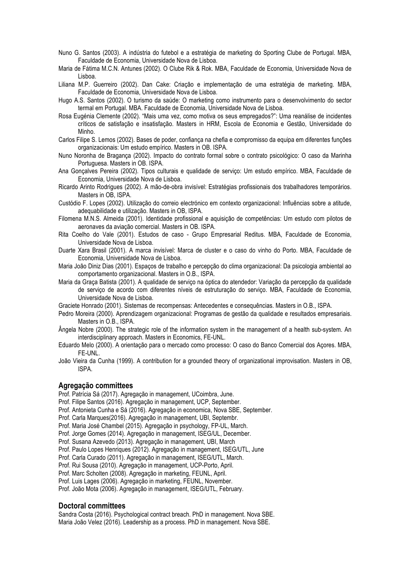- Nuno G. Santos (2003). A indústria do futebol e a estratégia de marketing do Sporting Clube de Portugal. MBA, Faculdade de Economia, Universidade Nova de Lisboa.
- Maria de Fátima M.C.N. Antunes (2002). O Clube Rik & Rok. MBA, Faculdade de Economia, Universidade Nova de Lisboa.
- Liliana M.P. Guerreiro (2002). Dan Cake: Criação e implementação de uma estratégia de marketing. MBA, Faculdade de Economia, Universidade Nova de Lisboa.
- Hugo A.S. Santos (2002). O turismo da saúde: O marketing como instrumento para o desenvolvimento do sector termal em Portugal. MBA. Faculdade de Economia, Universidade Nova de Lisboa.
- Rosa Eugénia Clemente (2002). "Mais uma vez, como motiva os seus empregados?": Uma reanálise de incidentes críticos de satisfação e insatisfação. Masters in HRM, Escola de Economia e Gestão, Universidade do Minho.
- Carlos Filipe S. Lemos (2002). Bases de poder, confiança na chefia e compromisso da equipa em diferentes funções organizacionais: Um estudo empírico. Masters in OB. ISPA.
- Nuno Noronha de Bragança (2002). Impacto do contrato formal sobre o contrato psicológico: O caso da Marinha Portuguesa. Masters in OB. ISPA.
- Ana Gonçalves Pereira (2002). Tipos culturais e qualidade de serviço: Um estudo empírico. MBA, Faculdade de Economia, Universidade Nova de Lisboa.
- Ricardo Arinto Rodrigues (2002). A mão-de-obra invisível: Estratégias profissionais dos trabalhadores temporários. Masters in OB, ISPA.
- Custódio F. Lopes (2002). Utilização do correio electrónico em contexto organizacional: Influências sobre a atitude, adequabilidade e utilização. Masters in OB, ISPA.
- Filomena M.N.S. Almeida (2001). Identidade profissional e aquisição de competências: Um estudo com pilotos de aeronaves da aviação comercial. Masters in OB. ISPA.
- Rita Coelho do Vale (2001). Estudos de caso Grupo Empresarial Reditus. MBA, Faculdade de Economia, Universidade Nova de Lisboa.
- Duarte Xara Brasil (2001). A marca invisível: Marca de cluster e o caso do vinho do Porto. MBA, Faculdade de Economia, Universidade Nova de Lisboa.
- Maria João Diniz Dias (2001). Espaços de trabalho e percepção do clima organizacional: Da psicologia ambiental ao comportamento organizacional. Masters in O.B., ISPA.
- Maria da Graça Batista (2001). A qualidade de serviço na óptica do atendedor: Variação da percepção da qualidade de serviço de acordo com diferentes níveis de estruturação do serviço. MBA, Faculdade de Economia, Universidade Nova de Lisboa.

Graciete Honrado (2001). Sistemas de recompensas: Antecedentes e consequências. Masters in O.B., ISPA.

- Pedro Moreira (2000). Aprendizagem organizacional: Programas de gestão da qualidade e resultados empresariais. Masters in O.B., ISPA.
- Ângela Nobre (2000). The strategic role of the information system in the management of a health sub-system. An interdisciplinary approach. Masters in Economics, FE-UNL.
- Eduardo Melo (2000). A orientação para o mercado como processo: O caso do Banco Comercial dos Açores. MBA, FE-UNL.
- João Vieira da Cunha (1999). A contribution for a grounded theory of organizational improvisation. Masters in OB, ISPA.

### **Agregação committees**

Prof. Patrícia Sá (2017). Agregação in management, UCoimbra, June.

- Prof. Filipe Santos (2016). Agregação in management, UCP, September.
- Prof. Antonieta Cunha e Sá (2016). Agregação in economica, Nova SBE, September.
- Prof. Carla Marques(2016). Agregação in management, UBI, Septembr.
- Prof. Maria José Chambel (2015). Agregação in psychology, FP-UL, March.
- Prof. Jorge Gomes (2014). Agregação in management, ISEG/UL, December.
- Prof. Susana Azevedo (2013). Agregação in management, UBI, March
- Prof. Paulo Lopes Henriques (2012). Agregação in management, ISEG/UTL, June
- Prof. Carla Curado (2011). Agregação in management, ISEG/UTL, March.
- Prof. Rui Sousa (2010). Agregação in management, UCP-Porto, April.
- Prof. Marc Scholten (2008). Agregação in marketing, FEUNL, April.
- Prof. Luis Lages (2006). Agregação in marketing, FEUNL, November.

Prof. João Mota (2006). Agregação in management, ISEG/UTL, February.

### **Doctoral committees**

Sandra Costa (2016). Psychological contract breach. PhD in management. Nova SBE. Maria João Velez (2016). Leadership as a process. PhD in management. Nova SBE.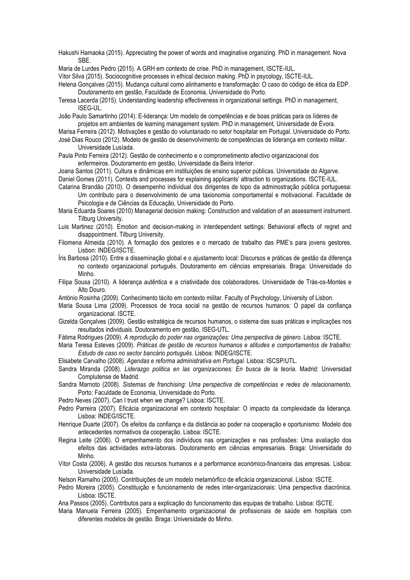Hakushi Hamaoka (2015). Appreciating the power of words and imaginative organizing. PhD in management. Nova SBE.

Maria de Lurdes Pedro (2015). A GRH em contexto de crise. PhD in management, ISCTE-IUL.

Vítor Silva (2015). Sociocognitive processes in ethical decision making. PhD in psycology, ISCTE-IUL.

Helena Gonçalves (2015). Mudança cultural como alinhamento e transformação: O caso do código de ética da EDP. Doutoramento em gestão, Faculdade de Economia, Universidade do Porto.

Teresa Lacerda (2015). Understanding leadership effectiveness in organizational settings. PhD in management, ISEG-UL.

João Paulo Samartinho (2014). E-liderança: Um modelo de competências e de boas práticas para os líderes de projetos em ambientes de learning management system. PhD in management, Universidade de Évora.

Marisa Ferreira (2012). Motivações e gestão do voluntariado no setor hospitalar em Portugal. Universidade do Porto. José Dias Rouco (2012). Modelo de gestão de desenvolvimento de competências de liderança em contexto militar. Universidade Lusíada.

Paula Pinto Ferreira (2012). Gestão de conhecimento e o comprometimento afectivo organizacional dos enfermeiros. Doutoramento em gestão, Universidade da Beira Interior.

Joana Santos (2011). Cultura e dinâmicas em instituições de ensino superior públicas. Universidade do Algarve.

Daniel Gomes (2011). Contexts and processes for explaining applicants' attraction to organizations. ISCTE-IUL.

Catarina Brandão (2010). O desempenho individual dos dirigentes de topo da adminostração pública portuguesa: Um contributo para o desenvolvimento de uma taxionomia comportamental e motivacional. Faculdade de Psicologia e de Ciências da Educação, Universidade do Porto.

Maria Eduarda Soares (2010) Managerial decision making: Construction and validation of an assessment instrument. Tilburg University.

Luis Martinez (2010). Emotion and decision-making in interdependent settings: Behavioral effects of regret and disappointment. Tilburg University.

Filomena Almeida (2010). A formação dos gestores e o mercado de trabalho das PME's para jovens gestores. Lisbon: INDEG/ISCTE.

Íris Barbosa (2010). Entre a disseminação global e o ajustamento local: Discursos e práticas de gestão da diferença no contexto organizacional português. Doutoramento em ciências empresariais. Braga: Universidade do Minho.

Filipa Sousa (2010). A liderança autêntica e a criatividade dos colaboradores. Universidade de Trás-os-Montes e Alto Douro.

António Rosinha (2009). Conhecimento tácito em contexto militar. Faculty of Psychology, University of Lisbon.

Maria Sousa Lima (2009). Processos de troca social na gestão de recursos humanos: O papel da confiança organizacional. ISCTE.

Gizelda Gonçalves (2009). Gestão estratégica de recursos humanos, o sistema das suas práticas e implicações nos resultados individuais. Doutoramento em gestão, ISEG-UTL.

Fátima Rodrigues (2009). *A reprodução do poder nas organizações: Uma perspectiva de género*. Lisboa: ISCTE.

Maria Teresa Esteves (2009). *Práticas de gestão de recursos humanos e atitudes e comportamentos de trabalho: Estudo de caso no sector bancário português*. Lisboa: INDEG/ISCTE.

Elisabete Carvalho (2008). *Agendas e reforma administrativa em Portugal*. Lisboa: ISCSP/UTL.

Sandra Miranda (2008). *Liderazgo politica en las organizaciones: En busca de la teoria*. Madrid: Universidad Complutense de Madrid.

Sandra Marnoto (2008). *Sistemas de franchising: Uma perspectiva de competências e redes de relacionamento*. Porto: Faculdade de Economia, Universidade do Porto.

Pedro Neves (2007). Can I trust when we change? Lisboa: ISCTE.

Pedro Parreira (2007). Eficácia organizacional em contexto hospitalar: O impacto da complexidade da liderança. Lisboa: INDEG/ISCTE.

Henrique Duarte (2007). Os efeitos da confiança e da distância ao poder na cooperação e oportunismo: Modelo dos antecedentes normativos da cooperação. Lisboa: ISCTE.

Regina Leite (2006). O empenhamento dos indivíduos nas organizações e nas profissões: Uma avaliação dos efeitos das actividades extra-laborais. Doutoramento em ciências empresariais. Braga: Universidade do Minho.

Vítor Costa (2006). A gestão dos recursos humanos e a performance económico-financeira das empresas. Lisboa: Universidade Lusíada.

Nelson Ramalho (2005). Contribuições de um modelo metamórfico de eficácia organizacional. Lisboa: ISCTE.

Pedro Moreira (2005). Constituição e funcionamento de redes inter-organizacionais: Uma perspectiva diacrónica. Lisboa: ISCTE.

Ana Passos (2005). Contributos para a explicação do funcionamento das equipas de trabalho. Lisboa: ISCTE.

Maria Manuela Ferreira (2005). Empenhamento organizacional de profissionais de saúde em hospitais com diferentes modelos de gestão. Braga: Universidade do Minho.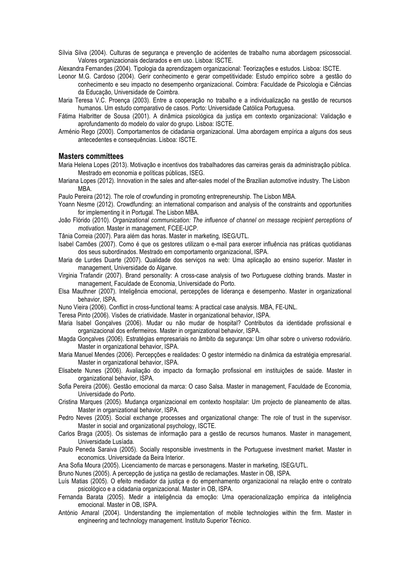- Sílvia Silva (2004). Culturas de segurança e prevenção de acidentes de trabalho numa abordagem psicossocial. Valores organizacionais declarados e em uso. Lisboa: ISCTE.
- Alexandra Fernandes (2004). Tipologia da aprendizagem organizacional: Teorizações e estudos. Lisboa: ISCTE.
- Leonor M.G. Cardoso (2004). Gerir conhecimento e gerar competitividade: Estudo empírico sobre a gestão do conhecimento e seu impacto no desempenho organizacional. Coimbra: Faculdade de Psicologia e Ciências da Educação, Universidade de Coimbra.
- Maria Teresa V.C. Proença (2003). Entre a cooperação no trabalho e a individualização na gestão de recursos humanos. Um estudo comparativo de casos. Porto: Universidade Católica Portuguesa.
- Fátima Halbritter de Sousa (2001). A dinâmica psicológica da justiça em contexto organizacional: Validação e aprofundamento do modelo do valor do grupo. Lisboa: ISCTE.
- Arménio Rego (2000). Comportamentos de cidadania organizacional. Uma abordagem empírica a alguns dos seus antecedentes e consequências. Lisboa: ISCTE.

### **Masters committees**

- Maria Helena Lopes (2013). Motivação e incentivos dos trabalhadores das carreiras gerais da administração pública. Mestrado em economia e políticas públicas, ISEG.
- Mariana Lopes (2012). Innovation in the sales and after-sales model of the Brazilian automotive industry. The Lisbon MBA.
- Paulo Pereira (2012). The role of crowfunding in promoting entrepreneurship. The Lisbon MBA.
- Yoann Nesme (2012). Crowdfunding: an international comparison and analysis of the constraints and opportunities for implementing it in Portugal. The Lisbon MBA.
- João Flórido (2010). *Organizational communication: The influence of channel on message recipient perceptions of motivation*. Master in management, FCEE-UCP.
- Tânia Correia (2007). Para além das horas. Master in marketing, ISEG/UTL.
- Isabel Camões (2007). Como é que os gestores utilizam o e-mail para exercer influência nas práticas quotidianas dos seus subordinados. Mestrado em comportamento organizacional, ISPA.
- Maria de Lurdes Duarte (2007). Qualidade dos serviços na web: Uma aplicação ao ensino superior. Master in management, Universidade do Algarve.
- Virginia Trafandir (2007). Brand personality: A cross-case analysis of two Portuguese clothing brands. Master in management, Faculdade de Economia, Universidade do Porto.
- Elsa Mauthner (2007). Inteligência emocional, percepções de liderança e desempenho. Master in organizational behavior, ISPA.
- Nuno Vieira (2006). Conflict in cross-functional teams: A practical case analysis. MBA, FE-UNL.
- Teresa Pinto (2006). Visões de criatividade. Master in organizational behavior, ISPA.
- Maria Isabel Gonçalves (2006). Mudar ou não mudar de hospital? Contributos da identidade profissional e organizacional dos enfermeiros. Master in organizational behavior, ISPA.
- Magda Gonçalves (2006). Estratégias empresariais no âmbito da segurança: Um olhar sobre o universo rodoviário. Master in organizational behavior, ISPA.
- Maria Manuel Mendes (2006). Percepções e realidades: O gestor intermédio na dinâmica da estratégia empresarial. Master in organizational behavior, ISPA.
- Elisabete Nunes (2006). Avaliação do impacto da formação profissional em instituições de saúde. Master in organizational behavior, ISPA.
- Sofia Pereira (2006). Gestão emocional da marca: O caso Salsa. Master in management, Faculdade de Economia, Universidade do Porto.
- Cristina Marques (2005). Mudança organizacional em contexto hospitalar: Um projecto de planeamento de altas. Master in organizational behavior, ISPA.
- Pedro Neves (2005). Social exchange processes and organizational change: The role of trust in the supervisor. Master in social and organizational psychology, ISCTE.
- Carlos Braga (2005). Os sistemas de informação para a gestão de recursos humanos. Master in management, Universidade Lusíada.
- Paulo Peneda Saraiva (2005). Socially responsible investments in the Portuguese investment market. Master in economics. Universidade da Beira Interior.
- Ana Sofia Moura (2005). Licenciamento de marcas e personagens. Master in marketing, ISEG/UTL.
- Bruno Nunes (2005). A percepção de justiça na gestão de reclamações. Master in OB, ISPA.
- Luís Matias (2005). O efeito mediador da justiça e do empenhamento organizacional na relação entre o contrato psicológico e a cidadania organizacional. Master in OB, ISPA.
- Fernanda Barata (2005). Medir a inteligência da emoção: Uma operacionalização empírica da inteligência emocional. Master in OB, ISPA.
- António Amaral (2004). Understanding the implementation of mobile technologies within the firm. Master in engineering and technology management. Instituto Superior Técnico.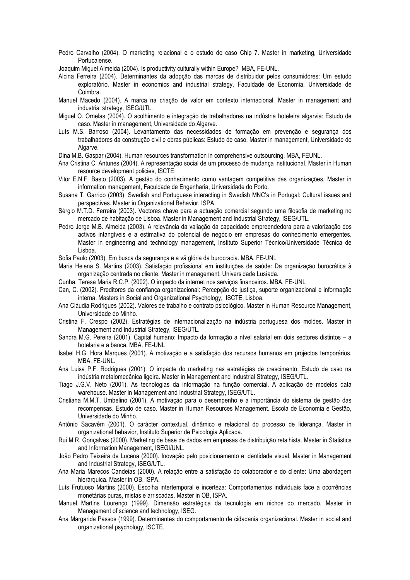Pedro Carvalho (2004). O marketing relacional e o estudo do caso Chip 7. Master in marketing, Universidade Portucalense.

Joaquim Miguel Almeida (2004). Is productivity culturally within Europe? MBA, FE-UNL.

Alcina Ferreira (2004). Determinantes da adopção das marcas de distribuidor pelos consumidores: Um estudo exploratório. Master in economics and industrial strategy, Faculdade de Economia, Universidade de Coimbra.

- Manuel Macedo (2004). A marca na criação de valor em contexto internacional. Master in management and industrial strategy, ISEG/UTL.
- Miguel O. Ornelas (2004). O acolhimento e integração de trabalhadores na indústria hoteleira algarvia: Estudo de caso. Master in management, Universidade do Algarve.
- Luís M.S. Barroso (2004). Levantamento das necessidades de formação em prevenção e segurança dos trabalhadores da construção civil e obras públicas: Estudo de caso. Master in management, Universidade do Algarve.

Dina M.B. Gaspar (2004). Human resources transformation in comprehensive outsourcing. MBA, FEUNL.

- Ana Cristina C. Antunes (2004). A representação social de um processo de mudança institucional. Master in Human resource development policies, ISCTE.
- Vitor E.N.F. Basto (2003). A gestão do conhecimento como vantagem competitiva das organizações. Master in information management, Faculdade de Engenharia, Universidade do Porto.
- Susana T. Garrido (2003). Swedish and Portuguese interacting in Swedish MNC's in Portugal: Cultural issues and perspectives. Master in Organizational Behavior, ISPA.
- Sérgio M.T.D. Ferreira (2003). Vectores chave para a actuação comercial segundo uma filosofia de marketing no mercado de habitação de Lisboa. Master in Management and Industrial Strategy, ISEG/UTL.
- Pedro Jorge M.B. Almeida (2003). A relevância da valiação da capacidade empreendedora para a valorização dos activos intangíveis e a estimativa do potencial de negócio em empresas do conhecimento emergentes. Master in engineering and technology management, Instituto Superior Técnico/Universidade Técnica de Lisboa.

Sofia Paulo (2003). Em busca da segurança e a vã glória da burocracia. MBA, FE-UNL

- Maria Helena S. Martins (2003). Satisfação profissional em instituições de saúde: Da organização burocrática à organização centrada no cliente. Master in management, Universidade Lusíada.
- Cunha, Teresa Maria R.C.P. (2002). O impacto da internet nos serviços financeiros. MBA, FE-UNL
- Can, C. (2002). Preditores da confiança organizacional: Percepção de justiça, suporte organizacional e informação interna. Masters in Social and Organizational Psychology, ISCTE, Lisboa.
- Ana Cláudia Rodrigues (2002). Valores de trabalho e contrato psicológico. Master in Human Resource Management, Universidade do Minho.
- Cristina F. Crespo (2002). Estratégias de internacionalização na indústria portuguesa dos moldes. Master in Management and Industrial Strategy, ISEG/UTL.
- Sandra M.G. Pereira (2001). Capital humano: Impacto da formação a nível salarial em dois sectores distintos a hotelaria e a banca. MBA. FE-UNL
- Isabel H.G. Hora Marques (2001). A motivação e a satisfação dos recursos humanos em projectos temporários. MBA, FE-UNL.
- Ana Luisa P.F. Rodrigues (2001). O impacte do marketing nas estratégias de crescimento: Estudo de caso na indústria metalomecânica ligeira. Master in Management and Industrial Strategy, ISEG/UTL.
- Tiago J.G.V. Neto (2001). As tecnologias da informação na função comercial. A aplicação de modelos data warehouse. Master in Management and Industrial Strategy, ISEG/UTL.
- Cristiana M.M.T. Umbelino (2001). A motivação para o desempenho e a importância do sistema de gestão das recompensas. Estudo de caso. Master in Human Resources Management. Escola de Economia e Gestão, Universidade do Minho.
- António Sacavém (2001). O carácter contextual, dinâmico e relacional do processo de liderança. Master in organizational behavior, Instituto Superior de Psicologia Aplicada.
- Rui M.R. Gonçalves (2000). Marketing de base de dados em empresas de distribuição retalhista. Master in Statistics and Information Management, ISEGI/UNL.
- João Pedro Teixeira de Lucena (2000). Inovação pelo posicionamento e identidade visual. Master in Management and Industrial Strategy, ISEG/UTL.
- Ana Maria Marecos Candeias (2000). A relação entre a satisfação do colaborador e do cliente: Uma abordagem hierárquica. Master in OB, ISPA.
- Luís Frutuoso Martins (2000). Escolha intertemporal e incerteza: Comportamentos individuais face a ocorrências monetárias puras, mistas e arriscadas. Master in OB, ISPA.
- Manuel Martins Lourenço (1999). Dimensão estratégica da tecnologia em nichos do mercado. Master in Management of science and technology, ISEG.
- Ana Margarida Passos (1999). Determinantes do comportamento de cidadania organizacional. Master in social and organizational psychology, ISCTE.